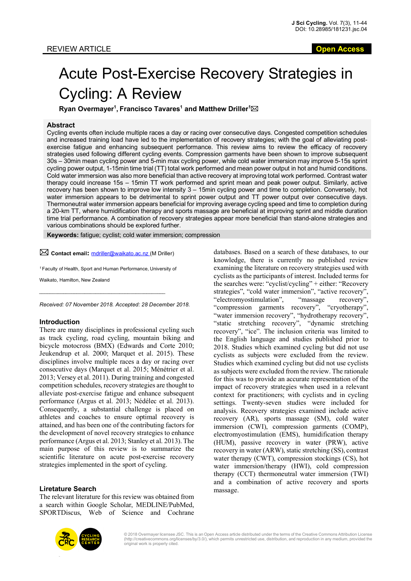# Acute Post-Exercise Recovery Strategies in Cycling: A Review

**Ryan Overmayer<sup>1</sup>, Francisco Tavares<sup>1</sup> and Matthew Driller<sup>1</sup>⊠** 

## **Abstract**

Cycling events often include multiple races a day or racing over consecutive days. Congested competition schedules and increased training load have led to the implementation of recovery strategies; with the goal of alleviating postexercise fatigue and enhancing subsequent performance. This review aims to review the efficacy of recovery strategies used following different cycling events. Compression garments have been shown to improve subsequent 30s – 30min mean cycling power and 5-min max cycling power, while cold water immersion may improve 5-15s sprint cycling power output, 1-15min time trial (TT) total work performed and mean power output in hot and humid conditions. Cold water immersion was also more beneficial than active recovery at improving total work performed. Contrast water therapy could increase 15s – 15min TT work performed and sprint mean and peak power output. Similarly, active recovery has been shown to improve low intensity 3 – 15min cycling power and time to completion. Conversely, hot water immersion appears to be detrimental to sprint power output and TT power output over consecutive days. Thermoneutral water immersion appears beneficial for improving average cycling speed and time to completion during a 20-km TT, where humidification therapy and sports massage are beneficial at improving sprint and middle duration time trial performance. A combination of recovery strategies appear more beneficial than stand-alone strategies and various combinations should be explored further.

**Keywords:** fatigue; cyclist; cold water immersion; compression

 $\boxtimes$  Contact email: mdriller@waikato.ac.nz (M Driller)

*<sup>1</sup>*Faculty of Health, Sport and Human Performance, University of

*\_\_\_\_\_\_\_\_\_\_\_\_\_\_\_\_\_\_\_\_\_\_\_\_\_\_\_\_\_\_\_\_\_\_\_\_\_\_\_\_\_\_\_\_\_\_\_*

Waikato, Hamilton, New Zealand

*Received: 07 November 2018. Accepted: 28 December 2018.*

## **Introduction**

There are many disciplines in professional cycling such as track cycling, road cycling, mountain biking and bicycle motocross (BMX) (Edwards and Corte 2010; Jeukendrup et al. 2000; Marquet et al. 2015). These disciplines involve multiple races a day or racing over consecutive days (Marquet et al. 2015; Ménétrier et al. 2013; Versey et al. 2011). During training and congested competition schedules, recovery strategies are thought to alleviate post-exercise fatigue and enhance subsequent performance (Argus et al. 2013; Nédélec et al. 2013). Consequently, a substantial challenge is placed on athletes and coaches to ensure optimal recovery is attained, and has been one of the contributing factors for the development of novel recovery strategies to enhance performance (Argus et al. 2013; Stanley et al. 2013). The main purpose of this review is to summarize the scientific literature on acute post-exercise recovery strategies implemented in the sport of cycling.

## **Liretature Search**

The relevant literature for this review was obtained from a search within Google Scholar, MEDLINE/PubMed, SPORTDiscus, Web of Science and Cochrane

databases. Based on a search of these databases, to our knowledge, there is currently no published review examining the literature on recovery strategies used with cyclists as the participants of interest. Included terms for the searches were: "cyclist/cycling" + either: "Recovery strategies", "cold water immersion", "active recovery", "electromyostimulation", "massage recovery", "compression garments recovery", "cryotherapy", "water immersion recovery", "hydrotherapy recovery", "static stretching recovery", "dynamic stretching recovery", "ice". The inclusion criteria was limited to the English language and studies published prior to 2018. Studies which examined cycling but did not use cyclists as subjects were excluded from the review. Studies which examined cycling but did not use cyclists as subjects were excluded from the review. The rationale for this was to provide an accurate representation of the impact of recovery strategies when used in a relevant context for practitioners; with cyclists and in cycling settings. Twenty-seven studies were included for analysis. Recovery strategies examined include active recovery (AR), sports massage (SM), cold water immersion (CWI), compression garments (COMP), electromyostimulation (EMS), humidification therapy (HUM), passive recovery in water (PRW), active recovery in water (ARW), static stretching (SS), contrast water therapy (CWT), compression stockings (CS), hot water immersion/therapy (HWI), cold compression therapy (CCT) thermoneutral water immersion (TWI) and a combination of active recovery and sports massage.



© 2018 Overmayer licensee JSC. This is an Open Access article distributed under the terms of the Creative Commons Attribution License (http://creativecommons.org/licenses/by/3.0/), which permits unrestricted use, distribution, and reproduction in any medium, provided the original work is properly cited.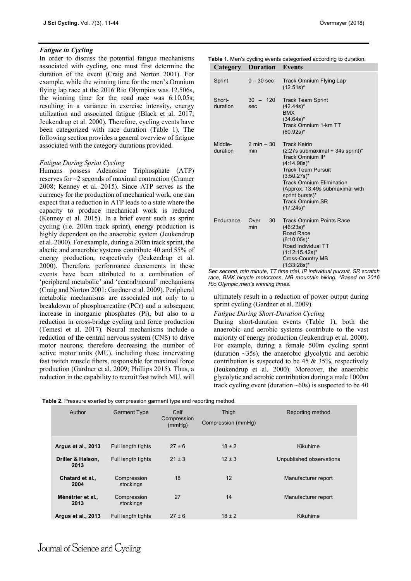## *Fatigue in Cycling*

In order to discuss the potential fatigue mechanisms associated with cycling, one must first determine the duration of the event (Craig and Norton 2001). For example, while the winning time for the men's Omnium flying lap race at the 2016 Rio Olympics was 12.506s, the winning time for the road race was 6:10.05s; resulting in a variance in exercise intensity, energy utilization and associated fatigue (Black et al. 2017; Jeukendrup et al. 2000). Therefore, cycling events have been categorized with race duration (Table 1). The following section provides a general overview of fatigue associated with the category durations provided.

## *Fatigue During Sprint Cycling*

Humans possess Adenosine Triphosphate (ATP) reserves for ~2 seconds of maximal contraction (Cramer 2008; Kenney et al. 2015). Since ATP serves as the currency for the production of mechanical work, one can expect that a reduction in ATP leads to a state where the capacity to produce mechanical work is reduced (Kenney et al. 2015). In a brief event such as sprint cycling (i.e. 200m track sprint), energy production is highly dependent on the anaerobic system (Jeukendrup et al. 2000). For example, during a 200m track sprint, the alactic and anaerobic systems contribute 40 and 55% of energy production, respectively (Jeukendrup et al. 2000). Therefore, performance decrements in these events have been attributed to a combination of 'peripheral metabolic' and 'central/neural' mechanisms (Craig and Norton 2001; Gardner et al. 2009). Peripheral metabolic mechanisms are associated not only to a breakdown of phosphocreatine (PCr) and a subsequent increase in inorganic phosphates (Pi), but also to a reduction in cross-bridge cycling and force production (Temesi et al. 2017). Neural mechanisms include a reduction of the central nervous system (CNS) to drive motor neurons; therefore decreasing the number of active motor units (MU), including those innervating fast twitch muscle fibers, responsible for maximal force production (Gardner et al. 2009; Phillips 2015). Thus, a reduction in the capability to recruit fast twitch MU, will

|                                 |  |  | <b>Table 1.</b> Men's cycling events categorised according to duration. |  |
|---------------------------------|--|--|-------------------------------------------------------------------------|--|
| <b>Category Duration Events</b> |  |  |                                                                         |  |

| Sprint              | $0 - 30$ sec                   | Track Omnium Flying Lap<br>$(12.51s)^*$                                                                                                                                                                                                                                                   |
|---------------------|--------------------------------|-------------------------------------------------------------------------------------------------------------------------------------------------------------------------------------------------------------------------------------------------------------------------------------------|
| Short-<br>duration  | $30 - 120$<br>sec              | <b>Track Team Sprint</b><br>$(42.44s)^*$<br><b>BMX</b><br>$(34.64s)^*$<br>Track Omnium 1-km TT<br>$(60.92s)^*$                                                                                                                                                                            |
| Middle-<br>duration | $2 \text{ min} - 30$<br>min    | <b>Track Keirin</b><br>$(2:27s$ submaximal + 34s sprint)*<br><b>Track Omnium IP</b><br>$(4.14.98s)^{*}$<br><b>Track Team Pursuit</b><br>$(3:50.27s)^*$<br><b>Track Omnium Elimination</b><br>(Approx. 13:49s submaximal with<br>sprint bursts)*<br><b>Track Omnium SR</b><br>$(17:24s)^*$ |
| Endurance           | 30 <sup>2</sup><br>Over<br>min | <b>Track Omnium Points Race</b><br>$(46:23s)^*$<br>Road Race<br>$(6:10:05s)^*$<br>Road Individual TT<br>$(1:12:15.42s)^{*}$<br><b>Cross-Country MB</b><br>$(1.33.28s)^{*}$                                                                                                                |

*Sec second, min minute, TT time trial, IP individual pursuit, SR scratch race, BMX bicycle motocross, MB mountain biking. \*Based on 2016 Rio Olympic men's winning times.* 

ultimately result in a reduction of power output during sprint cycling (Gardner et al. 2009).

During short-duration events (Table 1), both the anaerobic and aerobic systems contribute to the vast majority of energy production (Jeukendrup et al. 2000). For example, during a female 500m cycling sprint (duration  $\sim$ 35s), the anaerobic glycolytic and aerobic contribution is suspected to be 45  $&$  35%, respectively (Jeukendrup et al. 2000). Moreover, the anaerobic glycolytic and aerobic contribution during a male 1000m track cycling event (duration  $\sim 60$ s) is suspected to be 40

|--|

| Author                    | <b>Garment Type</b>      | Calf<br>Compression<br>(mmHq) | Thigh<br>Compression (mmHg) | Reporting method         |
|---------------------------|--------------------------|-------------------------------|-----------------------------|--------------------------|
| Argus et al., 2013        | Full length tights       | $27 \pm 6$                    | $18 \pm 2$                  | Kikuhime                 |
| Driller & Halson,<br>2013 | Full length tights       | $21 \pm 3$                    | $12 \pm 3$                  | Unpublished observations |
| Chatard et al.,<br>2004   | Compression<br>stockings | 18                            | 12                          | Manufacturer report      |
| Ménétrier et al.,<br>2013 | Compression<br>stockings | 27                            | 14                          | Manufacturer report      |
| Argus et al., 2013        | Full length tights       | $27 + 6$                      | $18 \pm 2$                  | Kikuhime                 |

## Journal of Science and Cycling

*Fatigue During Short-Duration Cycling*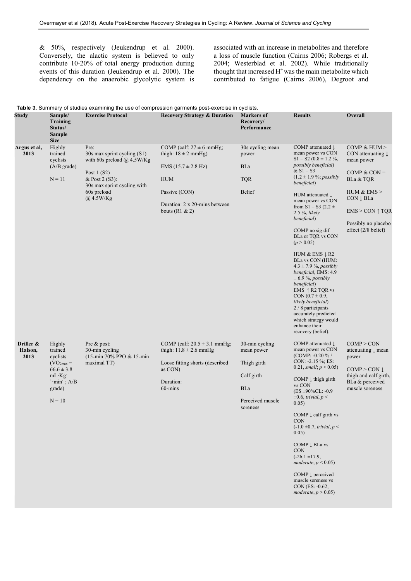& 50%, respectively (Jeukendrup et al. 2000). Conversely, the alactic system is believed to only contribute 10-20% of total energy production during events of this duration (Jeukendrup et al. 2000). The dependency on the anaerobic glycolytic system is

associated with an increase in metabolites and therefore a loss of muscle function (Cairns 2006; Robergs et al. 2004; Westerblad et al. 2002). While traditionally thought that increased H<sup>+</sup> was the main metabolite which contributed to fatigue (Cairns 2006), Degroot and

|                              |                                                                                                                                            |                                                                                                                                                                           | Table 3. Summary of studies examining the use of compression garments post-exercise in cyclists.                                                                               |                                                                                                         |                                                                                                                                                                                                                                                                                                                                                                                                                                                                                                                                                                                                                                                                                                      |                                                                                                                                                                                                       |
|------------------------------|--------------------------------------------------------------------------------------------------------------------------------------------|---------------------------------------------------------------------------------------------------------------------------------------------------------------------------|--------------------------------------------------------------------------------------------------------------------------------------------------------------------------------|---------------------------------------------------------------------------------------------------------|------------------------------------------------------------------------------------------------------------------------------------------------------------------------------------------------------------------------------------------------------------------------------------------------------------------------------------------------------------------------------------------------------------------------------------------------------------------------------------------------------------------------------------------------------------------------------------------------------------------------------------------------------------------------------------------------------|-------------------------------------------------------------------------------------------------------------------------------------------------------------------------------------------------------|
| <b>Study</b>                 | Sample/<br><b>Training</b><br>Status/<br><b>Sample</b><br><b>Size</b>                                                                      | <b>Exercise Protocol</b>                                                                                                                                                  | <b>Recovery Strategy &amp; Duration</b>                                                                                                                                        | <b>Markers</b> of<br>Recovery/<br>Performance                                                           | <b>Results</b>                                                                                                                                                                                                                                                                                                                                                                                                                                                                                                                                                                                                                                                                                       | Overall                                                                                                                                                                                               |
| Argus et al,<br>2013         | Highly<br>trained<br>cyclists<br>$(A/B \text{ grade})$<br>$N = 11$                                                                         | Pre:<br>30s max sprint cycling (S1)<br>with 60s preload $\omega$ 4.5W/Kg<br>Post $1(S2)$<br>& Post 2 (S3):<br>30s max sprint cycling with<br>60s preload<br>$@$ , 4.5W/Kg | COMP (calf: $27 \pm 6$ mmHg;<br>thigh: $18 \pm 2$ mmHg)<br>$EMS (15.7 \pm 2.8 \text{ Hz})$<br><b>HUM</b><br>Passive (CON)<br>Duration: 2 x 20-mins between<br>bouts (R1 $& 2)$ | 30s cycling mean<br>power<br><b>BLa</b><br><b>TQR</b><br>Belief                                         | COMP attenuated $\downarrow$<br>mean power vs CON<br>$S1 - S2 (0.8 \pm 1.2 %$<br><i>possibly beneficial</i> )<br>$& S1 - S3$<br>$(1.2 \pm 1.9 \frac{6}{9})$ ; possibly<br>beneficial)<br>HUM attenuated $\downarrow$<br>mean power vs CON<br>from $S1 - S3$ (2.2 $\pm$<br>$2.5 \%$ , likely<br>beneficial)<br>COMP no sig dif<br>BLa or TQR vs CON<br>(p > 0.05)<br>HUM & EMS $\downarrow$ R2<br>BLa vs CON (HUM:<br>$4.3 \pm 7.9$ %, possibly<br>beneficial, EMS: 4.9<br>$\pm$ 6.9 %, possibly<br>beneficial)<br>EMS $\uparrow$ R2 TQR vs<br>$CON (0.7 \pm 0.9,$<br>likely beneficial)<br>2 / 8 participants<br>accurately predicted<br>which strategy would<br>enhance their<br>recovery (belief). | COMP & HUM $>$<br>CON attenuating $\downarrow$<br>mean power<br>COMP & CON $=$<br>BLa & TQR<br>HUM $&$ EMS $>$<br>CON J BLa<br>$EMS > CON \uparrow TQR$<br>Possibly no placebo<br>effect (2/8 belief) |
| Driller &<br>Halson,<br>2013 | Highly<br>trained<br>cyclists<br>$(VO2max =$<br>$66.6 \pm 3.8$<br>$mL$ $Kg$<br>$\text{1}\cdot \text{min}^{-1}$ ; A/B<br>grade)<br>$N = 10$ | Pre & post:<br>30-min cycling<br>(15-min 70% PPO & 15-min<br>maximal TT)                                                                                                  | COMP (calf: $20.5 \pm 3.1$ mmHg;<br>thigh: $11.8 \pm 2.6$ mmHg<br>Loose fitting shorts (described<br>as CON)<br>Duration:<br>60-mins                                           | 30-min cycling<br>mean power<br>Thigh girth<br>Calf girth<br><b>BLa</b><br>Perceived muscle<br>soreness | COMP attenuated $\downarrow$<br>mean power vs CON<br>(COMP: $-0.20\%$ /<br>CON: $-2.15\%$ ; ES:<br>0.21, small; $p < 0.05$ )<br>COMP $\downarrow$ thigh girth<br>vs CON<br>$(ES \pm 90\% CL: -0.9)$<br>$\pm 0.6$ , trivial, p <<br>0.05)<br>COMP $\downarrow$ calf girth vs<br><b>CON</b><br>$(-1.0 \pm 0.7, trivial, p <$<br>0.05)<br>$COMP \downarrow BLa \text{ vs }$<br><b>CON</b><br>$(-26.1 \pm 17.9,$<br>moderate, $p < 0.05$ )<br>COMP $\downarrow$ perceived<br>muscle soreness vs<br>$CON (ES: -0.62,$<br>moderate, $p > 0.05$ )                                                                                                                                                           | COMP > CON<br>attenuating $\downarrow$ mean<br>power<br>$COMP > CON$ $\downarrow$<br>thigh and calf girth.<br>BLa & perceived<br>muscle soreness                                                      |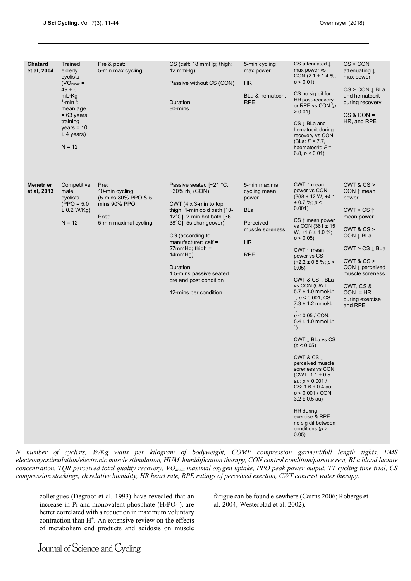| <b>Chatard</b><br>et al, 2004   | Trained<br>elderly<br>cyclists<br>$(VO2max =$<br>$49 \pm 6$<br>$mL \cdot Kg$<br>$1 \cdot min^{-1}$ ;<br>mean age<br>$= 63$ years;<br>training<br>$years = 10$<br>$± 4$ years)<br>$N = 12$ | Pre & post:<br>5-min max cycling                                                                 | CS (calf: 18 mmHg; thigh:<br>$12 \text{ mmHg}$<br>Passive without CS (CON)<br>Duration:<br>80-mins                                                                                                                                                                                                                                              | 5-min cycling<br>max power<br>HR.<br>BLa & hematocrit<br><b>RPE</b>                                      | CS attenuated $\downarrow$<br>max power vs<br>CON $(2.1 \pm 1.4 \%)$ ,<br>$p < 0.01$ )<br>CS no sig dif for<br>HR post-recovery<br>or RPE vs CON $(p)$<br>$> 0.01$ )<br>$CS \downarrow BLa$ and<br>hematocrit during<br>recovery vs CON<br>(BLa: $F = 7.7$ ,<br>haematocrit: $F =$<br>6.8, $p < 0.01$ )                                                                                                                                                                                                                                                                                                                                                                                                                                                                                                                              | CS > CON<br>attenuating $\downarrow$<br>max power<br>$CS > CON \downarrow BLa$<br>and hematocrit<br>during recovery<br>$CS & CON =$<br>HR, and RPE                                                                                                                         |
|---------------------------------|-------------------------------------------------------------------------------------------------------------------------------------------------------------------------------------------|--------------------------------------------------------------------------------------------------|-------------------------------------------------------------------------------------------------------------------------------------------------------------------------------------------------------------------------------------------------------------------------------------------------------------------------------------------------|----------------------------------------------------------------------------------------------------------|--------------------------------------------------------------------------------------------------------------------------------------------------------------------------------------------------------------------------------------------------------------------------------------------------------------------------------------------------------------------------------------------------------------------------------------------------------------------------------------------------------------------------------------------------------------------------------------------------------------------------------------------------------------------------------------------------------------------------------------------------------------------------------------------------------------------------------------|----------------------------------------------------------------------------------------------------------------------------------------------------------------------------------------------------------------------------------------------------------------------------|
| <b>Menetrier</b><br>et al, 2013 | Competitive<br>male<br>cyclists<br>$(PPO = 5.0$<br>± 0.2 W/Kg)<br>$N = 12$                                                                                                                | Pre:<br>10-min cycling<br>(5-mins 80% PPO & 5-<br>mins 90% PPO<br>Post:<br>5-min maximal cycling | Passive seated [~21 °C,<br>$\sim$ 30% rh] (CON)<br>CWT $(4 \times 3$ -min to top<br>thigh; 1-min cold bath [10-<br>12°C], 2-min hot bath [36-<br>38°C], 5s changeover)<br>CS (according to<br>manufacturer: $cal =$<br>$27$ mmHq; thiqh =<br>14mmHg)<br>Duration:<br>1.5-mins passive seated<br>pre and post condition<br>12-mins per condition | 5-min maximal<br>cycling mean<br>power<br>BLa<br>Perceived<br>muscle soreness<br><b>HR</b><br><b>RPE</b> | CWT $\uparrow$ mean<br>power vs CON<br>$(368 \pm 12 \text{ W}, +4.1)$<br>$\pm$ 0.7 %; p <<br>0.001)<br>$CS \uparrow$ mean power<br>vs CON (361 ± 15<br>W, $+1.8 \pm 1.0$ %;<br>$p < 0.05$ )<br>CWT $\uparrow$ mean<br>power vs CS<br>$(+2.2 \pm 0.8 \%; p <$<br>0.05)<br>CWT & CS $\downarrow$ BLa<br>vs CON (CWT:<br>$5.7 \pm 1.0$ mmol $\cdot$ L <sup>-</sup><br>$\frac{1}{2}$ ; p < 0.001, CS:<br>$7.3 \pm 1.2$ mmol $\cdot$ L $\cdot$<br>1:<br>$p < 0.05 / CON$ :<br>$8.4 \pm 1.0$ mmol $\cdot$ L $\cdot$<br>1)<br>CWT $\downarrow$ BLa vs CS<br>(p < 0.05)<br>CWT & CS $\downarrow$<br>perceived muscle<br>soreness vs CON<br>$(CWT: 1.1 \pm 0.5$<br>au; $p < 0.001 /$<br>$CS: 1.6 \pm 0.4$ au;<br>$p < 0.001 / CON$ :<br>$3.2 \pm 0.5$ au)<br>HR during<br>exercise & RPE<br>no sig dif between<br>conditions ( $p >$<br>0.05) | CWT 8 CS ><br>$CON \uparrow mean$<br>power<br>CWT > CS $\uparrow$<br>mean power<br>CWT 8 CS ><br>CON $\downarrow$ BLa<br>$CWT > CS \downarrow BLa$<br>CWT 8 CS ><br>CON $\downarrow$ perceived<br>muscle soreness<br>CWT, CS &<br>$CON = HR$<br>during exercise<br>and RPE |

*N number of cyclists, W/Kg watts per kilogram of bodyweight, COMP compression garment/full length tights, EMS electromyostimulation/electronic muscle stimulation, HUM humidification therapy, CON control condition/passive rest, BLa blood lactate concentration, TQR perceived total quality recovery, VO2max maximal oxygen uptake, PPO peak power output, TT cycling time trial, CS compression stockings, rh relative humidity, HR heart rate, RPE ratings of perceived exertion, CWT contrast water therapy.*

colleagues (Degroot et al. 1993) have revealed that an increase in Pi and monovalent phosphate  $(H_2PO_4^-)$ , are better correlated with a reduction in maximum voluntary contraction than H<sup>+</sup>. An extensive review on the effects of metabolism end products and acidosis on muscle

fatigue can be found elsewhere (Cairns 2006; Robergs et al. 2004; Westerblad et al. 2002).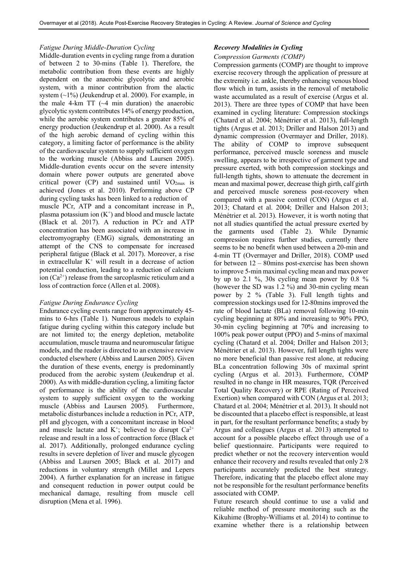## *Fatigue During Middle-Duration Cycling*

Middle-duration events in cycling range from a duration of between 2 to 30-mins (Table 1). Therefore, the metabolic contribution from these events are highly dependent on the anaerobic glycolytic and aerobic system, with a minor contribution from the alactic system  $(\sim 1\%)$  (Jeukendrup et al. 2000). For example, in the male 4-km  $TT$  ( $-4$  min duration) the anaerobic glycolytic system contributes 14% of energy production, while the aerobic system contributes a greater 85% of energy production (Jeukendrup et al. 2000). As a result of the high aerobic demand of cycling within this category, a limiting factor of performance is the ability of the cardiovascular system to supply sufficient oxygen to the working muscle (Abbiss and Laursen 2005). Middle-duration events occur on the severe intensity domain where power outputs are generated above critical power (CP) and sustained until  $VO<sub>2max</sub>$  is achieved (Jones et al. 2010). Performing above CP during cycling tasks has been linked to a reduction of muscle PCr, ATP and a concomitant increase in Pi, plasma potassium ion  $(K^+)$  and blood and muscle lactate (Black et al. 2017). A reduction in PCr and ATP concentration has been associated with an increase in electromyography (EMG) signals, demonstrating an attempt of the CNS to compensate for increased peripheral fatigue (Black et al. 2017). Moreover, a rise in extracellular  $K^+$  will result in a decrease of action potential conduction, leading to a reduction of calcium ion  $(Ca^{2+})$  release from the sarcoplasmic reticulum and a loss of contraction force (Allen et al. 2008).

## *Fatigue During Endurance Cycling*

Endurance cycling events range from approximately 45 mins to 6-hrs (Table 1). Numerous models to explain fatigue during cycling within this category include but are not limited to; the energy depletion, metabolite accumulation, muscle trauma and neuromuscular fatigue models, and the reader is directed to an extensive review conducted elsewhere (Abbiss and Laursen 2005). Given the duration of these events, energy is predominantly produced from the aerobic system (Jeukendrup et al. 2000). As with middle-duration cycling, a limiting factor of performance is the ability of the cardiovascular system to supply sufficient oxygen to the working muscle (Abbiss and Laursen 2005). Furthermore, metabolic disturbances include a reduction in PCr, ATP, pH and glycogen, with a concomitant increase in blood and muscle lactate and  $K^+$ ; believed to disrupt  $Ca^{2+}$ release and result in a loss of contraction force (Black et al. 2017). Additionally, prolonged endurance cycling results in severe depletion of liver and muscle glycogen (Abbiss and Laursen 2005; Black et al. 2017) and reductions in voluntary strength (Millet and Lepers 2004). A further explanation for an increase in fatigue and consequent reduction in power output could be mechanical damage, resulting from muscle cell disruption (Mena et al. 1996).

## *Recovery Modalities in Cycling*

## *Compression Garments (COMP)*

Compression garments (COMP) are thought to improve exercise recovery through the application of pressure at the extremity i.e. ankle, thereby enhancing venous blood flow which in turn, assists in the removal of metabolic waste accumulated as a result of exercise (Argus et al. 2013). There are three types of COMP that have been examined in cycling literature: Compression stockings (Chatard et al. 2004; Ménétrier et al. 2013), full-length tights (Argus et al. 2013; Driller and Halson 2013) and dynamic compression (Overmayer and Driller, 2018). The ability of COMP to improve subsequent performance, perceived muscle soreness and muscle swelling, appears to be irrespective of garment type and pressure exerted, with both compression stockings and full-length tights, shown to attenuate the decrement in mean and maximal power, decrease thigh girth, calf girth and perceived muscle soreness post-recovery when compared with a passive control (CON) (Argus et al. 2013; Chatard et al. 2004; Driller and Halson 2013; Ménétrier et al. 2013). However, it is worth noting that not all studies quantified the actual pressure exerted by the garments used (Table 2). While Dynamic compression requires further studies, currently there seems to be no benefit when used between a 20-min and 4-min TT (Overmayer and Driller, 2018). COMP used for between 12 – 80mins post-exercise has been shown to improve 5-min maximal cycling mean and max power by up to 2.1 %, 30s cycling mean power by 0.8 % (however the SD was 1.2 %) and 30-min cycling mean power by 2 % (Table 3). Full length tights and compression stockings used for 12-80mins improved the rate of blood lactate (BLa) removal following 10-min cycling beginning at 80% and increasing to 90% PPO, 30-min cycling beginning at 70% and increasing to 100% peak power output (PPO) and 5-mins of maximal cycling (Chatard et al. 2004; Driller and Halson 2013; Ménétrier et al. 2013). However, full length tights were no more beneficial than passive rest alone, at reducing BLa concentration following 30s of maximal sprint cycling (Argus et al. 2013). Furthermore, COMP resulted in no change in HR measures, TQR (Perceived Total Quality Recovery) or RPE (Rating of Perceived Exertion) when compared with CON (Argus et al. 2013; Chatard et al. 2004; Ménétrier et al. 2013). It should not be discounted that a placebo effect is responsible, at least in part, for the resultant performance benefits; a study by Argus and colleagues (Argus et al. 2013) attempted to account for a possible placebo effect through use of a belief questionnaire. Participants were required to predict whether or not the recovery intervention would enhance their recovery and results revealed that only 2/8 participants accurately predicted the best strategy. Therefore, indicating that the placebo effect alone may not be responsible for the resultant performance benefits associated with COMP.

Future research should continue to use a valid and reliable method of pressure monitoring such as the Kikuhime (Brophy-Williams et al. 2014) to continue to examine whether there is a relationship between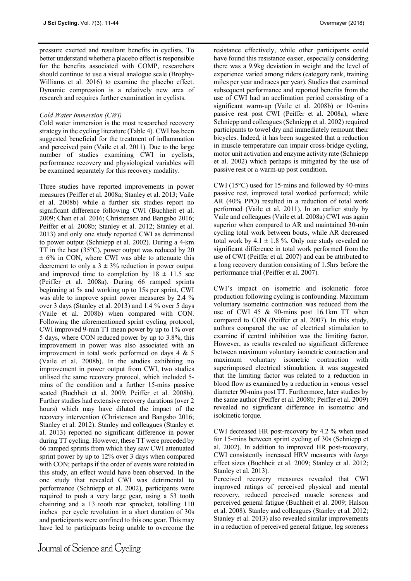pressure exerted and resultant benefits in cyclists. To better understand whether a placebo effect is responsible for the benefits associated with COMP, researchers should continue to use a visual analogue scale (Brophy-Williams et al. 2016) to examine the placebo effect. Dynamic compression is a relatively new area of research and requires further examination in cyclists.

## *Cold Water Immersion (CWI)*

Cold water immersion is the most researched recovery strategy in the cycling literature (Table 4). CWI has been suggested beneficial for the treatment of inflammation and perceived pain (Vaile et al. 2011). Due to the large number of studies examining CWI in cyclists, performance recovery and physiological variables will be examined separately for this recovery modality.

Three studies have reported improvements in power measures (Peiffer et al. 2008a; Stanley et al. 2013; Vaile et al. 2008b) while a further six studies report no significant difference following CWI (Buchheit et al. 2009; Chan et al. 2016; Christensen and Bangsbo 2016; Peiffer et al. 2008b; Stanley et al. 2012; Stanley et al. 2013) and only one study reported CWI as detrimental to power output (Schniepp et al. 2002). During a 4-km TT in the heat (35°C), power output was reduced by 20  $\pm$  6% in CON, where CWI was able to attenuate this decrement to only a  $3 \pm 3\%$  reduction in power output and improved time to completion by  $18 \pm 11.5$  sec (Peiffer et al. 2008a). During 66 ramped sprints beginning at 5s and working up to 15s per sprint, CWI was able to improve sprint power measures by 2.4 % over 3 days (Stanley et al. 2013) and 1.4 % over 5 days (Vaile et al. 2008b) when compared with CON. Following the aforementioned sprint cycling protocol, CWI improved 9-min TT mean power by up to 1% over 5 days, where CON reduced power by up to 3.8%, this improvement in power was also associated with an improvement in total work performed on days 4 & 5 (Vaile et al. 2008b). In the studies exhibiting no improvement in power output from CWI, two studies utilised the same recovery protocol, which included 5 mins of the condition and a further 15-mins passive seated (Buchheit et al. 2009; Peiffer et al. 2008b). Further studies had extensive recovery durations (over 2 hours) which may have diluted the impact of the recovery intervention (Christensen and Bangsbo 2016; Stanley et al. 2012). Stanley and colleagues (Stanley et al. 2013) reported no significant difference in power during TT cycling. However, these TT were preceded by 66 ramped sprints from which they saw CWI attenuated sprint power by up to 12% over 3 days when compared with CON; perhaps if the order of events were rotated in this study, an effect would have been observed. In the one study that revealed CWI was detrimental to performance (Schniepp et al. 2002), participants were required to push a very large gear, using a 53 tooth chainring and a 13 tooth rear sprocket, totalling 110 inches per cycle revolution in a short duration of 30s and participants were confined to this one gear. This may have led to participants being unable to overcome the

resistance effectively, while other participants could have found this resistance easier, especially considering there was a 9.9kg deviation in weight and the level of experience varied among riders (category rank, training miles per year and races per year). Studies that examined subsequent performance and reported benefits from the use of CWI had an acclimation period consisting of a significant warm-up (Vaile et al. 2008b) or 10-mins passive rest post CWI (Peiffer et al. 2008a), where Schniepp and colleagues (Schniepp et al. 2002) required participants to towel dry and immediately remount their bicycles. Indeed, it has been suggested that a reduction in muscle temperature can impair cross-bridge cycling, motor unit activation and enzyme activity rate (Schniepp et al. 2002) which perhaps is mitigated by the use of passive rest or a warm-up post condition.

CWI (15°C) used for 15-mins and followed by 40-mins passive rest, improved total worked performed; while AR (40% PPO) resulted in a reduction of total work performed (Vaile et al. 2011). In an earlier study by Vaile and colleagues (Vaile et al. 2008a) CWI was again superior when compared to AR and maintained 30-min cycling total work between bouts, while AR decreased total work by  $4.1 \pm 1.8$  %. Only one study revealed no significant difference in total work performed from the use of CWI (Peiffer et al. 2007) and can be attributed to a long recovery duration consisting of 1.5hrs before the performance trial (Peiffer et al. 2007).

CWI's impact on isometric and isokinetic force production following cycling is confounding. Maximum voluntary isometric contraction was reduced from the use of CWI 45 & 90-mins post 16.1km TT when compared to CON (Peiffer et al. 2007). In this study, authors compared the use of electrical stimulation to examine if central inhibition was the limiting factor. However, as results revealed no significant difference between maximum voluntary isometric contraction and maximum voluntary isometric contraction with superimposed electrical stimulation, it was suggested that the limiting factor was related to a reduction in blood flow as examined by a reduction in venous vessel diameter 90-mins post TT. Furthermore, later studies by the same author (Peiffer et al. 2008b; Peiffer et al. 2009) revealed no significant difference in isometric and isokinetic torque.

CWI decreased HR post-recovery by 4.2 % when used for 15-mins between sprint cycling of 30s (Schniepp et al. 2002). In addition to improved HR post-recovery, CWI consistently increased HRV measures with *large*  effect sizes (Buchheit et al. 2009; Stanley et al. 2012; Stanley et al. 2013).

Perceived recovery measures revealed that CWI improved ratings of perceived physical and mental recovery, reduced perceived muscle soreness and perceived general fatigue (Buchheit et al. 2009; Halson et al. 2008). Stanley and colleagues (Stanley et al. 2012; Stanley et al. 2013) also revealed similar improvements in a reduction of perceived general fatigue, leg soreness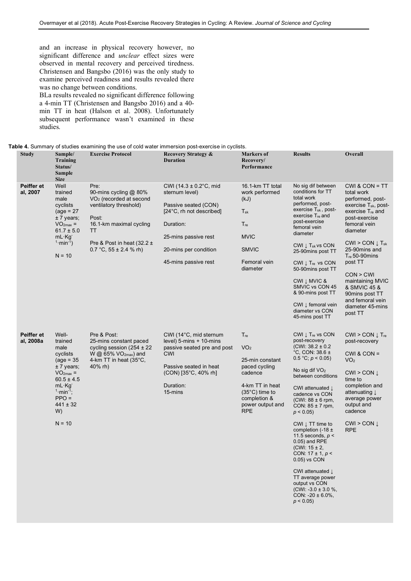and an increase in physical recovery however, no significant difference and *unclear* effect sizes were observed in mental recovery and perceived tiredness. Christensen and Bangsbo (2016) was the only study to examine perceived readiness and results revealed there was no change between conditions.

BLa results revealed no significant difference following a 4-min TT (Christensen and Bangsbo 2016) and a 40 min TT in heat (Halson et al. 2008). Unfortunately subsequent performance wasn't examined in these studies.

| <b>Study</b>            | Sample/<br>Training<br>Status/<br>Sample<br><b>Size</b>                                                                                                                                   | <b>Exercise Protocol</b>                                                                                                                                                                                 | <b>Recovery Strategy &amp;</b><br><b>Duration</b>                                                                                                                                      | <b>Markers of</b><br>Recovery/<br>Performance                                                                                                                                     | <b>Results</b>                                                                                                                                                                                                                                                                                                                                                                                                                                                                   | Overall                                                                                                                                                                                                                                                                                                                                                                                  |
|-------------------------|-------------------------------------------------------------------------------------------------------------------------------------------------------------------------------------------|----------------------------------------------------------------------------------------------------------------------------------------------------------------------------------------------------------|----------------------------------------------------------------------------------------------------------------------------------------------------------------------------------------|-----------------------------------------------------------------------------------------------------------------------------------------------------------------------------------|----------------------------------------------------------------------------------------------------------------------------------------------------------------------------------------------------------------------------------------------------------------------------------------------------------------------------------------------------------------------------------------------------------------------------------------------------------------------------------|------------------------------------------------------------------------------------------------------------------------------------------------------------------------------------------------------------------------------------------------------------------------------------------------------------------------------------------------------------------------------------------|
| Peiffer et<br>al, 2007  | Well<br>trained<br>male<br>cyclists<br>$\text{(age = } 27)$<br>$± 7$ years;<br>$VO2max =$<br>$61.7 \pm 5.0$<br>$mL \cdot Kg$<br>$1 \cdot min^{-1}$ )<br>$N = 10$                          | Pre:<br>90-mins cycling @ 80%<br>VO <sub>2</sub> (recorded at second<br>ventilatory threshold)<br>Post:<br>16.1-km maximal cycling<br>TT<br>Pre & Post in heat $(32.2 \pm$<br>0.7 °C, $55 \pm 2.4$ % rh) | CWI (14.3 $\pm$ 0.2°C, mid<br>sternum level)<br>Passive seated (CON)<br>[24°C, rh not described]<br>Duration:<br>25-mins passive rest<br>20-mins per condition<br>45-mins passive rest | 16.1-km TT total<br>work performed<br>(kJ)<br>$T_{sk}$<br>$T_{re}$<br><b>MVIC</b><br><b>SMVIC</b><br>Femoral vein<br>diameter                                                     | No sig dif between<br>conditions for TT<br>total work<br>performed, post-<br>exercise $T_{sk}$ , post-<br>exercise $T_{\text{re}}$ and<br>post-exercise<br>femoral vein<br>diameter<br>CWI I T <sub>sk</sub> vs CON<br>25-90mins post TT<br>CWI $\downarrow$ Tre vs CON<br>50-90mins post TT<br>CWI J MVIC &<br>SMVIC vs CON 45<br>& 90-mins post TT<br>CWI ↓ femoral vein<br>diameter vs CON<br>45-mins post TT                                                                 | $CWI$ & $CON = TT$<br>total work<br>performed, post-<br>exercise $T_{sk}$ , post-<br>exercise T <sub>re</sub> and<br>post-exercise<br>femoral vein<br>diameter<br>$CWI > CON \downarrow T_{sk}$<br>25-90mins and<br>$T_{\text{re}}$ 50-90 $\text{minus}$<br>post TT<br>CON > CW<br>maintaining MVIC<br>& SMVIC 45 &<br>90mins post TT<br>and femoral vein<br>diameter 45-mins<br>post TT |
| Peiffer et<br>al, 2008a | Well-<br>trained<br>male<br>cyclists<br>$(\text{age} = 35)$<br>$± 7$ years;<br>$VO2max =$<br>$60.5 \pm 4.5$<br>mL·Kg<br>$1 \cdot min^{-1}$ ;<br>$PPO =$<br>$441 \pm 32$<br>W)<br>$N = 10$ | Pre & Post:<br>25-mins constant paced<br>cycling session $(254 \pm 22)$<br>W @ $65\%$ VO <sub>2max</sub> ) and<br>4-km TT in heat (35°C,<br>40% rh)                                                      | CWI (14°C, mid sternum<br>level) $5$ -mins $+$ 10-mins<br>passive seated pre and post<br><b>CWI</b><br>Passive seated in heat<br>(CON) [35°C, 40% rh]<br>Duration:<br>15-mins          | $T_{\text{re}}$<br>VO <sub>2</sub><br>25-min constant<br>paced cycling<br>cadence<br>4-km TT in heat<br>$(35^{\circ}C)$ time to<br>completion &<br>power output and<br><b>RPE</b> | CWI $\downarrow$ Tre vs CON<br>post-recovery<br>$(CWI: 38.2 \pm 0.2$<br>°C, CON: $38.6 \pm$<br>$0.5 °C$ ; $p < 0.05$ )<br>No sig dif $VO2$<br>between conditions<br>CWI attenuated L<br>cadence vs CON<br>(CWI: $88 \pm 6$ rpm,<br>CON: $85 \pm 7$ rpm,<br>$p < 0.05$ )<br>CWI $\downarrow$ TT time to<br>completion (-18 $\pm$<br>11.5 seconds, $p <$<br>0.05) and RPE<br>(CWI: $15 \pm 2$ ,<br>CON: $17 \pm 1$ , $p <$<br>0.05) vs CON<br>CWI attenuated I<br>TT average nower | $CWI > COM \downarrow T_{re}$<br>post-recovery<br>$CWI & CON =$<br>VO <sub>2</sub><br>CWI > CON I<br>time to<br>completion and<br>attenuating L<br>average power<br>output and<br>cadence<br>CWI > CON I<br><b>RPE</b>                                                                                                                                                                   |

TT average power output vs CON (CWI:  $-3.0 \pm 3.0 \%$ , CON:  $-20 \pm 6.0\%$ ,  $p < 0.05$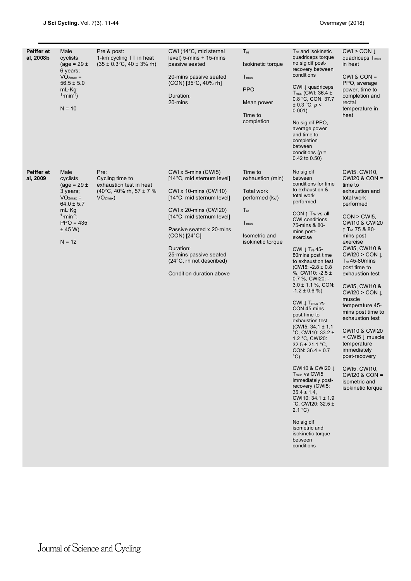| Peiffer et<br>al, 2008b | Male<br>cyclists<br>(age = $29 \pm$<br>6 years;<br>$VO2max =$<br>$56.5 \pm 5.0$<br>$mL \cdot Kg$<br>$1 \cdot min^{-1}$ )<br>$N = 10$                          | Pre & post:<br>1-km cycling TT in heat<br>$(35 \pm 0.3^{\circ}\text{C}, 40 \pm 3\% \text{ rh})$       | CWI (14°C, mid sternal<br>level) 5-mins + 15-mins<br>passive seated<br>20-mins passive seated<br>(CON) [35°C, 40% rh]<br>Duration:<br>20-mins                                                                                                                                                                                               | $T_{\text{re}}$<br>Isokinetic torque<br>T <sub>mus</sub><br><b>PPO</b><br>Mean power<br>Time to<br>completion                                   | T <sub>re</sub> and isokinetic<br>quadriceps torque<br>no sig dif post-<br>recovery between<br>conditions<br>CWI $\downarrow$ quadriceps<br>$T_{mus}$ (CWI: 36.4 $\pm$<br>0.8 °C, CON: 37.7<br>$\pm$ 0.3 °C, p <<br>0.001)<br>No sig dif PPO,<br>average power<br>and time to<br>completion<br>between<br>conditions ( $p =$<br>$0.42$ to $0.50$ )                                                                                                                                                                                                                                                                                                                                                                                                                                                                                                                                             | $CWI > CON \downarrow$<br>quadriceps T <sub>mus</sub><br>in heat<br>$CWI & CON =$<br>PPO, average<br>power, time to<br>completion and<br>rectal<br>temperature in<br>heat                                                                                                                                                                                                                                                                                                                                                                                                                                            |
|-------------------------|---------------------------------------------------------------------------------------------------------------------------------------------------------------|-------------------------------------------------------------------------------------------------------|---------------------------------------------------------------------------------------------------------------------------------------------------------------------------------------------------------------------------------------------------------------------------------------------------------------------------------------------|-------------------------------------------------------------------------------------------------------------------------------------------------|------------------------------------------------------------------------------------------------------------------------------------------------------------------------------------------------------------------------------------------------------------------------------------------------------------------------------------------------------------------------------------------------------------------------------------------------------------------------------------------------------------------------------------------------------------------------------------------------------------------------------------------------------------------------------------------------------------------------------------------------------------------------------------------------------------------------------------------------------------------------------------------------|----------------------------------------------------------------------------------------------------------------------------------------------------------------------------------------------------------------------------------------------------------------------------------------------------------------------------------------------------------------------------------------------------------------------------------------------------------------------------------------------------------------------------------------------------------------------------------------------------------------------|
| Peiffer et<br>al, 2009  | Male<br>cyclists<br>(age = $29 \pm$<br>3 years;<br>$VO2max =$<br>$64.0 \pm 5.7$<br>$mL \cdot Kq$<br>$1 \cdot min^{-1}$ ;<br>$PPO = 435$<br>± 45 W<br>$N = 12$ | Pre:<br>Cycling time to<br>exhaustion test in heat<br>$(40^{\circ}$ C, 40% rh, 57 ± 7 %<br>$VO2max$ ) | $CWI \times 5$ -mins $(CWI5)$<br>[14°C, mid sternum level]<br>$CWI \times 10$ -mins $(CWI10)$<br>[14°C, mid sternum level]<br>$CWI \times 20$ -mins $(CWI20)$<br>[14°C, mid sternum level]<br>Passive seated x 20-mins<br>$(CON)$ [24 $°C$ ]<br>Duration:<br>25-mins passive seated<br>(24°C, rh not described)<br>Condition duration above | Time to<br>exhaustion (min)<br><b>Total work</b><br>performed (kJ)<br>$T_{\text{re}}$<br>T <sub>mus</sub><br>Isometric and<br>isokinetic torque | No sig dif<br>between<br>conditions for time<br>to exhaustion &<br>total work<br>performed<br>CON $\uparrow$ T <sub>re</sub> vs all<br><b>CWI</b> conditions<br>75-mins & 80-<br>mins post-<br>exercise<br>CWI $\downarrow$ T <sub>re</sub> 45-<br>80mins post time<br>to exhaustion test<br>$(CW15: -2.8 \pm 0.8)$<br>%, CWI10: $-2.5 \pm$<br>$0.7$ %, CWI20: -<br>$3.0 \pm 1.1$ %, CON:<br>$-1.2 \pm 0.6$ %)<br>$CWI \downarrow T_{mus}$ vs<br>CON 45-mins<br>post time to<br>exhaustion test<br>$(CW15: 34.1 \pm 1.1)$<br>°C, CWI10: 33.2 ±<br>1.2 °C, CWI20:<br>$32.5 \pm 21.1$ °C,<br>CON: $36.4 \pm 0.7$<br>$^{\circ}$ C)<br><b>CWI10 &amp; CWI20 J</b><br>T <sub>mus</sub> vs CWI5<br>immediately post-<br>recovery (CWI5:<br>$35.4 \pm 1.4$ ,<br>CWI10: $34.1 \pm 1.9$<br>°C, CWI20: 32.5 $\pm$<br>2.1 °C<br>No sig dif<br>isometric and<br>isokinetic torque<br>between<br>conditions | CWI5, CWI10,<br><b>CWI20 &amp; CON =</b><br>time to<br>exhaustion and<br>total work<br>performed<br>$CON > CWI5$ ,<br><b>CWI10 &amp; CWI20</b><br>↑ Tre 75 & 80-<br>mins post<br>exercise<br>CWI5, CWI10 &<br>CWI20 > CON $\downarrow$<br>$T_{\text{re}}$ 45-80 mins<br>post time to<br>exhaustion test<br>CWI5, CWI10 &<br>CWI20 > CON $\downarrow$<br>muscle<br>temperature 45-<br>mins post time to<br>exhaustion test<br><b>CWI10 &amp; CWI20</b><br>> CWI5 $\downarrow$ muscle<br>temperature<br>immediately<br>post-recovery<br><b>CWI5, CWI10,</b><br>$CWI20$ & $CON =$<br>isometric and<br>isokinetic torque |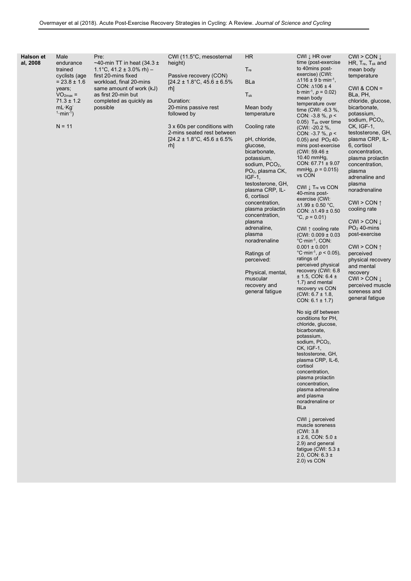| endurance<br>to 40mins post-<br>$T_{\text{re}}$<br>trained<br>1.1°C, 41.2 $\pm$ 3.0% rh) –<br>mean body<br>exercise) (CWI:<br>first 20-mins fixed<br>Passive recovery (CON)<br>temperature<br>cyclists (age<br>$\Delta$ 116 ± 9 b·min <sup>-1</sup> ,<br><b>BLa</b><br>$= 23.8 \pm 1.6$<br>workload, final 20-mins<br>$[24.2 \pm 1.8^{\circ}\text{C}, 45.6 \pm 6.5\%]$<br>CON: $\triangle$ 106 ± 4<br>$CWI & CON =$<br>same amount of work (kJ)<br>rh]<br>years;<br>b min <sup>-1</sup> , $p = 0.02$ )<br>BLa, PH,<br>$VO2max$ =<br>as first 20-min but<br>$T_{sk}$<br>mean body<br>$71.3 \pm 1.2$<br>completed as quickly as<br>Duration:<br>chloride, glucose,<br>temperature over<br>$mL \cdot Kg$<br>possible<br>20-mins passive rest<br>Mean body<br>bicarbonate,<br>time $(CWI: -6.3 %$ ,<br>$1·min-1$ )<br>followed by<br>temperature<br>potassium,<br>CON: -3.8 %, $p <$<br>sodium, PCO <sub>2</sub> ,<br>$0.05$ ) T <sub>sk</sub> over time<br>$N = 11$<br>3 x 60s per conditions with<br>Cooling rate<br>CK, IGF-1,<br>(CWI: -20.2 %,<br>2-mins seated rest between<br>testosterone, GH,<br>CON: -3.7 %, $p <$<br>$[24.2 \pm 1.8^{\circ}\text{C}, 45.6 \pm 6.5\%]$<br>pH, chloride,<br>plasma CRP, IL-<br>$0.05$ ) and $PO2$ 40-<br>6, cortisol<br>rh]<br>glucose,<br>mins post-exercise<br>bicarbonate,<br>(CWI: 59.46 $\pm$<br>concentration,<br>10.40 mm $Hg$ ,<br>potassium,<br>plasma prolactin<br>CON: $67.71 \pm 9.07$<br>sodium, PCO <sub>2</sub> ,<br>concentration,<br>mmHg, $p = 0.015$ )<br>PO <sub>2</sub> , plasma CK,<br>plasma<br>vs CON<br>$IGF-1$ ,<br>adrenaline and<br>plasma<br>testosterone, GH,<br>CWI $\downarrow$ Tre vs CON<br>plasma CRP, IL-<br>noradrenaline<br>40-mins post-<br>6, cortisol<br>exercise (CWI:<br>CWI > CON $\uparrow$<br>concentration,<br>$\Delta$ 1.99 ± 0.50 °C,<br>cooling rate<br>plasma prolactin<br>CON: $\Delta$ 1.49 ± 0.50<br>concentration,<br>$°C, p = 0.01$<br>CWI > CON I<br>plasma<br>$PO2$ 40-mins<br>adrenaline,<br>CWI 1 cooling rate<br>post-exercise<br>plasma<br>$(CWI: 0.009 \pm 0.03$<br>noradrenaline<br>°C·min <sup>-1</sup> , CON:<br>$0.001 \pm 0.001$<br>CWI > CON $\uparrow$<br>°C·min <sup>-1</sup> , $p < 0.05$ ),<br>Ratings of<br>perceived<br>ratings of<br>perceived:<br>physical recovery<br>perceived physical<br>and mental<br>recovery (CWI: 6.8<br>Physical, mental,<br>recovery<br>$± 1.5$ , CON: 6.4 $±$<br>muscular<br>CWI > CON I<br>1.7) and mental<br>recovery and<br>perceived muscle<br>recovery vs CON<br>general fatigue<br>soreness and<br>$(CWI: 6.7 \pm 1.8,$<br>general fatigue<br>CON: $6.1 \pm 1.7$ )<br>No sig dif between<br>conditions for PH,<br>chloride, glucose,<br>bicarbonate,<br>potassium,<br>sodium, PCO <sub>2</sub> ,<br>CK, IGF-1,<br>testosterone, GH,<br>plasma CRP, IL-6,<br>cortisol<br>concentration,<br>plasma prolactin<br>concentration,<br>plasma adrenaline<br>and plasma<br>noradrenaline or<br><b>BLa</b><br>CWI $\downarrow$ perceived<br>muscle soreness<br>(CWI: 3.8)<br>$\pm$ 2.6, CON: 5.0 $\pm$<br>2.9) and general<br>fatigue (CWI: $5.3 \pm$<br>2.0, CON: $6.3 \pm$<br>2.0) vs CON | <b>Halson et</b> | Male | Pre:                           | CWI (11.5°C, mesosternal | <b>HR</b> | CWI L HR over       | $CWI > CON$ $I$                           |
|---------------------------------------------------------------------------------------------------------------------------------------------------------------------------------------------------------------------------------------------------------------------------------------------------------------------------------------------------------------------------------------------------------------------------------------------------------------------------------------------------------------------------------------------------------------------------------------------------------------------------------------------------------------------------------------------------------------------------------------------------------------------------------------------------------------------------------------------------------------------------------------------------------------------------------------------------------------------------------------------------------------------------------------------------------------------------------------------------------------------------------------------------------------------------------------------------------------------------------------------------------------------------------------------------------------------------------------------------------------------------------------------------------------------------------------------------------------------------------------------------------------------------------------------------------------------------------------------------------------------------------------------------------------------------------------------------------------------------------------------------------------------------------------------------------------------------------------------------------------------------------------------------------------------------------------------------------------------------------------------------------------------------------------------------------------------------------------------------------------------------------------------------------------------------------------------------------------------------------------------------------------------------------------------------------------------------------------------------------------------------------------------------------------------------------------------------------------------------------------------------------------------------------------------------------------------------------------------------------------------------------------------------------------------------------------------------------------------------------------------------------------------------------------------------------------------------------------------------------------------------------------------------------------------------------------------------------------------------------------------------------------------------------------------------------------------------------------------------------------------------------------|------------------|------|--------------------------------|--------------------------|-----------|---------------------|-------------------------------------------|
|                                                                                                                                                                                                                                                                                                                                                                                                                                                                                                                                                                                                                                                                                                                                                                                                                                                                                                                                                                                                                                                                                                                                                                                                                                                                                                                                                                                                                                                                                                                                                                                                                                                                                                                                                                                                                                                                                                                                                                                                                                                                                                                                                                                                                                                                                                                                                                                                                                                                                                                                                                                                                                                                                                                                                                                                                                                                                                                                                                                                                                                                                                                                       | al, 2008         |      | ~40-min TT in heat $(34.3 \pm$ | height)                  |           | time (post-exercise | HR, T <sub>re</sub> , T <sub>sk</sub> and |
|                                                                                                                                                                                                                                                                                                                                                                                                                                                                                                                                                                                                                                                                                                                                                                                                                                                                                                                                                                                                                                                                                                                                                                                                                                                                                                                                                                                                                                                                                                                                                                                                                                                                                                                                                                                                                                                                                                                                                                                                                                                                                                                                                                                                                                                                                                                                                                                                                                                                                                                                                                                                                                                                                                                                                                                                                                                                                                                                                                                                                                                                                                                                       |                  |      |                                |                          |           |                     |                                           |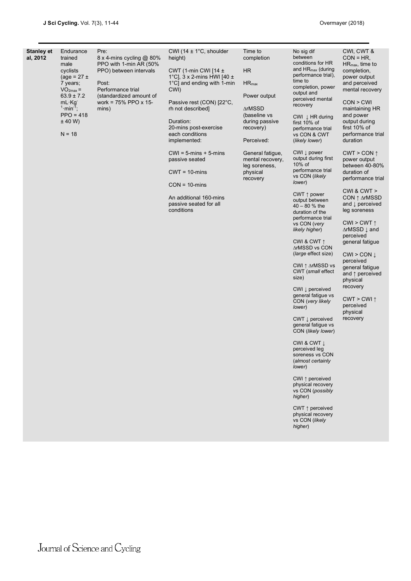| CWI (14 $\pm$ 1°C, shoulder<br>No sig dif<br>CWI, CWT &<br><b>Stanley et</b><br>Endurance<br>Pre:<br>Time to<br>between<br>al, 2012<br>$CON = HR$<br>trained<br>8 x 4-mins cycling @ 80%<br>height)<br>completion<br>conditions for HR<br>male<br>PPO with 1-min AR (50%<br>$HR_{\text{max}}$ , time to<br>and $HR_{max}$ (during<br><b>HR</b><br>cyclists<br>PPO) between intervals<br>CWT (1-min CWI [14 $\pm$<br>completion,<br>performance trial),<br>1°C], $3 \times 2$ -mins HWI [40 $\pm$<br>power output<br>$(age = 27 \pm$<br>time to<br>1°C] and ending with 1-min<br>7 years;<br>Post:<br>$HR_{max}$<br>and perceived<br>completion, power<br>Performance trial<br>CWI)<br>$VO2max =$<br>mental recovery<br>output and<br>$63.9 \pm 7.2$<br>(standardized amount of<br>Power output<br>perceived mental<br>work = $75\%$ PPO x 15-<br>CON > CWI<br>$mL \cdot Kg$<br>Passive rest (CON) [22°C,<br>recovery<br>$1 \cdot min^{-1}$ ;<br>∆rMSSD<br>rh not described]<br>maintaining HR<br>mins)<br>$PPO = 418$<br>(baseline vs<br>and power<br>CWI Į HR during<br>± 40 W<br>Duration:<br>during passive<br>output during<br>first 10% of<br>20-mins post-exercise<br>recovery)<br>first $10\%$ of<br>performance trial<br>$N = 18$<br>each conditions<br>performance trial<br>vs CON & CWT<br>duration<br>implemented:<br>Perceived:<br>(likely lower)<br>CWI $\downarrow$ power<br>$CWI = 5$ -mins + 5-mins<br>General fatigue,<br>$CWT > CON \uparrow$<br>output during first<br>passive seated<br>mental recovery,<br>power output<br>10% of<br>between 40-80%<br>leg soreness,<br>performance trial<br>duration of<br>$CWT = 10$ -mins<br>physical<br>vs CON (likely<br>performance trial<br>recovery<br>lower)<br>$CON = 10 \text{-} mins$<br>CWI & CWT ><br>CWT $\uparrow$ power<br>An additional 160-mins<br>CON ↑ ∆rMSSD<br>output between<br>passive seated for all<br>and $\downarrow$ perceived<br>$40 - 80 %$ the<br>conditions<br>leg soreness<br>duration of the<br>performance trial<br>CWI > CWT $\uparrow$<br>vs CON (very<br>∆rMSSD $\downarrow$ and<br>likely higher)<br>perceived<br>CWI & CWT $\uparrow$<br>general fatigue<br>∆rMSSD vs CON<br>(large effect size)<br>CWI > CON I<br>perceived<br>CWI ↑ ∆rMSSD vs<br>general fatigue<br>CWT (small effect<br>and $\uparrow$ perceived<br>size)<br>physical<br>recovery<br>CWI $\downarrow$ perceived<br>general fatigue vs<br>$CWT > CWI$ ↑<br>CON (very likely<br>perceived<br>lower)<br>physical<br>recovery<br>$CWT \downarrow$ perceived<br>general fatique vs<br>CON (likely lower)<br>CWI & CWT ⊥<br>perceived leg<br>soreness vs CON<br>(almost certainly<br>lower)<br>CWI $\uparrow$ perceived<br>physical recovery<br>vs CON (possibly<br>higher)<br>CWT $\uparrow$ perceived<br>physical recovery<br>vs CON (likely<br>higher) |  |  |  |  |
|-----------------------------------------------------------------------------------------------------------------------------------------------------------------------------------------------------------------------------------------------------------------------------------------------------------------------------------------------------------------------------------------------------------------------------------------------------------------------------------------------------------------------------------------------------------------------------------------------------------------------------------------------------------------------------------------------------------------------------------------------------------------------------------------------------------------------------------------------------------------------------------------------------------------------------------------------------------------------------------------------------------------------------------------------------------------------------------------------------------------------------------------------------------------------------------------------------------------------------------------------------------------------------------------------------------------------------------------------------------------------------------------------------------------------------------------------------------------------------------------------------------------------------------------------------------------------------------------------------------------------------------------------------------------------------------------------------------------------------------------------------------------------------------------------------------------------------------------------------------------------------------------------------------------------------------------------------------------------------------------------------------------------------------------------------------------------------------------------------------------------------------------------------------------------------------------------------------------------------------------------------------------------------------------------------------------------------------------------------------------------------------------------------------------------------------------------------------------------------------------------------------------------------------------------------------------------------------------------------------------------------------------------------------------------------------------------------------------------------------------------------------------------------------------------------------------------|--|--|--|--|
|                                                                                                                                                                                                                                                                                                                                                                                                                                                                                                                                                                                                                                                                                                                                                                                                                                                                                                                                                                                                                                                                                                                                                                                                                                                                                                                                                                                                                                                                                                                                                                                                                                                                                                                                                                                                                                                                                                                                                                                                                                                                                                                                                                                                                                                                                                                                                                                                                                                                                                                                                                                                                                                                                                                                                                                                                       |  |  |  |  |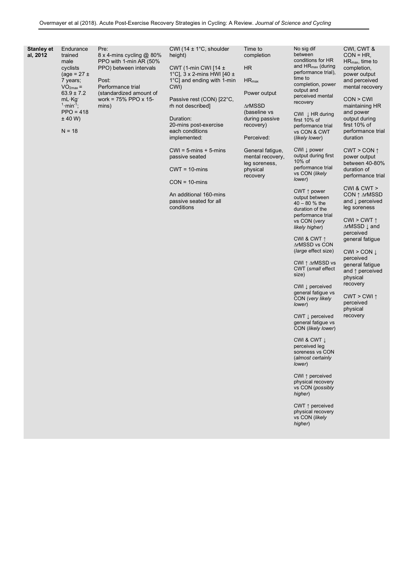| Stanley et<br>al, 2012 | Endurance<br>trained<br>male<br>cyclists<br>$(\text{age} = 27 \pm$<br>7 years;<br>$VO2max =$<br>$63.9 \pm 7.2$<br>mL·Kg<br>$1 \cdot min^{-1}$ ;<br>$PPO = 418$<br>± 40 W<br>$N = 18$ | Pre:<br>8 x 4-mins cycling @ 80%<br>PPO with 1-min AR (50%<br>PPO) between intervals<br>Post:<br>Performance trial<br>(standardized amount of<br>work = $75\%$ PPO x 15-<br>mins) | CWI (14 $\pm$ 1°C, shoulder<br>height)<br>CWT (1-min CWI [14 $\pm$<br>1°C], $3 \times 2$ -mins HWI [40 $\pm$<br>1°C] and ending with 1-min<br>CWI)<br>Passive rest (CON) [22°C,<br>rh not described]<br>Duration:<br>20-mins post-exercise<br>each conditions<br>implemented:<br>$CWI = 5$ -mins + 5-mins<br>passive seated<br>$CWT = 10$ -mins<br>$CON = 10 \text{-} mins$<br>An additional 160-mins<br>passive seated for all<br>conditions | Time to<br>completion<br>HR.<br>$HR_{max}$<br>Power output<br>∆rMSSD<br>(baseline vs<br>during passive<br>recovery)<br>Perceived:<br>General fatigue,<br>mental recovery,<br>leg soreness,<br>physical<br>recovery | No sig dif<br>between<br>conditions for HR<br>and $HR_{max}$ (during<br>performance trial),<br>time to<br>completion, power<br>output and<br>perceived mental<br>recovery<br>CWI $\downarrow$ HR during<br>first 10% of<br>performance trial<br>vs CON & CWT<br>(likely lower)<br>$CWI \downarrow power$<br>output during first<br>$10\%$ of<br>performance trial<br>vs CON (likely<br>lower)<br>CWT $\uparrow$ power<br>output between<br>$40 - 80$ % the<br>duration of the<br>performance trial<br>vs CON (very<br>likely higher)<br>CWI & CWT $\uparrow$<br>∆rMSSD vs CON<br>(large effect size)<br>CWI ↑ ∆rMSSD vs<br>CWT (small effect<br>size)<br>CWI $\downarrow$ perceived<br>general fatigue vs<br>CON (very likely<br>lower)<br>CWT I perceived<br>general fatigue vs<br>CON (likely lower)<br>CWI & CWT J<br>perceived leg<br>soreness vs CON<br>(almost certainly<br>lower)<br>CWI $\uparrow$ perceived<br>physical recovery<br>vs CON (possibly<br>higher)<br>CWT $\uparrow$ perceived<br>physical recovery<br>vs CON (likely<br>higher) | CWI, CWT &<br>$CON = HR$<br>$HR_{max}$ , time to<br>completion,<br>power output<br>and perceived<br>mental recovery<br>CON > CWI<br>maintaining HR<br>and power<br>output during<br>first 10% of<br>performance trial<br>duration<br>$CWT > CON \uparrow$<br>power output<br>between 40-80%<br>duration of<br>performance trial<br>$CWI$ & $CWT >$<br>$CON ^{\uparrow} \triangle rMSSD$<br>and $\downarrow$ perceived<br>leg soreness<br>CWI > CWT $\uparrow$<br>∆rMSSD $\downarrow$ and<br>perceived<br>general fatique<br>CWI > CON I<br>perceived<br>general fatigue<br>and $\uparrow$ perceived<br>physical<br>recovery<br>$CWT > CWI$ ↑<br>perceived<br>physical<br>recovery |
|------------------------|--------------------------------------------------------------------------------------------------------------------------------------------------------------------------------------|-----------------------------------------------------------------------------------------------------------------------------------------------------------------------------------|-----------------------------------------------------------------------------------------------------------------------------------------------------------------------------------------------------------------------------------------------------------------------------------------------------------------------------------------------------------------------------------------------------------------------------------------------|--------------------------------------------------------------------------------------------------------------------------------------------------------------------------------------------------------------------|--------------------------------------------------------------------------------------------------------------------------------------------------------------------------------------------------------------------------------------------------------------------------------------------------------------------------------------------------------------------------------------------------------------------------------------------------------------------------------------------------------------------------------------------------------------------------------------------------------------------------------------------------------------------------------------------------------------------------------------------------------------------------------------------------------------------------------------------------------------------------------------------------------------------------------------------------------------------------------------------------------------------------------------------------------|-----------------------------------------------------------------------------------------------------------------------------------------------------------------------------------------------------------------------------------------------------------------------------------------------------------------------------------------------------------------------------------------------------------------------------------------------------------------------------------------------------------------------------------------------------------------------------------------------------------------------------------------------------------------------------------|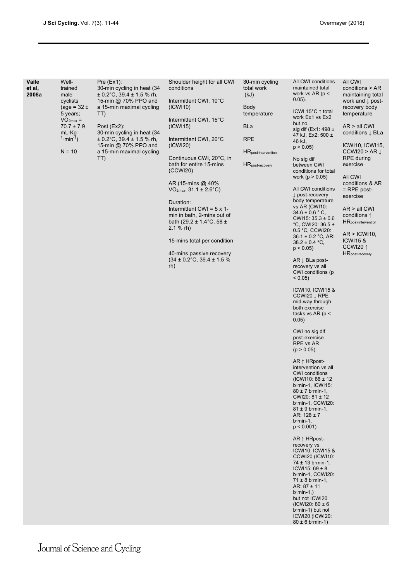| Vaile<br>et al,<br>2008a | Well-<br>trained<br>male<br>cyclists<br>(age = $32 \pm$<br>5 years;<br>$VO2max =$<br>$70.7 \pm 7.9$<br>$mL \cdot Kg$<br>$1 \cdot min^{-1}$ )<br>$N = 10$ | Pre (Ex1):<br>30-min cycling in heat (34<br>$\pm$ 0.2°C, 39.4 $\pm$ 1.5 % rh,<br>15-min @ 70% PPO and<br>a 15-min maximal cycling<br>TT)<br>Post $(EX2)$ :<br>30-min cycling in heat (34<br>$\pm$ 0.2°C, 39.4 $\pm$ 1.5 % rh,<br>15-min @ 70% PPO and<br>a 15-min maximal cycling<br>TT) | Shoulder height for all CWI<br>conditions<br>Intermittent CWI, 10°C<br>(ICW110)<br>Intermittent CWI, 15°C<br>(ICW115)<br>Intermittent CWI, 20°C<br>(ICWI20)<br>Continuous CWI, 20°C, in<br>bath for entire 15-mins<br>(CCWI20)<br>AR (15-mins @ 40%)<br>$VO2max, 31.1 \pm 2.6°C)$<br>Duration:<br>Intermittent CWI = $5 \times 1$ -<br>min in bath, 2-mins out of<br>bath (29.2 ± 1.4 $°C$ , 58 ±<br>$2.1 %$ rh)<br>15-mins total per condition<br>40-mins passive recovery<br>$(34 \pm 0.2^{\circ}\text{C}, 39.4 \pm 1.5\%$<br>rh) | 30-min cycling<br>total work<br>(kJ)<br><b>Body</b><br>temperature<br>BLa<br><b>RPE</b><br><b>HR</b> post-intervention<br>HR <sub>post-recovery</sub> | All CWI conditions<br>maintained total<br>work vs $AR$ (p <<br>$0.05$ ).<br>ICWI 15°C↑ total<br>work Ex1 vs Ex2<br>but no<br>sig dif (Ex1: 498 $\pm$<br>47 kJ, Ex2: 500 ±<br>46 kJ,<br>p > 0.05<br>No sig dif<br>between CWI<br>conditions for total<br>work ( $p > 0.05$ )<br>All CWI conditions<br>$\downarrow$ post-recovery<br>body temperature<br>vs AR (CWI10:<br>$34.6 \pm 0.6$ ° C,<br>CWI15: $35.3 \pm 0.6$<br>°C, CWI20: 36.5 ±<br>0.5 °C, CCWI20:<br>$36.1 \pm 0.2$ °C, AR:<br>$38.2 \pm 0.4$ °C,<br>$p < 0.05$ )<br>$AR \perp BLa$ post-<br>recovery vs all<br>CWI conditions (p)<br>$< 0.05$ )<br>ICWI10, ICWI15 &<br>CCWI20 J RPE<br>mid-way through<br>both exercise<br>tasks vs AR ( $p$ <<br>0.05)<br>CWI no sig dif<br>post-exercise<br>RPE vs AR<br>(p > 0.05)<br>$AR \uparrow HRpost-$<br>intervention vs all<br><b>CWI</b> conditions<br>(ICWI10: 86 ± 12<br>b.min-1, ICWI15:<br>$80 \pm 7$ b min-1,<br>CWI20: 81 ± 12<br>b min-1, CCWI20:<br>$81 \pm 9$ b min-1,<br>AR: $128 \pm 7$<br>$b$ ·min-1,<br>$p < 0.001$ )<br>$AR \uparrow HRpost-$<br>recovery vs<br>ICWI10, ICWI15 &<br>CCWI20 (ICWI10:<br>$74 \pm 13$ b min-1,<br>$ICW115: 69 \pm 8$<br>b min-1, CCWI20:<br>$71 \pm 8$ b min-1,<br>AR: $87 \pm 11$<br>$b \cdot min-1$ .)<br>but not ICWI20<br>(ICWI20: $80 \pm 6$ )<br>$b$ ·min-1) but not<br>ICWI20 (ICWI20:<br>$80 \pm 6$ b min-1) | All CWI<br>conditions > AR<br>maintaining total<br>work and $\downarrow$ post-<br>recovery body<br>temperature<br>$AR > all$ CWI<br>conditions $\downarrow$ BLa<br>ICWI10, ICWI15,<br>CCWI20 > AR $\downarrow$<br>RPE during<br>exercise<br>All CWI<br>conditions & AR<br>$=$ RPE post-<br>exercise<br>$AR > all$ CWI<br>conditions $\uparrow$<br><b>HR</b> post-intervention<br>AR >  CW110 <br><b>ICWI15 &amp;</b><br>CCWI20 1<br>HR <sub>post-recovery</sub> |
|--------------------------|----------------------------------------------------------------------------------------------------------------------------------------------------------|------------------------------------------------------------------------------------------------------------------------------------------------------------------------------------------------------------------------------------------------------------------------------------------|-------------------------------------------------------------------------------------------------------------------------------------------------------------------------------------------------------------------------------------------------------------------------------------------------------------------------------------------------------------------------------------------------------------------------------------------------------------------------------------------------------------------------------------|-------------------------------------------------------------------------------------------------------------------------------------------------------|------------------------------------------------------------------------------------------------------------------------------------------------------------------------------------------------------------------------------------------------------------------------------------------------------------------------------------------------------------------------------------------------------------------------------------------------------------------------------------------------------------------------------------------------------------------------------------------------------------------------------------------------------------------------------------------------------------------------------------------------------------------------------------------------------------------------------------------------------------------------------------------------------------------------------------------------------------------------------------------------------------------------------------------------------------------------------------------------------------------------------------------------------------------------------------------------------------------------------------------------------------------------------------------------------------------------------------------------------------------------|-----------------------------------------------------------------------------------------------------------------------------------------------------------------------------------------------------------------------------------------------------------------------------------------------------------------------------------------------------------------------------------------------------------------------------------------------------------------|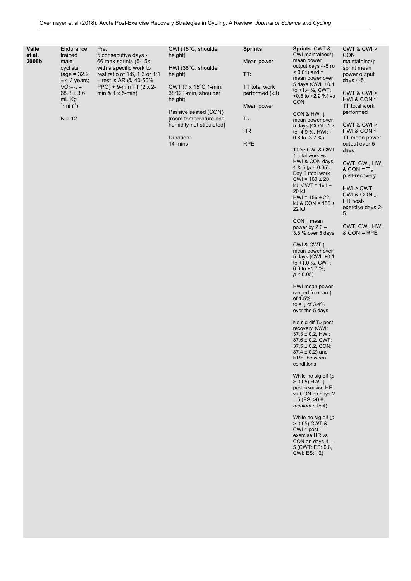| Vaile<br>Sprints: CWT &<br>CWI (15°C, shoulder<br><b>Sprints:</b><br>Endurance<br>Pre:<br>CWI maintained/1<br>et al.<br>trained<br>5 consecutive days -<br>height) | CWT 8 CW ><br><b>CON</b>   |
|--------------------------------------------------------------------------------------------------------------------------------------------------------------------|----------------------------|
| mean power<br>2008b<br>66 max sprints (5-15s)<br>Mean power<br>male                                                                                                | maintaining/1              |
| output days 4-5 ( $p$<br>with a specific work to<br>HWI (38°C, shoulder<br>cyclists<br>$< 0.01$ ) and $\uparrow$                                                   | sprint mean                |
| TT:<br>$(aq e = 32.2)$<br>rest ratio of 1.6, 1.3 or 1.1<br>height)<br>mean power over<br>$±$ 4.3 years;<br>$-$ rest is AR @ 40-50%                                 | power output<br>days $4-5$ |
| 5 days (CWI: +0.1<br>CWT (7 x 15°C 1-min;<br>$PPO$ ) + 9-min TT (2 x 2-<br>TT total work<br>$VO2max =$                                                             |                            |
| to $+1.4$ %, CWT:<br>$68.8 \pm 3.6$<br>$min 8.1 \times 5$ -min)<br>38°C 1-min, shoulder<br>performed (kJ)<br>$+0.5$ to $+2.2$ %) vs                                | CWT 8 CW >                 |
| $mL \cdot Kq$<br>height)<br><b>CON</b>                                                                                                                             | HWI & CON 1                |
| $1·min-1$ )<br>Mean power<br>Passive seated (CON)                                                                                                                  | TT total work<br>performed |
| CON & HWI I<br>$N = 12$<br>$T_{\text{re}}$<br>froom temperature and                                                                                                |                            |
| mean power over<br>humidity not stipulated]<br>5 days (CON: -1.7                                                                                                   | CWT 8 CW >                 |
| <b>HR</b><br>to $-4.9$ %, HWI: $-$                                                                                                                                 | HWI & CON $\uparrow$       |
| Duration:<br>$0.6$ to $-3.7$ %)                                                                                                                                    | TT mean power              |
| <b>RPE</b><br>14-mins                                                                                                                                              | output over 5              |
| <b>TT's: CWI &amp; CWT</b><br>↑ total work vs                                                                                                                      | days                       |

### CWT, CWI, HWI  $&$  CON =  $T_{re}$ post-recovery

HWI > CWT, CWI & CON ↓ HR postexercise days 2- 5

CWT, CWI, HWI  $&$  CON = RPE

CON ↓ mean power by 2.6 – 3.8 % over 5 days

22 kJ

HWI & CON days 4 & 5 ( $p < 0.05$ ). Day 5 total work  $CWI = 160 \pm 20$ kJ, CWT =  $161 \pm$ 20 kJ,  $HWI = 156 \pm 22$ kJ & CON =  $155 \pm$ 

CWI & CWT ↑ mean power over 5 days (CWI: +0.1 to +1.0 %, CWT: 0.0 to +1.7 %,  $p < 0.05$ 

HWI mean power ranged from an ↑ of 1.5% to a  $\downarrow$  of 3.4% over the 5 days

No sig dif T<sub>re</sub> postrecovery (CWI: 37.3 ± 0.2, HWI: 37.6 ± 0.2, CWT: 37.5 ± 0.2, CON: 37.4 ± 0.2) and RPE between conditions

While no sig dif (*p*  > 0.05) HWI ↓ post-exercise HR vs CON on days 2  $-5$  (ES:  $>0.6$ , *medium* effect)

While no sig dif (*p*  > 0.05) CWT & CWI ↑ postexercise HR vs CON on days 4 – 5 (CWT: ES: 0.6, CWI: ES:1.2)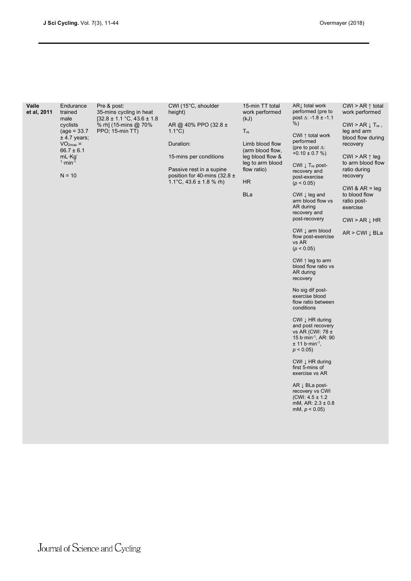| Vaile<br>et al, 2011 | Endurance<br>trained<br>male<br>cyclists<br>$(age = 33.7)$<br>$±$ 4.7 years;<br>$VO2max =$<br>$66.7 \pm 6.1$<br>$mL \cdot Kg$<br>$1 \cdot min^{-1}$<br>$N = 10$ | Pre & post:<br>35-mins cycling in heat<br>$[32.8 \pm 1.1 \degree C, 43.6 \pm 1.8$<br>% rh] (15-mins @ 70%<br>PPO; 15-min TT) | CWI (15°C, shoulder<br>height)<br>AR @ 40% PPO (32.8 ±<br>$1.1^{\circ}$ C)<br>Duration:<br>15-mins per conditions<br>Passive rest in a supine<br>position for 40-mins (32.8 $\pm$<br>1.1 °C, $43.6 \pm 1.8$ % rh) | 15-min TT total<br>work performed<br>(kJ)<br>$T_{\rm re}$<br>Limb blood flow<br>(arm blood flow,<br>leg blood flow &<br>leg to arm blood<br>flow ratio)<br><b>HR</b><br><b>BLa</b> | AR⊥ total work<br>performed (pre to<br>post $\Delta$ : -1.8 ± -1.1<br>%)<br>CWI $\uparrow$ total work<br>performed<br>(pre to post $\Delta$ :<br>$+0.10 \pm 0.7 \%$<br>$CWI \downarrow T_{re}$ post-<br>recovery and<br>post-exercise<br>(p < 0.05)<br>$CWI$ $\downarrow$ leg and<br>arm blood flow vs<br>AR during<br>recovery and<br>post-recovery<br>CWI $\downarrow$ arm blood<br>flow post-exercise<br>vs AR<br>(p < 0.05)<br>CWI $\uparrow$ leg to arm<br>blood flow ratio vs<br>AR during<br>recovery<br>No sig dif post-<br>exercise blood<br>flow ratio between<br>conditions<br>CWI $\downarrow$ HR during<br>and post recovery<br>vs AR (CWI: 78 ±<br>15 b min <sup>-1</sup> , AR: 90<br>$\pm$ 11 b min <sup>-1</sup> ,<br>$p < 0.05$ )<br>CWI $\downarrow$ HR during<br>first 5-mins of<br>exercise vs AR<br>$AR \downarrow BLa$ post-<br>recovery vs CWI<br>(CWI: $4.5 \pm 1.2$ )<br>mM, AR: $2.3 \pm 0.8$<br>mM, $p < 0.05$ ) | CWI > AR $\uparrow$ total<br>work performed<br>$CWI > AR \downarrow T_{re}$ ,<br>leg and arm<br>blood flow during<br>recovery<br>CWI > AR $\uparrow$ leg<br>to arm blood flow<br>ratio during<br>recovery<br>CWI & $AR = leg$<br>to blood flow<br>ratio post-<br>exercise<br>$CWI > AR \downarrow HR$<br>AR > CWI ↓ BLa |
|----------------------|-----------------------------------------------------------------------------------------------------------------------------------------------------------------|------------------------------------------------------------------------------------------------------------------------------|-------------------------------------------------------------------------------------------------------------------------------------------------------------------------------------------------------------------|------------------------------------------------------------------------------------------------------------------------------------------------------------------------------------|---------------------------------------------------------------------------------------------------------------------------------------------------------------------------------------------------------------------------------------------------------------------------------------------------------------------------------------------------------------------------------------------------------------------------------------------------------------------------------------------------------------------------------------------------------------------------------------------------------------------------------------------------------------------------------------------------------------------------------------------------------------------------------------------------------------------------------------------------------------------------------------------------------------------------------------------|-------------------------------------------------------------------------------------------------------------------------------------------------------------------------------------------------------------------------------------------------------------------------------------------------------------------------|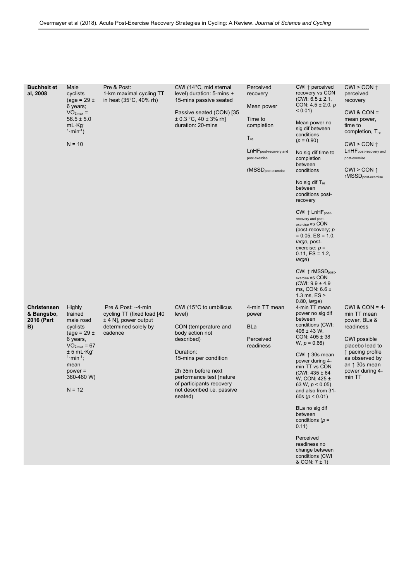| <b>Buchheit et</b><br>al, 2008                       | Male<br>cyclists<br>(age = $29 \pm$<br>6 years;<br>$VO2max$ =<br>$56.5 \pm 5.0$<br>$mL$ · Kg<br>$1 \cdot min^{-1}$<br>$N = 10$                                                            | Pre & Post:<br>1-km maximal cycling TT<br>in heat $(35^{\circ}C, 40\%$ rh)                                       | CWI (14°C, mid sternal<br>level) duration: 5-mins +<br>15-mins passive seated<br>Passive seated (CON) [35<br>$\pm$ 0.3 °C, 40 $\pm$ 3% rh]<br>duration: 20-mins                                                                                                   | Perceived<br>recovery<br>Mean power<br>Time to<br>completion<br>$T_{\text{re}}$<br>LnHFpost-recovery and<br>post-exercise<br>rMSSD <sub>post-exercise</sub> | CWI ↑ perceived<br>recovery vs CON<br>$(CWI: 6.5 \pm 2.1,$<br>CON: $4.5 \pm 2.0$ , p<br>$< 0.01$ )<br>Mean power no<br>sig dif between<br>conditions<br>$(p = 0.90)$<br>No sig dif time to<br>completion<br>between<br>conditions<br>No sig dif $T_{\text{re}}$<br>between<br>conditions post-<br>recovery<br>CWI $\uparrow$ LnHF <sub>post-</sub><br>recovery and post-<br>exercise VS CON<br>(post-recovery; $p$<br>$= 0.05, ES = 1.0,$<br>large, post-<br>exercise; $p =$<br>$0.11, ES = 1.2,$<br>large)<br>CWI $\uparrow$ rMSSD <sub>post-</sub><br>exercise VS CON<br>$(CWI: 9.9 \pm 4.9$<br>ms, CON: $6.6 \pm$<br>1.3 ms, $ES >$ | $CWI > CON \uparrow$<br>perceived<br>recovery<br>$CWI & CON =$<br>mean power,<br>time to<br>completion, T <sub>re</sub><br>CWI > CON $\uparrow$<br>LnHF post-recovery and<br>post-exercise<br>CWI > CON $\uparrow$<br>rMSSD <sub>post-exercise</sub> |
|------------------------------------------------------|-------------------------------------------------------------------------------------------------------------------------------------------------------------------------------------------|------------------------------------------------------------------------------------------------------------------|-------------------------------------------------------------------------------------------------------------------------------------------------------------------------------------------------------------------------------------------------------------------|-------------------------------------------------------------------------------------------------------------------------------------------------------------|----------------------------------------------------------------------------------------------------------------------------------------------------------------------------------------------------------------------------------------------------------------------------------------------------------------------------------------------------------------------------------------------------------------------------------------------------------------------------------------------------------------------------------------------------------------------------------------------------------------------------------------|------------------------------------------------------------------------------------------------------------------------------------------------------------------------------------------------------------------------------------------------------|
| <b>Christensen</b><br>& Bangsbo,<br>2016 (Part<br>B) | <b>Highly</b><br>trained<br>male road<br>cyclists<br>(age = $29 \pm$<br>6 years,<br>$VO2max = 67$<br>$± 5 mL·Kq^-$<br>$1 \cdot min^{-1}$ ;<br>mean<br>$power =$<br>360-460 W)<br>$N = 12$ | Pre & Post: $-4$ -min<br>cycling TT (fixed load [40<br>$±$ 4 N], power output<br>determined solely by<br>cadence | CWI ( $15^{\circ}$ C to umbilicus<br>level)<br>CON (temperature and<br>body action not<br>described)<br>Duration:<br>15-mins per condition<br>2h 35m before next<br>performance test (nature<br>of participants recovery<br>not described i.e. passive<br>seated) | 4-min TT mean<br>power<br><b>BLa</b><br>Perceived<br>readiness                                                                                              | $0.80$ , <i>large</i> )<br>4-min TT mean<br>power no sig dif<br>between<br>conditions (CWI:<br>$406 \pm 43$ W,<br>$CON: 405 \pm 38$<br>$W, p = 0.66$<br>CWI $\uparrow$ 30s mean<br>power during 4-<br>min TT vs CON<br>$(CWI: 435 \pm 64$<br>W, CON: $425 \pm$<br>63 W, $p < 0.05$ )<br>and also from 31-<br>60s ( $p < 0.01$ )<br>BLa no sig dif<br>between<br>conditions ( $p =$<br>0.11)<br>Perceived<br>readiness no<br>change between<br>conditions (CWI                                                                                                                                                                          | CWI & CON = $4$ -<br>min TT mean<br>power, BLa &<br>readiness<br><b>CWI</b> possible<br>placebo lead to<br>↑ pacing profile<br>as observed by<br>an $\uparrow$ 30s mean<br>power during 4-<br>min TT                                                 |

& CON: 7 ± 1)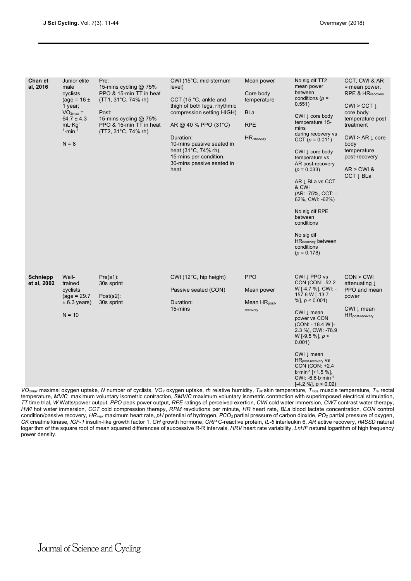| Chan et<br>al, 2016            | Junior elite<br>male<br>cyclists<br>(age = $16 \pm$<br>1 year;<br>$VO2max =$<br>$64.7 \pm 4.3$<br>$mL$ Kg<br>$1 \cdot min^{-1}$<br>$N = 8$ | Pre:<br>15-mins cycling @ 75%<br>PPO & 15-min TT in heat<br>$(TT1, 31^{\circ}C, 74\%$ rh)<br>Post:<br>15-mins cycling @ 75%<br>PPO & 15-min TT in heat<br>(TT2, 31°C, 74% rh) | CWI (15°C, mid-sternum<br>level)<br>CCT (15 °C, ankle and<br>thigh of both legs, rhythmic<br>compression setting HIGH)<br>AR @ 40 % PPO $(31^{\circ}C)$<br>Duration:<br>10-mins passive seated in<br>heat (31°C, 74% rh),<br>15-mins per condition,<br>30-mins passive seated in<br>heat            | Mean power<br>Core body<br>temperature<br><b>BLa</b><br><b>RPE</b><br><b>HR</b> recovery | No sig dif TT2<br>mean power<br>between<br>conditions ( $p =$<br>0.551)<br>CWI $\downarrow$ core body<br>temperature 15-<br>mins<br>during recovery vs<br>CCT $(p = 0.011)$<br>CWI $\downarrow$ core body<br>temperature vs<br>AR post-recovery<br>$(p = 0.033)$<br>AR $\downarrow$ BLa vs CCT<br>& CWI<br>(AR: -75%, CCT: -<br>62%, CWI: -62%)<br>No sig dif RPE<br>between<br>conditions<br>No sig dif<br><b>HR</b> recovery between<br>conditions<br>$(p = 0.178)$ | CCT, CWI & AR<br>= mean power,<br>$RPE & HR_{recovery}$<br>CWI > CCT $\downarrow$<br>core body<br>temperature post<br>treatment<br>$CWI > AR \downarrow core$<br>body<br>temperature<br>post-recovery<br>$AR > CW$ &<br>CCT $\downarrow$ BLa |
|--------------------------------|--------------------------------------------------------------------------------------------------------------------------------------------|-------------------------------------------------------------------------------------------------------------------------------------------------------------------------------|-----------------------------------------------------------------------------------------------------------------------------------------------------------------------------------------------------------------------------------------------------------------------------------------------------|------------------------------------------------------------------------------------------|-----------------------------------------------------------------------------------------------------------------------------------------------------------------------------------------------------------------------------------------------------------------------------------------------------------------------------------------------------------------------------------------------------------------------------------------------------------------------|----------------------------------------------------------------------------------------------------------------------------------------------------------------------------------------------------------------------------------------------|
| <b>Schniepp</b><br>et al, 2002 | Well-<br>trained<br>cyclists<br>$(age = 29.7)$<br>$± 6.3$ years)<br>$N = 10$                                                               | Pre(s1):<br>30s sprint<br>Post $(s2)$ :<br>30s sprint                                                                                                                         | CWI (12°C, hip height)<br>Passive seated (CON)<br>Duration:<br>15-mins<br>VO <sub>2max</sub> maximal oxygen uptake, N number of cyclists, VO <sub>2</sub> oxygen uptake, <i>rh</i> relative humidity, T <sub>sk</sub> skin temperature, T <sub>mus</sub> muscle temperature, T <sub>re</sub> rectal | <b>PPO</b><br>Mean power<br>Mean $HR_{post}$<br>recovery                                 | CWI I PPO vs<br>CON (CON: -52.2)<br>W [-4.7 %], CWI: -<br>157.6 W [-13.7<br>%], $p < 0.001$ )<br>CWI ↓ mean<br>power vs CON<br>(CON: - 18.4 W [-<br>2.3 %], CWI: -76.9<br>W [-9.5 %], $p <$<br>0.001)<br>CWI ⊥ mean<br>HR <sub>post-recovery</sub> vs<br>CON (CON: +2.4<br>$b \cdot min^{-1}$ [+1.5 %],<br>CWI: -6.8 b $\cdot$ min $^{-1}$<br>$[-4.2\%]$ , $p < 0.02$ )                                                                                               | CON > CWI<br>attenuating $\downarrow$<br>PPO and mean<br>power<br>CWI $\downarrow$ mean<br>HR <sub>post-recovery</sub>                                                                                                                       |

temperature, *MVIC* maximum voluntary isometric contraction, *SMVIC* maximum voluntary isometric contraction with superimposed electrical stimulation, *TT* time trial, *W* Watts/power output, *PPO* peak power output, *RPE* ratings of perceived exertion, *CWI* cold water immersion, *CWT* contrast water therapy, *HWI* hot water immersion, *CCT* cold compression therapy, *RPM* revolutions per minute, *HR* heart rate, *BLa* blood lactate concentration, *CON* control condition/passive recovery, *HRmax* maximum heart rate, *pH* potential of hydrogen, *PCO2* partial pressure of carbon dioxide, *PO2* partial pressure of oxygen, *CK* creatine kinase, *IGF-1* insulin-like growth factor 1, *GH* growth hormone, *CRP* C-reactive protein, *IL-6* interleukin 6, *AR* active recovery, *rMSSD* natural logarithm of the square root of mean squared differences of successive R-R intervals, *HRV* heart rate variability, *LnHF* natural logarithm of high frequency power density.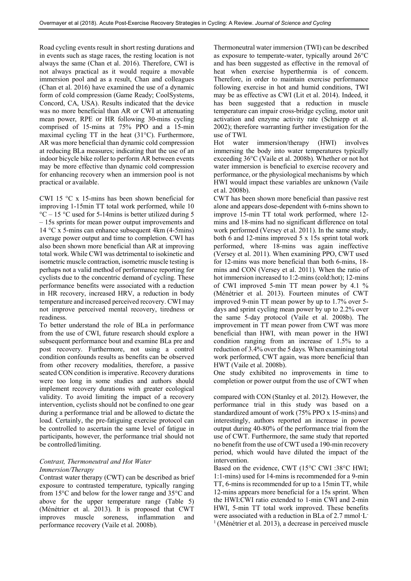Road cycling events result in short resting durations and in events such as stage races, the resting location is not always the same (Chan et al. 2016). Therefore, CWI is not always practical as it would require a movable immersion pool and as a result, Chan and colleagues (Chan et al. 2016) have examined the use of a dynamic form of cold compression (Game Ready; CoolSystems, Concord, CA, USA). Results indicated that the device was no more beneficial than AR or CWI at attenuating mean power, RPE or HR following 30-mins cycling comprised of 15-mins at 75% PPO and a 15-min maximal cycling TT in the heat (31°C). Furthermore, AR was more beneficial than dynamic cold compression at reducing BLa measures; indicating that the use of an indoor bicycle bike roller to perform AR between events may be more effective than dynamic cold compression for enhancing recovery when an immersion pool is not practical or available.

CWI 15 °C x 15-mins has been shown beneficial for improving 1-15min TT total work performed, while 10  $^{\circ}$ C – 15  $^{\circ}$ C used for 5-14mins is better utilized during 5 – 15s sprints for mean power output improvements and 14 °C x 5-mins can enhance subsequent 4km (4-5mins) average power output and time to completion. CWI has also been shown more beneficial than AR at improving total work. While CWI was detrimental to isokinetic and isometric muscle contraction, isometric muscle testing is perhaps not a valid method of performance reporting for cyclists due to the concentric demand of cycling. These performance benefits were associated with a reduction in HR recovery, increased HRV, a reduction in body temperature andincreased perceived recovery. CWI may not improve perceived mental recovery, tiredness or readiness.

To better understand the role of BLa in performance from the use of CWI, future research should explore a subsequent performance bout and examine BLa pre and post recovery. Furthermore, not using a control condition confounds results as benefits can be observed from other recovery modalities, therefore, a passive seated CON condition is imperative. Recovery durations were too long in some studies and authors should implement recovery durations with greater ecological validity. To avoid limiting the impact of a recovery intervention, cyclists should not be confined to one gear during a performance trial and be allowed to dictate the load. Certainly, the pre-fatiguing exercise protocol can be controlled to ascertain the same level of fatigue in participants, however, the performance trial should not be controlled/limiting.

## *Contrast, Thermoneutral and Hot Water Immersion/Therapy*

Contrast water therapy (CWT) can be described as brief exposure to contrasted temperature, typically ranging from 15°C and below for the lower range and 35°C and above for the upper temperature range (Table 5) (Ménétrier et al. 2013). It is proposed that CWT improves muscle soreness, inflammation and performance recovery (Vaile et al. 2008b).

Thermoneutral water immersion (TWI) can be described as exposure to temperate-water, typically around 26°C and has been suggested as effective in the removal of heat when exercise hyperthermia is of concern. Therefore, in order to maintain exercise performance following exercise in hot and humid conditions, TWI may be as effective as CWI (Lit et al. 2014). Indeed, it has been suggested that a reduction in muscle temperature can impair cross-bridge cycling, motor unit activation and enzyme activity rate (Schniepp et al. 2002); therefore warranting further investigation for the use of TWI.

Hot water immersion/therapy (HWI) involves immersing the body into water temperatures typically exceeding 36°C (Vaile et al. 2008b). Whether or not hot water immersion is beneficial to exercise recovery and performance, or the physiological mechanisms by which HWI would impact these variables are unknown (Vaile et al. 2008b).

CWT has been shown more beneficial than passive rest alone and appears dose-dependent with 6-mins shown to improve 15-min TT total work performed, where 12 mins and 18-mins had no significant difference on total work performed (Versey et al. 2011). In the same study, both 6 and 12-mins improved 5 x 15s sprint total work performed, where 18-mins was again ineffective (Versey et al. 2011). When examining PPO, CWT used for 12-mins was more beneficial than both 6-mins, 18 mins and CON (Versey et al. 2011). When the ratio of hot immersion increased to 1:2-mins (cold:hot); 12-mins of CWI improved 5-min TT mean power by 4.1 % (Ménétrier et al. 2013). Fourteen minutes of CWT improved 9-min TT mean power by up to 1.7% over 5 days and sprint cycling mean power by up to 2.2% over the same 5-day protocol (Vaile et al. 2008b). The improvement in TT mean power from CWT was more beneficial than HWI, with mean power in the HWI condition ranging from an increase of 1.5% to a reduction of 3.4% over the 5 days. When examining total work performed, CWT again, was more beneficial than HWT (Vaile et al. 2008b).

One study exhibited no improvements in time to completion or power output from the use of CWT when

compared with CON (Stanley et al. 2012). However, the performance trial in this study was based on a standardized amount of work (75% PPO x 15-mins) and interestingly, authors reported an increase in power output during 40-80% of the performance trial from the use of CWT. Furthermore, the same study that reported no benefit from the use of CWT used a 190-min recovery period, which would have diluted the impact of the intervention.

Based on the evidence, CWT (15°C CWI :38°C HWI; 1:1-mins) used for 14-mins is recommended for a 9-min TT, 6-mins is recommended for up to a 15min TT, while 12-mins appears more beneficial for a 15s sprint. When the HWI:CWI ratio extended to 1-min CWI and 2-min HWI, 5-min TT total work improved. These benefits were associated with a reduction in BLa of 2.7 mmol·L- $<sup>1</sup>$  (Ménétrier et al. 2013), a decrease in perceived muscle</sup>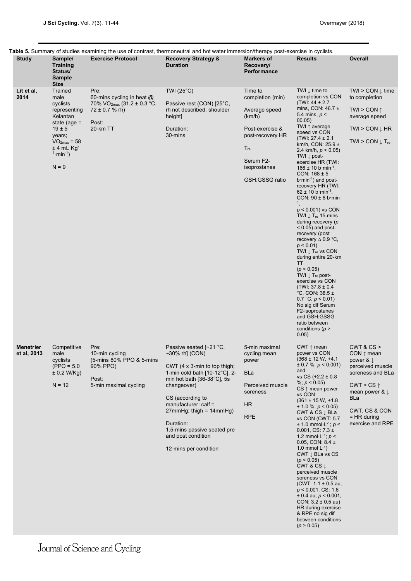| <b>Study</b>                    | Sample/                                                                                                                                                            | <b>Exercise Protocol</b>                                                                                                 | Table 5. Summary of studies examining the use of contrast, thermoneutral and hot water immersion/therapy post-exercise in cyclists.<br><b>Recovery Strategy &amp;</b>                                                                                                                                                                       | <b>Markers of</b>                                                                                                                                               | <b>Results</b>                                                                                                                                                                                                                                                                                                                                                                                                                                                                                                                                                                                                                                                                                                                                                                                                                                                                                                                                                     | Overall                                                                                                                                                                                        |
|---------------------------------|--------------------------------------------------------------------------------------------------------------------------------------------------------------------|--------------------------------------------------------------------------------------------------------------------------|---------------------------------------------------------------------------------------------------------------------------------------------------------------------------------------------------------------------------------------------------------------------------------------------------------------------------------------------|-----------------------------------------------------------------------------------------------------------------------------------------------------------------|--------------------------------------------------------------------------------------------------------------------------------------------------------------------------------------------------------------------------------------------------------------------------------------------------------------------------------------------------------------------------------------------------------------------------------------------------------------------------------------------------------------------------------------------------------------------------------------------------------------------------------------------------------------------------------------------------------------------------------------------------------------------------------------------------------------------------------------------------------------------------------------------------------------------------------------------------------------------|------------------------------------------------------------------------------------------------------------------------------------------------------------------------------------------------|
|                                 | <b>Training</b><br>Status/<br><b>Sample</b><br><b>Size</b>                                                                                                         |                                                                                                                          | <b>Duration</b>                                                                                                                                                                                                                                                                                                                             | Recovery/<br><b>Performance</b>                                                                                                                                 |                                                                                                                                                                                                                                                                                                                                                                                                                                                                                                                                                                                                                                                                                                                                                                                                                                                                                                                                                                    |                                                                                                                                                                                                |
| Lit et al,<br>2014              | Trained<br>male<br>cyclists<br>representing<br>Kelantan<br>state (age $=$<br>$19 \pm 5$<br>years;<br>$VO2max = 58$<br>± 4 mL Kg<br>$1 \cdot min^{-1}$ )<br>$N = 9$ | Pre:<br>60-mins cycling in heat $@$<br>70% VO <sub>2max</sub> (31.2 ± 0.3 °C,<br>$72 \pm 0.7$ % rh)<br>Post:<br>20-km TT | TWI $(25^{\circ}C)$<br>Passive rest (CON) [25°C,<br>rh not described, shoulder<br>height]<br>Duration:<br>30-mins                                                                                                                                                                                                                           | Time to<br>completion (min)<br>Average speed<br>(km/h)<br>Post-exercise &<br>post-recovery HR<br>$T_{\text{re}}$<br>Serum F2-<br>isoprostanes<br>GSH:GSSG ratio | TWI $\downarrow$ time to<br>completion vs CON<br>(TWI: $44 \pm 2.7$<br>mins, CON: $46.7 \pm$<br>5.4 mins, $p <$<br>00.05)<br>TWI ↑ average<br>speed vs CON<br>$(TW1: 27.4 \pm 2.1)$<br>km/h, CON: $25.9 \pm$<br>2.4 km/h, $p < 0.05$ )<br>TWI $\downarrow$ post-<br>exercise HR (TWI:<br>166 ± 10 b $\cdot$ min <sup>-1</sup> ,<br>CON: $168 \pm 5$<br>$b \cdot min^{-1}$ ) and post-<br>recovery HR (TWI:<br>62 ± 10 b min <sup>-1</sup> .<br>CON: $90 \pm 8$ b min<br>$p < 0.001$ ) vs CON<br>TWI $\downarrow$ T <sub>re</sub> 15-mins<br>during recovery $(p)$<br>$< 0.05$ ) and post-<br>recovery (post<br>recovery $\triangle$ 0.9 °C,<br>$p < 0.01$ )<br>TWI ↓ Tre vs CON<br>during entire 20-km<br>TT<br>(p < 0.05)<br>TWI $\downarrow$ T <sub>re</sub> post-<br>exercise vs CON<br>$(TW1: 37.8 \pm 0.4)$<br>°C, CON: 38.5 $\pm$<br>0.7 °C, p < 0.01<br>No sig dif Serum<br>F2-isoprostanes<br>and GSH:GSSG<br>ratio between<br>conditions ( $p >$<br>0.05) | $TWI > COM \downarrow time$<br>to completion<br>TWI > CON $\uparrow$<br>average speed<br>TWI > $COM \downarrow HR$<br>$TWI > COM \downarrow T_{re}$                                            |
| <b>Menetrier</b><br>et al, 2013 | Competitive<br>male<br>cyclists<br>$(PPO = 5.0$<br>± 0.2 W/Kg)<br>$N = 12$                                                                                         | Pre:<br>10-min cycling<br>(5-mins 80% PPO & 5-mins<br>90% PPO)<br>Post:<br>5-min maximal cycling                         | Passive seated [~21 °C,<br>$~1$ (CON)<br>CWT $(4 \times 3$ -min to top thigh;<br>1-min cold bath $[10-12^{\circ}C]$ , 2-<br>min hot bath [36-38°C], 5s<br>changeover)<br>CS (according to<br>manufacturer: $cal$ =<br>$27$ mmHg; thigh = 14mmHg)<br>Duration:<br>1.5-mins passive seated pre<br>and post condition<br>12-mins per condition | 5-min maximal<br>cycling mean<br>power<br><b>BLa</b><br>Perceived muscle<br>soreness<br>HR.<br><b>RPE</b>                                                       | CWT $\uparrow$ mean<br>power vs CON<br>$(368 \pm 12 \text{ W}, +4.1)$<br>$\pm$ 0.7 %; $p < 0.001$ )<br>and<br>vs CS $(+2.2 \pm 0.8)$<br>%; $p < 0.05$ )<br>$CS \uparrow$ mean power<br>vs CON<br>$(361 \pm 15 \text{ W}, +1.8)$<br>$\pm$ 1.0 %; $p < 0.05$ )<br>CWT & CS $\downarrow$ BLa<br>vs CON (CWT: 5.7<br>$\pm$ 1.0 mmol L <sup>-1</sup> ; $p$ <<br>0.001, CS: $7.3 \pm$<br>1.2 mmol $\cdot$ L <sup>-1</sup> ; <i>p</i> <<br>0.05, CON: $8.4 \pm$<br>1.0 mmol $\cdot$ L <sup>-1</sup> )<br>CWT ↓ BLa vs CS<br>(p < 0.05)<br>CWT & CS $\downarrow$<br>perceived muscle<br>soreness vs CON<br>(CWT: $1.1 \pm 0.5$ au;<br>$p < 0.001$ , CS: 1.6<br>$\pm$ 0.4 au; $p < 0.001$ ,<br>CON: $3.2 \pm 0.5$ au)<br>HR during exercise<br>& RPE no sig dif<br>between conditions<br>(p > 0.05)                                                                                                                                                                         | CWT & CS ><br>CON ↑ mean<br>power & $\downarrow$<br>perceived muscle<br>soreness and BLa<br>CWT > CS $\uparrow$<br>mean power & l<br>BLa<br>CWT, CS & CON<br>$=$ HR during<br>exercise and RPE |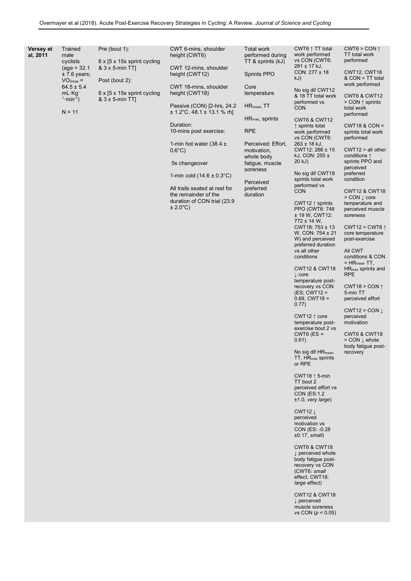| Versey et<br>al, 2011 | Trained<br>male<br>cyclists<br>$(age = 32.1)$<br>$± 7.6$ years;<br>$VO2max$ =<br>$64.5 \pm 5.4$<br>mL·Kq <sup>-</sup><br>$1 \cdot min^{-1}$ )<br>$N = 11$ | Pre (bout 1):<br>6 x [5 x 15s sprint cycling<br>& 3 x 5-min TT<br>Post (bout 2):<br>6 x [5 x 15s sprint cycling<br>$8.3 \times 5$ -min TT | CWT 6-mins, shoulder<br>height (CWT6)<br>CWT 12-mins, shoulder<br>height (CWT12)<br>CWT 18-mins, shoulder<br>height (CWT18)<br>Passive (CON) [2-hrs, 24.2<br>$\pm$ 1.2°C. 48.1 $\pm$ 13.1 % rh]<br>Duration:<br>10-mins post exercise:<br>1-min hot water (38.4 $\pm$<br>$0.6^{\circ}$ C)<br>5s changeover<br>1-min cold $(14.6 \pm 0.3^{\circ} \text{C})$<br>All trails seated at rest for<br>the remainder of the<br>duration of CON trial (23.9<br>$\pm 2.0^{\circ}$ C) | <b>Total work</b><br>performed during<br>$TT$ & sprints $(kJ)$<br><b>Sprints PPO</b><br>Core<br>temperature<br>$HR_{mean}$ , $TT$<br>$HR_{\text{max}}$ , sprints<br><b>RPE</b><br>Perceived: Effort,<br>motivation,<br>whole body<br>fatigue, muscle<br>soreness<br>Perceived<br>preferred<br>duration | CWT6 ↑ TT total<br>work performed<br>vs CON (CWT6:<br>$281 \pm 17$ kJ,<br>$CON: 277 \pm 18$<br>kJ)<br>No sig dif CWT12<br>& 18 TT total work<br>performed vs<br><b>CON</b><br><b>CWT6 &amp; CWT12</b><br>↑ sprints total<br>work performed<br>vs CON (CWT6:<br>$263 \pm 18$ kJ,<br>CWT12: 266 ± 15<br>kJ, CON: $255 \pm$<br>20 kJ)<br>No sig dif CWT18<br>sprints total work<br>performed vs<br><b>CON</b><br>CWT12 $\uparrow$ sprints<br>PPO (CWT6: 748)<br>± 19 W, CWT12:<br>772 ± 14 W.<br>$CWT18: 753 \pm 13$<br>W, CON: $754 \pm 21$<br>W) and perceived<br>preferred duration<br>vs all other<br>conditions<br><b>CWT12 &amp; CWT18</b><br>$\downarrow$ core<br>temperature post-<br>recovery vs CON<br>$(ES; CWT12 =$<br>$0.69$ , CWT18 =<br>0.77)<br>CWT12 $\uparrow$ core<br>temperature post-<br>exercise bout 2 vs<br>$CWT6$ (ES =<br>0.61)<br>No sig dif $HR_{mean}$<br>TT, HR <sub>max</sub> sprints<br>or RPE<br>CWT18 $\uparrow$ 5-min<br>TT bout 2<br>perceived effort vs<br>CON (ES:1.2)<br>$±1.0$ , very large)<br>CWT12 $\downarrow$<br>perceived<br>motivation vs<br>CON (ES: -0.28<br>$±0.17$ , small)<br>CWT6 & CWT18<br>↓ perceived whole<br>body fatigue post-<br>recovery vs CON<br>(CWT6: small<br>effect, CWT18:<br>large effect)<br><b>CWT12 &amp; CWT18</b><br>$\downarrow$ perceived<br>muscle soreness<br>vs CON ( $p < 0.05$ ) | CWT6 > CON $\uparrow$<br>TT total work<br>performed<br>CWT12, CWT18<br>& CON = TT total<br>work performed<br><b>CWT6 &amp; CWT12</b><br>$>$ CON $\uparrow$ sprints<br>total work<br>performed<br>$CWT18$ & $CON =$<br>sprints total work<br>performed<br>CWT12 > all other<br>conditions $\uparrow$<br>sprints PPO and<br>perceived<br>preferred<br>condition<br><b>CWT12 &amp; CWT18</b><br>$>$ CON $\downarrow$ core<br>temperature and<br>perceived muscle<br>soreness<br>CWT12 > CWT6 $\uparrow$<br>core temperature<br>post-exercise<br>All CWT<br>conditions & CON<br>$= HR_{mean}$ TT,<br>$HR_{max}$ sprints and<br><b>RPE</b><br>CWT18 > CON $\uparrow$<br>5-min TT<br>perceived effort<br>CWT12 > CON<br>perceived<br>motivation<br>CWT6 & CWT18<br>$>$ CON $\downarrow$ whole<br>body fatigue post-<br>recovery |
|-----------------------|-----------------------------------------------------------------------------------------------------------------------------------------------------------|-------------------------------------------------------------------------------------------------------------------------------------------|----------------------------------------------------------------------------------------------------------------------------------------------------------------------------------------------------------------------------------------------------------------------------------------------------------------------------------------------------------------------------------------------------------------------------------------------------------------------------|--------------------------------------------------------------------------------------------------------------------------------------------------------------------------------------------------------------------------------------------------------------------------------------------------------|----------------------------------------------------------------------------------------------------------------------------------------------------------------------------------------------------------------------------------------------------------------------------------------------------------------------------------------------------------------------------------------------------------------------------------------------------------------------------------------------------------------------------------------------------------------------------------------------------------------------------------------------------------------------------------------------------------------------------------------------------------------------------------------------------------------------------------------------------------------------------------------------------------------------------------------------------------------------------------------------------------------------------------------------------------------------------------------------------------------------------------------------------------------------------------------------------------------------------------------------------------------------------------------------------------------------------------------------------------------|---------------------------------------------------------------------------------------------------------------------------------------------------------------------------------------------------------------------------------------------------------------------------------------------------------------------------------------------------------------------------------------------------------------------------------------------------------------------------------------------------------------------------------------------------------------------------------------------------------------------------------------------------------------------------------------------------------------------------------------------------------------------------------------------------------------------------|
|-----------------------|-----------------------------------------------------------------------------------------------------------------------------------------------------------|-------------------------------------------------------------------------------------------------------------------------------------------|----------------------------------------------------------------------------------------------------------------------------------------------------------------------------------------------------------------------------------------------------------------------------------------------------------------------------------------------------------------------------------------------------------------------------------------------------------------------------|--------------------------------------------------------------------------------------------------------------------------------------------------------------------------------------------------------------------------------------------------------------------------------------------------------|----------------------------------------------------------------------------------------------------------------------------------------------------------------------------------------------------------------------------------------------------------------------------------------------------------------------------------------------------------------------------------------------------------------------------------------------------------------------------------------------------------------------------------------------------------------------------------------------------------------------------------------------------------------------------------------------------------------------------------------------------------------------------------------------------------------------------------------------------------------------------------------------------------------------------------------------------------------------------------------------------------------------------------------------------------------------------------------------------------------------------------------------------------------------------------------------------------------------------------------------------------------------------------------------------------------------------------------------------------------|---------------------------------------------------------------------------------------------------------------------------------------------------------------------------------------------------------------------------------------------------------------------------------------------------------------------------------------------------------------------------------------------------------------------------------------------------------------------------------------------------------------------------------------------------------------------------------------------------------------------------------------------------------------------------------------------------------------------------------------------------------------------------------------------------------------------------|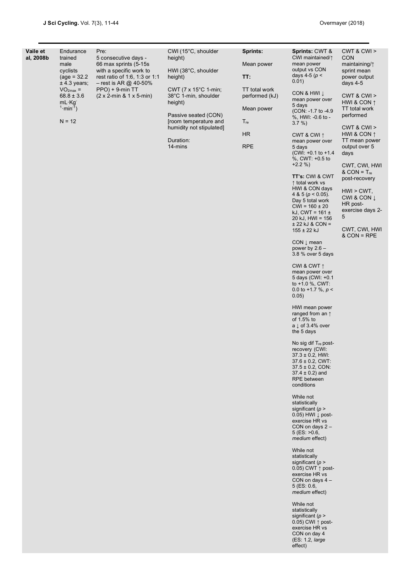| Vaile et<br>Endurance<br>al, 2008b<br>trained<br>male<br>cyclists<br>$(age = 32.2)$<br>$±$ 4.3 years;<br>$VO2max$ =<br>$68.8 \pm 3.6$<br>$mL \cdot Kg$<br>$1 \cdot min^{-1}$ )<br>$N = 12$ |  | Pre:<br>5 consecutive days -<br>66 max sprints (5-15s)<br>with a specific work to<br>rest ratio of 1:6, 1:3 or 1:1<br>$-$ rest is AR @ 40-50%<br>$PPO$ ) + 9-min TT<br>$(2 \times 2$ -min & 1 x 5-min) | CWI (15°C, shoulder<br>height)<br>HWI (38°C, shoulder<br>height)<br>CWT (7 x 15°C 1-min;<br>38°C 1-min, shoulder<br>height)<br>Passive seated (CON)<br>[room temperature and<br>humidity not stipulated]<br>Duration:<br>14-mins | Sprints:<br>Mean power<br>TT:<br>TT total work<br>performed (kJ)<br>Mean power<br>$T_{re}$<br><b>HR</b><br><b>RPE</b> | Sprints: CWT &<br>CWI maintained/1<br>mean power<br>output vs CON<br>days 4-5 ( $p$ <<br>0.01)<br>CON & HWI J<br>mean power over<br>5 days<br>(CON: -1.7 to -4.9)<br>%, HWI: -0.6 to -<br>$3.7\%$ )<br>CWT & CWI $\uparrow$<br>mean power over<br>5 days<br>(CWI: +0.1 to +1.4<br>%, CWT: +0.5 to<br>$+2.2%$<br>TT's: CWI & CWT<br>↑ total work vs<br>HWI & CON days<br>4 & 5 ( $p < 0.05$ ).<br>Day 5 total work<br>$CWI = 160 \pm 20$<br>kJ, CWT = $161 \pm$<br>$20$ kJ, $HWI = 156$<br>$\pm$ 22 kJ & CON =<br>$155 \pm 22$ kJ<br>$CON \downarrow$ mean<br>power by $2.6 -$<br>3.8 % over 5 days<br>CWI & CWT $\uparrow$<br>mean power over<br>5 days (CWI: +0.1<br>to $+1.0$ %, CWT:<br>0.0 to +1.7 %, $p <$<br>0.05)<br>HWI mean power<br>ranged from an $\uparrow$<br>of 1.5% to<br>a $\downarrow$ of 3.4% over<br>the 5 days<br>No sig dif T <sub>re</sub> post-<br>recovery (CWI:<br>$37.3 \pm 0.2$ , HWI:<br>$37.6 \pm 0.2$ , CWT:<br>$37.5 \pm 0.2$ , CON:<br>$37.4 \pm 0.2$ ) and<br><b>RPE</b> between<br>conditions<br>While not<br>statistically<br>significant ( $p >$<br>$0.05$ ) HWI $\downarrow$ post-<br>exercise HR vs<br>CON on days $2 -$<br>$5$ (ES: $>0.6$ )<br>medium effect)<br>While not<br>statistically<br>significant ( $p >$<br>0.05) CWT $\uparrow$ post-<br>exercise HR vs<br>CON on days $4 -$<br>$5$ (ES: 0.6,<br>medium effect)<br>While not<br>statistically<br>significant ( $p >$<br>0.05) CWI $\uparrow$ post-<br>exercise HR vs<br>CON on day 4<br>(ES: 1.2, large<br>effect) | CWT & CWI ><br><b>CON</b><br>maintaining/1<br>sprint mean<br>power output<br>days $4-5$<br>CWT & CWI ><br>HWI & CON $\uparrow$<br>TT total work<br>performed<br>CWT 8 CW ><br>HWI & CON $\uparrow$<br>TT mean power<br>output over 5<br>days<br>CWT, CWI, HWI<br>$&$ CON = $T_{re}$<br>post-recovery<br>$HWI > CWT$ ,<br>CWI & CON L<br>HR post-<br>exercise days 2-<br>5<br>CWT, CWI, HWI<br>& CON = RPE |
|--------------------------------------------------------------------------------------------------------------------------------------------------------------------------------------------|--|--------------------------------------------------------------------------------------------------------------------------------------------------------------------------------------------------------|----------------------------------------------------------------------------------------------------------------------------------------------------------------------------------------------------------------------------------|-----------------------------------------------------------------------------------------------------------------------|-----------------------------------------------------------------------------------------------------------------------------------------------------------------------------------------------------------------------------------------------------------------------------------------------------------------------------------------------------------------------------------------------------------------------------------------------------------------------------------------------------------------------------------------------------------------------------------------------------------------------------------------------------------------------------------------------------------------------------------------------------------------------------------------------------------------------------------------------------------------------------------------------------------------------------------------------------------------------------------------------------------------------------------------------------------------------------------------------------------------------------------------------------------------------------------------------------------------------------------------------------------------------------------------------------------------------------------------------------------------------------------------------------------------------------------------------------------------------------------------------------------------------|-----------------------------------------------------------------------------------------------------------------------------------------------------------------------------------------------------------------------------------------------------------------------------------------------------------------------------------------------------------------------------------------------------------|
|--------------------------------------------------------------------------------------------------------------------------------------------------------------------------------------------|--|--------------------------------------------------------------------------------------------------------------------------------------------------------------------------------------------------------|----------------------------------------------------------------------------------------------------------------------------------------------------------------------------------------------------------------------------------|-----------------------------------------------------------------------------------------------------------------------|-----------------------------------------------------------------------------------------------------------------------------------------------------------------------------------------------------------------------------------------------------------------------------------------------------------------------------------------------------------------------------------------------------------------------------------------------------------------------------------------------------------------------------------------------------------------------------------------------------------------------------------------------------------------------------------------------------------------------------------------------------------------------------------------------------------------------------------------------------------------------------------------------------------------------------------------------------------------------------------------------------------------------------------------------------------------------------------------------------------------------------------------------------------------------------------------------------------------------------------------------------------------------------------------------------------------------------------------------------------------------------------------------------------------------------------------------------------------------------------------------------------------------|-----------------------------------------------------------------------------------------------------------------------------------------------------------------------------------------------------------------------------------------------------------------------------------------------------------------------------------------------------------------------------------------------------------|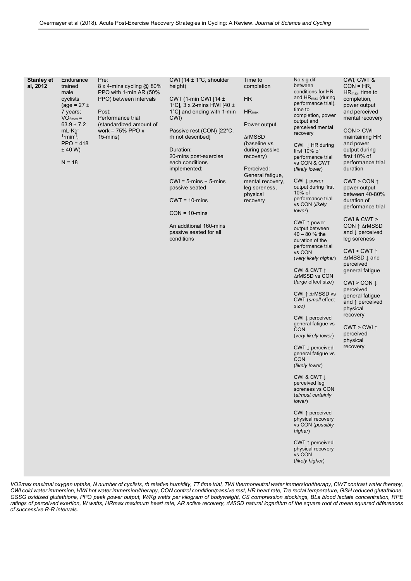| <b>Stanley et</b><br>al, 2012 | Endurance<br>trained<br>male<br>cyclists<br>$(age = 27 \pm$<br>7 years;<br>$VO2max =$<br>$63.9 \pm 7.2$<br>$mL \cdot Kg$<br>$1 \cdot min^{-1}$ ;<br>$PPO = 418$<br>± 40 W<br>$N = 18$ | Pre:<br>$8 \times 4$ -mins cycling @ 80%<br>PPO with 1-min AR (50%<br>PPO) between intervals<br>Post:<br>Performance trial<br>(standardized amount of<br>work = $75\%$ PPO x<br>$15$ -mins) | CWI (14 $\pm$ 1°C, shoulder<br>height)<br>CWT (1-min CWI [14 $\pm$<br>1°C], 3 x 2-mins HWI [40 $\pm$<br>1°C] and ending with 1-min<br>CWI)<br>Passive rest (CON) [22°C,<br>rh not described]<br>Duration:<br>20-mins post-exercise<br>each conditions<br>implemented:<br>$CWI = 5$ -mins + 5-mins<br>passive seated<br>$CWT = 10$ -mins<br>$CON = 10 \text{-} mins$<br>An additional 160-mins<br>passive seated for all<br>conditions | Time to<br>completion<br><b>HR</b><br>$HR_{max}$<br>Power output<br>∆rMSSD<br>(baseline vs<br>during passive<br>recovery)<br>Perceived:<br>General fatigue,<br>mental recovery,<br>leg soreness,<br>physical<br>recovery | No sig dif<br>between<br>conditions for HR<br>and $HR_{max}$ (during<br>performance trial),<br>time to<br>completion, power<br>output and<br>perceived mental<br>recovery<br>CWI $\downarrow$ HR during<br>first 10% of<br>performance trial<br>vs CON & CWT<br>(likely lower)<br>CWI $\downarrow$ power<br>output during first<br>$10\%$ of<br>performance trial<br>vs CON (likely<br>lower)<br>CWT $\uparrow$ power<br>output between<br>$40 - 80$ % the<br>duration of the<br>performance trial<br>vs CON<br>(very likely higher)<br>CWI & CWT $\uparrow$<br>∆rMSSD vs CON<br>(large effect size)<br>CWI ↑ ∆rMSSD vs<br>CWT (small effect<br>size)<br>CWI $\downarrow$ perceived<br>general fatigue vs<br><b>CON</b><br>(very likely lower)<br>CWT $\downarrow$ perceived<br>general fatigue vs<br><b>CON</b><br>(likely lower)<br>CWI & CWT $\downarrow$<br>perceived leg<br>soreness vs CON<br>(almost certainly<br>lower)<br>CWI $\uparrow$ perceived<br>physical recovery<br>vs CON (possibly<br>higher)<br>CWT $\uparrow$ perceived<br>physical recovery<br>vs CON<br>(likely higher) | CWI, CWT &<br>$CON = HR$ ,<br>$HR_{\text{max}}$ , time to<br>completion,<br>power output<br>and perceived<br>mental recovery<br>CON > CW<br>maintaining HR<br>and power<br>output during<br>first 10% of<br>performance trial<br>duration<br>$CWT > CON \uparrow$<br>power output<br>between 40-80%<br>duration of<br>performance trial<br>CWI & CWT $>$<br>$CON ^{\uparrow} \triangle rMSSDand \downarrow perceivedleg sorenessCWI > CWT \uparrow∆rMSSD \downarrow andperceivedgeneral fatigueCWI > CON \downarrowperceivedgeneral fatigueand \uparrow perceivedphysicalrecoveryCWT > CWI ↑perceivedphysicalrecovery$ |
|-------------------------------|---------------------------------------------------------------------------------------------------------------------------------------------------------------------------------------|---------------------------------------------------------------------------------------------------------------------------------------------------------------------------------------------|---------------------------------------------------------------------------------------------------------------------------------------------------------------------------------------------------------------------------------------------------------------------------------------------------------------------------------------------------------------------------------------------------------------------------------------|--------------------------------------------------------------------------------------------------------------------------------------------------------------------------------------------------------------------------|-----------------------------------------------------------------------------------------------------------------------------------------------------------------------------------------------------------------------------------------------------------------------------------------------------------------------------------------------------------------------------------------------------------------------------------------------------------------------------------------------------------------------------------------------------------------------------------------------------------------------------------------------------------------------------------------------------------------------------------------------------------------------------------------------------------------------------------------------------------------------------------------------------------------------------------------------------------------------------------------------------------------------------------------------------------------------------------------------|------------------------------------------------------------------------------------------------------------------------------------------------------------------------------------------------------------------------------------------------------------------------------------------------------------------------------------------------------------------------------------------------------------------------------------------------------------------------------------------------------------------------------------------------------------------------------------------------------------------------|

*VO2max maximal oxygen uptake, N number of cyclists, rh relative humidity, TT time trial, TWI thermoneutral water immersion/therapy, CWT contrast water therapy, CWI cold water immersion, HWI hot water immersion/therapy, CON control condition/passive rest, HR heart rate, Tre rectal temperature, GSH reduced glutathione, GSSG oxidised glutathione, PPO peak power output, W/Kg watts per kilogram of bodyweight, CS compression stockings, BLa blood lactate concentration, RPE*  ratings of perceived exertion, W watts, HRmax maximum heart rate, AR active recovery, rMSSD natural logarithm of the square root of mean squared differences *of successive R-R intervals.*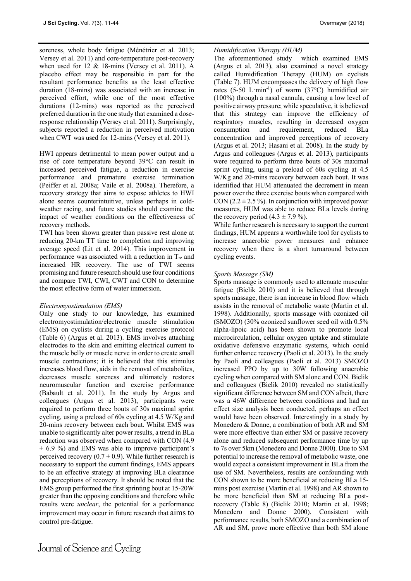soreness, whole body fatigue (Ménétrier et al. 2013; Versey et al. 2011) and core-temperature post-recovery when used for 12 & 18-mins (Versey et al. 2011). A placebo effect may be responsible in part for the resultant performance benefits as the least effective duration (18-mins) was associated with an increase in perceived effort, while one of the most effective durations (12-mins) was reported as the perceived preferred duration in the one study that examined a doseresponse relationship (Versey et al. 2011). Surprisingly, subjects reported a reduction in perceived motivation when CWT was used for 12-mins (Versey et al. 2011).

HWI appears detrimental to mean power output and a rise of core temperature beyond 39°C can result in increased perceived fatigue, a reduction in exercise performance and premature exercise termination (Peiffer et al. 2008a; Vaile et al. 2008a). Therefore, a recovery strategy that aims to expose athletes to HWI alone seems counterintuitive, unless perhaps in coldweather racing, and future studies should examine the impact of weather conditions on the effectiveness of recovery methods.

TWI has been shown greater than passive rest alone at reducing 20-km TT time to completion and improving average speed (Lit et al. 2014). This improvement in performance was associated with a reduction in Tre and increased HR recovery. The use of TWI seems promising and future research should use four conditions and compare TWI, CWI, CWT and CON to determine the most effective form of water immersion.

## *Electromyostimulation (EMS)*

Only one study to our knowledge, has examined electromyostimulation/electronic muscle stimulation (EMS) on cyclists during a cycling exercise protocol (Table 6) (Argus et al. 2013). EMS involves attaching electrodes to the skin and emitting electrical current to the muscle belly or muscle nerve in order to create small muscle contractions; it is believed that this stimulus increases blood flow, aids in the removal of metabolites, decreases muscle soreness and ultimately restores neuromuscular function and exercise performance (Babault et al. 2011). In the study by Argus and colleagues (Argus et al. 2013), participants were required to perform three bouts of 30s maximal sprint cycling, using a preload of 60s cycling at 4.5 W/Kg and 20-mins recovery between each bout. Whilst EMS was unable to significantly alter power results, a trend in BLa reduction was observed when compared with CON (4.9  $\pm$  6.9 %) and EMS was able to improve participant's perceived recovery  $(0.7 \pm 0.9)$ . While further research is necessary to support the current findings, EMS appears to be an effective strategy at improving BLa clearance and perceptions of recovery. It should be noted that the EMS group performed the first sprinting bout at 15-20W greater than the opposing conditions and therefore while results were *unclear*, the potential for a performance improvement may occur in future research that aims to control pre-fatigue.

*Humidification Therapy (HUM)* The aforementioned study (Argus et al. 2013), also examined a novel strategy called Humidification Therapy (HUM) on cyclists (Table 7). HUM encompasses the delivery of high flow rates  $(5-50 \text{ L-min}^{-1})$  of warm  $(37^{\circ}\text{C})$  humidified air (100%) through a nasal cannula, causing a low level of positive airway pressure; while speculative, it is believed that this strategy can improve the efficiency of respiratory muscles, resulting in decreased oxygen consumption and requirement, reduced BLa concentration and improved perceptions of recovery (Argus et al. 2013; Hasani et al. 2008). In the study by Argus and colleagues (Argus et al. 2013), participants were required to perform three bouts of 30s maximal sprint cycling, using a preload of 60s cycling at 4.5 W/Kg and 20-mins recovery between each bout. It was identified that HUM attenuated the decrement in mean power over the three exercise bouts when compared with CON (2.2  $\pm$  2.5%). In conjunction with improved power measures, HUM was able to reduce BLa levels during the recovery period  $(4.3 \pm 7.9\%)$ .

While further research is necessary to support the current findings, HUM appears a worthwhile tool for cyclists to increase anaerobic power measures and enhance recovery when there is a short turnaround between cycling events.

## *Sports Massage (SM)*

Sports massage is commonly used to attenuate muscular fatigue (Bielik 2010) and it is believed that through sports massage, there is an increase in blood flow which assists in the removal of metabolic waste (Martin et al. 1998). Additionally, sports massage with ozonized oil (SMOZO) (30% ozonized sunflower seed oil with 0.5% alpha-lipoic acid) has been shown to promote local microcirculation, cellular oxygen uptake and stimulate oxidative defensive enzymatic systems, which could further enhance recovery (Paoli et al. 2013). In the study by Paoli and colleagues (Paoli et al. 2013) SMOZO increased PPO by up to 30W following anaerobic cycling when compared with SM alone and CON. Bielik and colleagues (Bielik 2010) revealed no statistically significant difference between SM and CON albeit, there was a 46W difference between conditions and had an effect size analysis been conducted, perhaps an effect would have been observed. Interestingly in a study by Monedero & Donne, a combination of both AR and SM were more effective than either SM or passive recovery alone and reduced subsequent performance time by up to 7s over 5km (Monedero and Donne 2000). Due to SM potential to increase the removal of metabolic waste, one would expect a consistent improvement in BLa from the use of SM. Nevertheless, results are confounding with CON shown to be more beneficial at reducing BLa 15 mins post exercise (Martin et al. 1998) and AR shown to be more beneficial than SM at reducing BLa postrecovery (Table 8) (Bielik 2010; Martin et al. 1998; Monedero and Donne 2000). Consistent with performance results, both SMOZO and a combination of AR and SM, prove more effective than both SM alone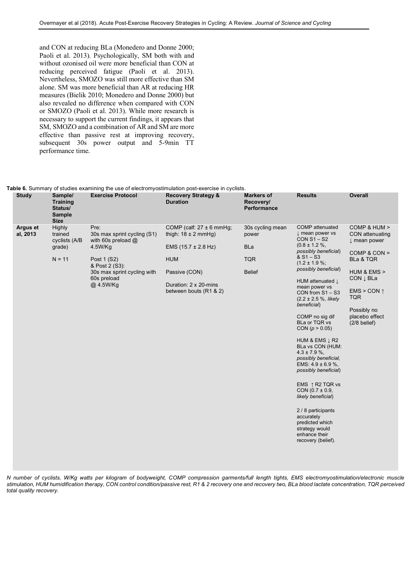and CON at reducing BLa (Monedero and Donne 2000; Paoli et al. 2013). Psychologically, SM both with and without ozonised oil were more beneficial than CON at reducing perceived fatigue (Paoli et al. 2013). Nevertheless, SMOZO was still more effective than SM alone. SM was more beneficial than AR at reducing HR measures (Bielik 2010; Monedero and Donne 2000) but also revealed no difference when compared with CON or SMOZO (Paoli et al. 2013). While more research is necessary to support the current findings, it appears that SM, SMOZO and a combination of AR and SM are more effective than passive rest at improving recovery, subsequent 30s power output and 5-9min TT performance time.

### **Table 6.** Summary of studies examining the use of electromyostimulation post-exercise in cyclists.

| <b>Study</b>         | Sample/<br><b>Training</b><br>Status/<br><b>Sample</b><br><b>Size</b> | <b>Exercise Protocol</b>                                                                                                                                           | <b>Recovery Strategy &amp;</b><br><b>Duration</b>                                                                                                                            | <b>Markers of</b><br>Recovery/<br>Performance                          | <b>Results</b>                                                                                                                                                                                                                                                                                                                                                                                                                                                                                                                                                                                                                                                               | <b>Overall</b>                                                                                                                                                                                                            |
|----------------------|-----------------------------------------------------------------------|--------------------------------------------------------------------------------------------------------------------------------------------------------------------|------------------------------------------------------------------------------------------------------------------------------------------------------------------------------|------------------------------------------------------------------------|------------------------------------------------------------------------------------------------------------------------------------------------------------------------------------------------------------------------------------------------------------------------------------------------------------------------------------------------------------------------------------------------------------------------------------------------------------------------------------------------------------------------------------------------------------------------------------------------------------------------------------------------------------------------------|---------------------------------------------------------------------------------------------------------------------------------------------------------------------------------------------------------------------------|
| Argus et<br>al, 2013 | Highly<br>trained<br>cyclists (A/B<br>grade)<br>$N = 11$              | Pre:<br>30s max sprint cycling (S1)<br>with 60s preload $@$<br>4.5W/Kg<br>Post 1 (S2)<br>& Post 2 (S3):<br>30s max sprint cycling with<br>60s preload<br>@ 4.5W/Kg | COMP (calf: $27 \pm 6$ mmHg;<br>thigh: $18 \pm 2$ mmHg)<br>EMS $(15.7 \pm 2.8 \text{ Hz})$<br><b>HUM</b><br>Passive (CON)<br>Duration: 2 x 20-mins<br>between bouts (R1 & 2) | 30s cycling mean<br>power<br><b>BLa</b><br><b>TQR</b><br><b>Belief</b> | <b>COMP</b> attenuated<br>I mean power vs<br>$CON S1 - S2$<br>$(0.8 \pm 1.2 \%$<br>possibly beneficial)<br>$8S1-S3$<br>$(1.2 \pm 1.9\%;$<br>possibly beneficial)<br>HUM attenuated J<br>mean power vs<br>CON from $S1 - S3$<br>$(2.2 \pm 2.5 \%)$ , likely<br>beneficial)<br>COMP no sig dif<br>BLa or TQR vs<br>CON ( $p > 0.05$ )<br>HUM & EMS $\downarrow$ R2<br>BLa vs CON (HUM:<br>$4.3 \pm 7.9 \%$ ,<br>possibly beneficial,<br>EMS: $4.9 \pm 6.9$ %,<br>possibly beneficial)<br>EMS $\uparrow$ R2 TQR vs<br>CON $(0.7 \pm 0.9,$<br>likely beneficial)<br>2 / 8 participants<br>accurately<br>predicted which<br>strategy would<br>enhance their<br>recovery (belief). | COMP & HUM ><br>CON attenuating<br>$\downarrow$ mean power<br>COMP & CON $=$<br>BLa & TQR<br>HUM & EMS ><br>CON $\downarrow$ BLa<br>EMS > CON $\uparrow$<br><b>TQR</b><br>Possibly no<br>placebo effect<br>$(2/8$ belief) |
|                      |                                                                       |                                                                                                                                                                    |                                                                                                                                                                              |                                                                        |                                                                                                                                                                                                                                                                                                                                                                                                                                                                                                                                                                                                                                                                              |                                                                                                                                                                                                                           |

*N number of cyclists, W/Kg watts per kilogram of bodyweight, COMP compression garments/full length tights, EMS electromyostimulation/electronic muscle stimulation, HUM humidification therapy, CON control condition/passive rest, R1 & 2 recovery one and recovery two, BLa blood lactate concentration, TQR perceived total quality recovery.*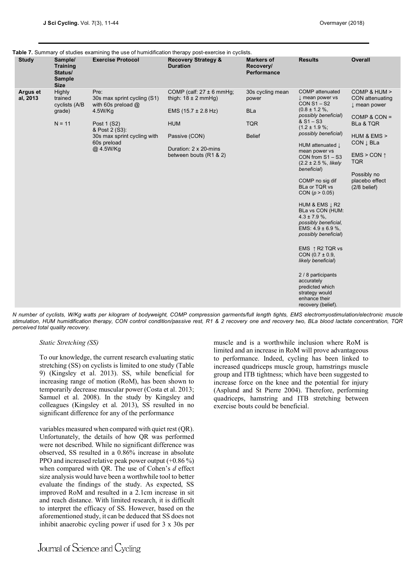|  | Table 7. Summary of studies examining the use of humidification therapy post-exercise in cyclists. |  |  |
|--|----------------------------------------------------------------------------------------------------|--|--|
|  |                                                                                                    |  |  |

| <b>Study</b>         | Sample/<br><b>Training</b><br>Status/<br><b>Sample</b><br><b>Size</b> | <b>Exercise Protocol</b>                                                                                                                                           | <b>Recovery Strategy &amp;</b><br><b>Duration</b>                                                                                                                            | <b>Markers of</b><br>Recovery/<br><b>Performance</b>                   | <b>Results</b>                                                                                                                                                                                                                                                                                                                                                                                                                                                                                                                                                                                                                                          | <b>Overall</b>                                                                                                                                                                                                 |
|----------------------|-----------------------------------------------------------------------|--------------------------------------------------------------------------------------------------------------------------------------------------------------------|------------------------------------------------------------------------------------------------------------------------------------------------------------------------------|------------------------------------------------------------------------|---------------------------------------------------------------------------------------------------------------------------------------------------------------------------------------------------------------------------------------------------------------------------------------------------------------------------------------------------------------------------------------------------------------------------------------------------------------------------------------------------------------------------------------------------------------------------------------------------------------------------------------------------------|----------------------------------------------------------------------------------------------------------------------------------------------------------------------------------------------------------------|
| Argus et<br>al, 2013 | Highly<br>trained<br>cyclists (A/B<br>grade)<br>$N = 11$              | Pre:<br>30s max sprint cycling (S1)<br>with 60s preload $@$<br>4.5W/Kg<br>Post 1 (S2)<br>& Post 2 (S3):<br>30s max sprint cycling with<br>60s preload<br>@ 4.5W/Kg | COMP (calf: $27 \pm 6$ mmHq;<br>thigh: $18 \pm 2$ mmHg)<br>EMS $(15.7 \pm 2.8 \text{ Hz})$<br><b>HUM</b><br>Passive (CON)<br>Duration: 2 x 20-mins<br>between bouts (R1 & 2) | 30s cycling mean<br>power<br><b>BLa</b><br><b>TQR</b><br><b>Belief</b> | <b>COMP</b> attenuated<br>I mean power vs<br>$CON S1 - S2$<br>$(0.8 \pm 1.2 \%$ ,<br>possibly beneficial)<br>$8S1-S3$<br>$(1.2 \pm 1.9\%$ ;<br>possibly beneficial)<br>HUM attenuated L<br>mean power vs<br>CON from S1-S3<br>$(2.2 \pm 2.5 \%)$ , likely<br>beneficial)<br>COMP no sig dif<br>BLa or TQR vs<br>CON ( $p > 0.05$ )<br>HUM & EMS L R2<br>BLa vs CON (HUM:<br>$4.3 \pm 7.9 \%$ ,<br>possibly beneficial,<br>EMS: $4.9 \pm 6.9$ %.<br>possibly beneficial)<br>EMS 1 R2 TQR vs<br>CON $(0.7 \pm 0.9,$<br>likely beneficial)<br>2 / 8 participants<br>accurately<br>predicted which<br>strategy would<br>enhance their<br>recovery (belief). | COMP & HUM ><br>CON attenuating<br>I mean power<br>COMP & CON $=$<br><b>BLa &amp; TQR</b><br>HUM & EMS ><br>CON L BLa<br>EMS > CON $\uparrow$<br><b>TQR</b><br>Possibly no<br>placebo effect<br>$(2/8$ belief) |

*N number of cyclists, W/Kg watts per kilogram of bodyweight, COMP compression garments/full length tights, EMS electromyostimulation/electronic muscle stimulation, HUM humidification therapy, CON control condition/passive rest, R1 & 2 recovery one and recovery two, BLa blood lactate concentration, TQR perceived total quality recovery.*

*Static Stretching (SS)*

To our knowledge, the current research evaluating static stretching (SS) on cyclists is limited to one study (Table 9) (Kingsley et al. 2013). SS, while beneficial for increasing range of motion (RoM), has been shown to temporarily decrease muscular power (Costa et al. 2013; Samuel et al. 2008). In the study by Kingsley and colleagues (Kingsley et al. 2013), SS resulted in no significant difference for any of the performance

variables measured when compared with quiet rest (QR). Unfortunately, the details of how QR was performed were not described. While no significant difference was observed, SS resulted in a 0.86% increase in absolute PPO and increased relative peak power output (+0.86 %) when compared with QR. The use of Cohen's *d* effect size analysis would have been a worthwhile tool to better evaluate the findings of the study. As expected, SS improved RoM and resulted in a 2.1cm increase in sit and reach distance. With limited research, it is difficult to interpret the efficacy of SS. However, based on the aforementioned study, it can be deduced that SS does not inhibit anaerobic cycling power if used for 3 x 30s per

Journal of Science and Cycling

muscle and is a worthwhile inclusion where RoM is limited and an increase in RoM will prove advantageous to performance. Indeed, cycling has been linked to increased quadriceps muscle group, hamstrings muscle group and ITB tightness; which have been suggested to increase force on the knee and the potential for injury (Asplund and St Pierre 2004). Therefore, performing quadriceps, hamstring and ITB stretching between exercise bouts could be beneficial.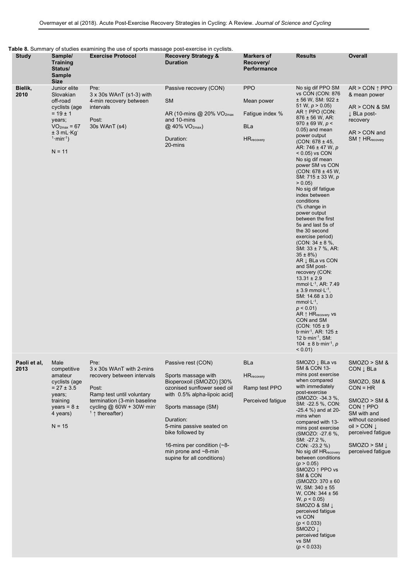| Table 8. Summary of studies examining the use of sports massage post-exercise in cyclists. |  |  |  |  |  |  |
|--------------------------------------------------------------------------------------------|--|--|--|--|--|--|
|--------------------------------------------------------------------------------------------|--|--|--|--|--|--|

| <b>Study</b>         | Sample/<br><b>Training</b><br>Status/<br><b>Sample</b><br><b>Size</b>                                                                                  | able of Sammary or stadios examining the doc or sports massage post excretive in oyellots.<br><b>Exercise Protocol</b>                                                              | <b>Recovery Strategy &amp;</b><br><b>Duration</b>                                                                                                                                                                                                                                                                     | <b>Markers of</b><br>Recovery/<br>Performance                            | <b>Results</b>                                                                                                                                                                                                                                                                                                                                                                                                                                                                                                                                                                                                                                                                                                                                                                                                                                                                                                                                                                                                                                | <b>Overall</b>                                                                                                                                                                                                 |
|----------------------|--------------------------------------------------------------------------------------------------------------------------------------------------------|-------------------------------------------------------------------------------------------------------------------------------------------------------------------------------------|-----------------------------------------------------------------------------------------------------------------------------------------------------------------------------------------------------------------------------------------------------------------------------------------------------------------------|--------------------------------------------------------------------------|-----------------------------------------------------------------------------------------------------------------------------------------------------------------------------------------------------------------------------------------------------------------------------------------------------------------------------------------------------------------------------------------------------------------------------------------------------------------------------------------------------------------------------------------------------------------------------------------------------------------------------------------------------------------------------------------------------------------------------------------------------------------------------------------------------------------------------------------------------------------------------------------------------------------------------------------------------------------------------------------------------------------------------------------------|----------------------------------------------------------------------------------------------------------------------------------------------------------------------------------------------------------------|
| Bielik,<br>2010      | Junior elite<br>Slovakian<br>off-road<br>cyclists (age<br>$= 19 \pm 1$<br>years;<br>$VO2max = 67$<br>$± 3 mL Kg^-$<br>$1 \cdot min^{-1}$ )<br>$N = 11$ | Pre:<br>$3 \times 30s$ WAnT (s1-3) with<br>4-min recovery between<br>intervals<br>Post:<br>30s WAnT (s4)                                                                            | Passive recovery (CON)<br><b>SM</b><br>AR (10-mins @ 20% VO <sub>2max</sub><br>and 10-mins<br>$(2, 40\% \text{ VO}_{2\text{max}})$<br>Duration:<br>20-mins                                                                                                                                                            | <b>PPO</b><br>Mean power<br>Fatigue index %<br>BLa<br><b>HR</b> recovery | No sig dif PPO SM<br>vs CON (CON: 876<br>$± 56 W$ , SM: 922 $±$<br>51 W, $p > 0.05$ )<br>AR $\uparrow$ PPO (CON:<br>$876 \pm 56$ W, AR:<br>$970 \pm 69$ W, p <<br>$0.05$ ) and mean<br>power output<br>$(CON: 678 \pm 45,$<br>AR: 746 $\pm$ 47 W, p<br>$< 0.05$ ) vs CON<br>No sig dif mean<br>power SM vs CON<br>$(CON: 678 \pm 45 W,$<br>SM: $715 \pm 33$ W, p<br>> 0.05<br>No sig dif fatigue<br>index between<br>conditions<br>(% change in<br>power output<br>between the first<br>5s and last 5s of<br>the 30 second<br>exercise period)<br>$(CON: 34 \pm 8 \%$ ,<br>SM: $33 \pm 7$ %, AR:<br>$35 \pm 8\%)$<br>AR $\downarrow$ BLa vs CON<br>and SM post-<br>recovery (CON:<br>$13.31 \pm 2.9$<br>mmol $E^{-1}$ , AR: 7.49<br>$± 3.9$ mmol $·L-1$ ,<br>SM: $14.68 \pm 3.0$<br>mmol $\cdot$ L <sup>-1</sup> ,<br>$p < 0.01$ )<br>AR $\uparrow$ HR <sub>recovery</sub> vs<br>CON and SM<br>(CON: $105 \pm 9$ )<br>b min <sup>-1</sup> , AR: $125 \pm$<br>12 $b$ ·min <sup>-1</sup> , SM:<br>104 ± 8 b min <sup>-1</sup> , p<br>$< 0.01$ ) | $AR > CON \uparrow PPO$<br>& mean power<br>AR > CON & SM<br>$\downarrow$ BLa post-<br>recovery<br>$AR > CON$ and<br>$SM \uparrow HR_{recovery}$                                                                |
| Paoli et al,<br>2013 | Male<br>competitive<br>amateur<br>cyclists (age<br>$= 27 \pm 3.5$<br>years;<br>training<br>years = $8 \pm$<br>4 years)<br>$N = 15$                     | Pre:<br>3 x 30s WAnT with 2-mins<br>recovery between intervals<br>Post:<br>Ramp test until voluntary<br>termination (3-min baseline<br>cycling $@$ 60W + 30W min<br>$1$ thereafter) | Passive rest (CON)<br>Sports massage with<br>Bioperoxoil (SMOZO) [30%<br>ozonised sunflower seed oil<br>with 0.5% alpha-lipoic acid]<br>Sports massage (SM)<br>Duration:<br>5-mins passive seated on<br>bike followed by<br>16-mins per condition $(-8$ -<br>min prone and $\sim$ 8-min<br>supine for all conditions) | <b>BLa</b><br><b>HR</b> recovery<br>Ramp test PPO<br>Perceived fatigue   | SMOZO J BLa vs<br>SM & CON 13-<br>mins post exercise<br>when compared<br>with immediately<br>post-exercise<br>(SMOZO: -34.3 %,<br>SM: -22.5 %, CON:<br>$-25.4$ %) and at 20-<br>mins when<br>compared with 13-<br>mins post exercise<br>(SMOZO: -27.6 %,<br>SM: -27.2 %,<br>$CON: -23.2 \%$<br>No sig dif HR <sub>recovery</sub><br>between conditions<br>(p > 0.05)<br>SMOZO ↑ PPO vs<br>SM & CON<br>$(SMOZO: 370 \pm 60)$<br>W, SM: $340 \pm 55$<br>W, CON: 344 ± 56<br>W, p < 0.05<br>SMOZO & SM Į<br>perceived fatigue<br>vs CON<br>(p < 0.033)<br>SMOZO J<br>perceived fatigue<br>vs SM<br>(p < 0.033)                                                                                                                                                                                                                                                                                                                                                                                                                                   | $SMOZO > SM$ &<br>CON L BLa<br>SMOZO, SM &<br>$CON = HR$<br>$SMOZO > SM$ &<br>$CON 1$ PPO<br>SM with and<br>without ozonised<br>oil > CON $\downarrow$<br>perceived fatigue<br>SMOZO > SM<br>perceived fatigue |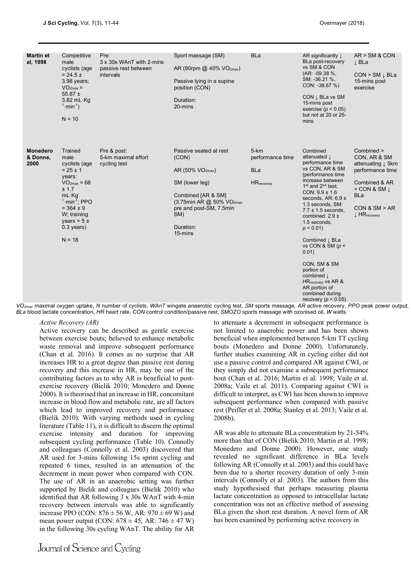| <b>Martin et</b><br>al, 1998        | Competitive<br>male<br>cyclists (age<br>$= 24.5 \pm$<br>3.98 years;<br>$VO2max =$<br>55.87 $\pm$<br>3.82 mL · Kg <sup>-</sup><br>$1 \cdot min^{-1}$ )<br>$N = 10$                                                    | Pre:<br>3 x 30s WAnT with 2-mins<br>passive rest between<br>intervals | Sport massage (SM)<br>AR (80rpm $@$ 40% $VO2max$ )<br>Passive lying in a supine<br>position (CON)<br>Duration:<br>20-mins                                                                                                                                                                                                                                            | <b>BLa</b>                                                       | AR significantly $\downarrow$<br>BLa post-recovery<br>vs SM & CON<br>(AR: -59.38 %,<br>SM: -36.21 %,<br>$CON: -38.67\%$<br>CON $\downarrow$ BLa vs SM<br>15-mins post<br>exercise ( $p < 0.05$ )<br>but not at 20 or 25-<br>mins                                                                                                                                                                                                                                                                | AR > SM & CON<br>↓ BLa<br>$CON > SM \perp BLa$<br>15-mins post<br>exercise                                                                                                         |
|-------------------------------------|----------------------------------------------------------------------------------------------------------------------------------------------------------------------------------------------------------------------|-----------------------------------------------------------------------|----------------------------------------------------------------------------------------------------------------------------------------------------------------------------------------------------------------------------------------------------------------------------------------------------------------------------------------------------------------------|------------------------------------------------------------------|-------------------------------------------------------------------------------------------------------------------------------------------------------------------------------------------------------------------------------------------------------------------------------------------------------------------------------------------------------------------------------------------------------------------------------------------------------------------------------------------------|------------------------------------------------------------------------------------------------------------------------------------------------------------------------------------|
| <b>Monedero</b><br>& Donne,<br>2000 | Trained<br>male<br>cyclists (age<br>$= 25 \pm 1$<br>years;<br>$VO2max = 68$<br>± 1.7<br>$mL \cdot Kg$<br>$1$ ·min <sup>-1</sup> ; PPO<br>$= 364 \pm 9$<br>W; training<br>years = $5 \pm$<br>$0.3$ years)<br>$N = 18$ | Pre & post:<br>5-km maximal effort<br>cycling test                    | Passive seated at rest<br>(CON)<br>AR (50% $VO_{2max}$ )<br>SM (lower leg)<br>Combined [AR & SM]<br>(3.75min AR @ 50% VO <sub>2max</sub><br>pre and post-SM, 7.5min<br>SM)<br>Duration:<br>15-mins<br>$\Omega_{\rm max}$ maximal oxygen untake. N number of cyclists, WAnT wingate angerobic cycling test. SM sports massage, AR active recovery, PPO peak nower out | $5 - km$<br>performance time<br><b>BLa</b><br><b>HR</b> recovery | Combined<br>attenuated L<br>performance time<br>vs CON, AR & SM<br>(performance time<br>increase between<br>$1st$ and $2nd$ test;<br>CON: $9.9 \pm 1.6$<br>seconds, AR: $6.9 \pm$<br>1.3 seconds, SM:<br>$7.7 \pm 1.5$ seconds,<br>combined: $2.9 \pm$<br>1.5 seconds,<br>$p < 0.01$ )<br>Combined J BLa<br>vs CON & SM $(p <$<br>0.01)<br>CON, SM & SM<br>portion of<br>combined $\downarrow$<br>HR <sub>recovery</sub> vs AR &<br>AR portion of<br>combined during<br>recovery ( $p < 0.05$ ) | Combined ><br>CON, AR & SM<br>attenuating J 5km<br>performance time<br>Combined & AR<br>$>$ CON & SM $\perp$<br><b>BLa</b><br>CON & SM > AR<br>$\downarrow$ HR <sub>recovery</sub> |

*VO2max* maximal oxygen uptake, *N* number of cyclists, *WAnT* wingate anaerobic cycling test, *SM* sports massage, *AR* active recovery, *PPO* peak power output, *BLa* blood lactate concentration, *HR* heart rate, *CON* control condition/passive rest, *SMOZO* sports massage with ozonised oil, *W* watts

## *Active Recovery (AR)*

Active recovery can be described as gentle exercise between exercise bouts; believed to enhance metabolic waste removal and improve subsequent performance (Chan et al. 2016). It comes as no surprise that AR increases HR to a great degree than passive rest during recovery and this increase in HR, may be one of the contributing factors as to why AR is beneficial to postexercise recovery (Bielik 2010; Monedero and Donne 2000). It is theorised that an increase in HR, concomitant increase in blood flow and metabolic rate, are all factors which lead to improved recovery and performance (Bielik 2010). With varying methods used in cycling literature (Table 11), it is difficult to discern the optimal exercise intensity and duration for improving subsequent cycling performance (Table 10). Connolly and colleagues (Connolly et al. 2003) discovered that AR used for 3-mins following 15s sprint cycling and repeated 6 times, resulted in an attenuation of the decrement in mean power when compared with CON. The use of AR in an anaerobic setting was further supported by Bielik and colleagues (Bielik 2010) who identified that AR following 3 x 30s WAnT with 4-min recovery between intervals was able to significantly increase PPO (CON:  $876 \pm 56$  W, AR:  $970 \pm 69$  W) and mean power output (CON:  $678 \pm 45$ , AR:  $746 \pm 47$  W) in the following 30s cycling WAnT. The ability for AR to attenuate a decrement in subsequent performance is not limited to anaerobic power and has been shown beneficial when implemented between 5-km TT cycling bouts (Monedero and Donne 2000). Unfortunately, further studies examining AR in cycling either did not use a passive control and compared AR against CWI, or they simply did not examine a subsequent performance bout (Chan et al. 2016; Martin et al. 1998; Vaile et al. 2008a; Vaile et al. 2011). Comparing against CWI is difficult to interpret, as CWI has been shown to improve subsequent performance when compared with passive rest (Peiffer et al. 2008a; Stanley et al. 2013; Vaile et al. 2008b).

AR was able to attenuate BLa concentration by 21-54% more than that of CON (Bielik 2010; Martin et al. 1998; Monedero and Donne 2000). However, one study revealed no significant difference in BLa levels following AR (Connolly et al. 2003) and this could have been due to a shorter recovery duration of only 3-min intervals (Connolly et al. 2003). The authors from this study hypothesised that perhaps measuring plasma lactate concentration as opposed to intracellular lactate concentration was not an effective method of assessing BLa given the short rest duration. A novel form of AR has been examined by performing active recovery in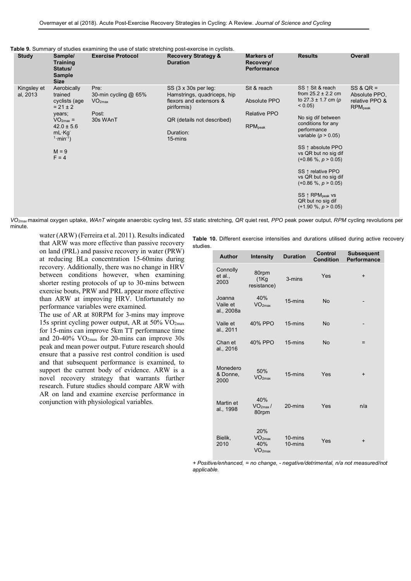| Table 9. Summary of studies examining the use of static stretching post-exercise in cyclists. |  |  |  |  |  |  |
|-----------------------------------------------------------------------------------------------|--|--|--|--|--|--|
|-----------------------------------------------------------------------------------------------|--|--|--|--|--|--|

| <b>Study</b>            | Sample/<br><b>Training</b><br>Status/<br><b>Sample</b><br><b>Size</b>                                                                                            | <b>Exercise Protocol</b>                                                  | <b>Recovery Strategy &amp;</b><br><b>Duration</b>                                                                                                   | <b>Markers of</b><br>Recovery/<br><b>Performance</b>               | <b>Results</b>                                                                                                                                                                                                                                                                                                                                                                                       | <b>Overall</b>                                                               |
|-------------------------|------------------------------------------------------------------------------------------------------------------------------------------------------------------|---------------------------------------------------------------------------|-----------------------------------------------------------------------------------------------------------------------------------------------------|--------------------------------------------------------------------|------------------------------------------------------------------------------------------------------------------------------------------------------------------------------------------------------------------------------------------------------------------------------------------------------------------------------------------------------------------------------------------------------|------------------------------------------------------------------------------|
| Kingsley et<br>al, 2013 | Aerobically<br>trained<br>cyclists (age<br>$= 21 \pm 2$<br>years;<br>$VO2max =$<br>$42.0 \pm 5.6$<br>$mL \cdot Kq$<br>$1 \cdot min^{-1}$ )<br>$M = 9$<br>$F = 4$ | Pre:<br>30-min cycling $@$ 65%<br>VO <sub>2max</sub><br>Post:<br>30s WAnT | SS (3 x 30s per leg:<br>Hamstrings, quadriceps, hip<br>flexors and extensors &<br>piriformis)<br>QR (details not described)<br>Duration:<br>15-mins | Sit & reach<br>Absolute PPO<br><b>Relative PPO</b><br>$RPM_{peak}$ | SS ↑ Sit & reach<br>from $25.2 \pm 2.2$ cm<br>to $27.3 \pm 1.7$ cm (p<br>$< 0.05$ )<br>No sig dif between<br>conditions for any<br>performance<br>variable ( $p > 0.05$ )<br>SS ↑ absolute PPO<br>vs QR but no sig dif<br>$(+0.86\% , p > 0.05)$<br>SS ↑ relative PPO<br>vs QR but no sig dif<br>$(+0.86\% , p > 0.05)$<br>SS ↑ RPM <sub>peak</sub> vs<br>QR but no sig dif<br>$(+1.90\%, p > 0.05)$ | $SS & QR =$<br>Absolute PPO.<br>relative PPO &<br><b>RPM</b> <sub>peak</sub> |

*VO2max* maximal oxygen uptake, *WAnT* wingate anaerobic cycling test, *SS* static stretching, *QR* quiet rest, *PPO* peak power output, *RPM* cycling revolutions per minute.

water (ARW) (Ferreira et al. 2011). Results indicated that ARW was more effective than passive recovery on land (PRL) and passive recovery in water (PRW) at reducing BLa concentration 15-60mins during recovery. Additionally, there was no change in HRV between conditions however, when examining shorter resting protocols of up to 30-mins between exercise bouts, PRW and PRL appear more effective than ARW at improving HRV. Unfortunately no performance variables were examined.

The use of AR at 80RPM for 3-mins may improve 15s sprint cycling power output, AR at 50% VO2max for 15-mins can improve 5km TT performance time and 20-40%  $VO<sub>2max</sub>$  for 20-mins can improve 30s peak and mean power output. Future research should ensure that a passive rest control condition is used and that subsequent performance is examined, to support the current body of evidence. ARW is a novel recovery strategy that warrants further research. Future studies should compare ARW with AR on land and examine exercise performance in conjunction with physiological variables.

**Table 10.** Different exercise intensities and durations utilised during active recovery studies.

| <b>Author</b>                    | <b>Intensity</b>                                       | <b>Duration</b>        | <b>Control</b><br><b>Condition</b> | <b>Subsequent</b><br>Performance |
|----------------------------------|--------------------------------------------------------|------------------------|------------------------------------|----------------------------------|
| Connolly<br>et al.,<br>2003      | 80rpm<br>(1Kg)<br>resistance)                          | 3-mins                 | Yes                                | $\ddot{}$                        |
| Joanna<br>Vaile et<br>al., 2008a | 40%<br>VO <sub>2max</sub>                              | 15-mins                | <b>No</b>                          |                                  |
| Vaile et<br>al., 2011            | 40% PPO                                                | 15-mins                | <b>No</b>                          |                                  |
| Chan et<br>al., 2016             | 40% PPO                                                | 15-mins                | <b>No</b>                          | $=$                              |
| Monedero<br>& Donne,<br>2000     | 50%<br>VO <sub>2max</sub>                              | 15-mins                | Yes                                | $\ddot{}$                        |
| Martin et<br>al., 1998           | 40%<br>$VO2max$ /<br>80rpm                             | 20-mins                | Yes                                | n/a                              |
| Bielik,<br>2010                  | 20%<br>VO <sub>2max</sub><br>40%<br>VO <sub>2max</sub> | $10 - mins$<br>10-mins | Yes                                | $\ddot{}$                        |

*+ Positive/enhanced, = no change, - negative/detrimental, n/a not measured/not applicable.*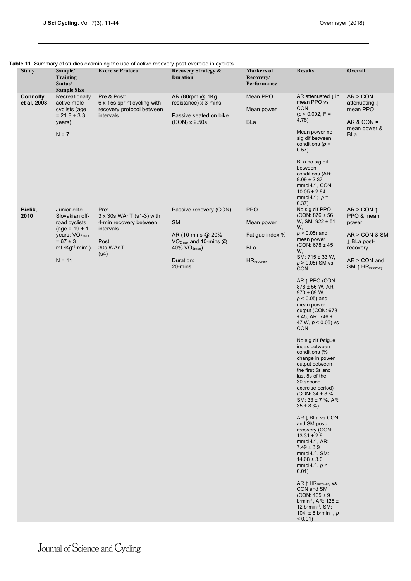| Table 11. Summary of studies examining the use of active recovery post-exercise in cyclists. |  |
|----------------------------------------------------------------------------------------------|--|
|                                                                                              |  |

|                                |                                                                                                                                                                                           | rable TT. Summary Or studies examining the use Or active recovery post-exercise in cyclists.         |                                                                                                                                                     |                                                                                 |                                                                                                                                                                                                                                                                                                                                                                                                                                                                                                                                                                                                                                                                                                                                                                                                                                                                                                                                                                                                               |                                                                                                                                       |
|--------------------------------|-------------------------------------------------------------------------------------------------------------------------------------------------------------------------------------------|------------------------------------------------------------------------------------------------------|-----------------------------------------------------------------------------------------------------------------------------------------------------|---------------------------------------------------------------------------------|---------------------------------------------------------------------------------------------------------------------------------------------------------------------------------------------------------------------------------------------------------------------------------------------------------------------------------------------------------------------------------------------------------------------------------------------------------------------------------------------------------------------------------------------------------------------------------------------------------------------------------------------------------------------------------------------------------------------------------------------------------------------------------------------------------------------------------------------------------------------------------------------------------------------------------------------------------------------------------------------------------------|---------------------------------------------------------------------------------------------------------------------------------------|
| <b>Study</b>                   | Sample/<br><b>Training</b><br>Status/<br><b>Sample Size</b>                                                                                                                               | <b>Exercise Protocol</b>                                                                             | <b>Recovery Strategy &amp;</b><br><b>Duration</b>                                                                                                   | <b>Markers of</b><br>Recovery/<br>Performance                                   | <b>Results</b>                                                                                                                                                                                                                                                                                                                                                                                                                                                                                                                                                                                                                                                                                                                                                                                                                                                                                                                                                                                                | Overall                                                                                                                               |
| <b>Connolly</b><br>et al, 2003 | Recreationally<br>active male<br>cyclists (age<br>$= 21.8 \pm 3.3$<br>years)<br>$N = 7$                                                                                                   | Pre & Post:<br>6 x 15s sprint cycling with<br>recovery protocol between<br>intervals                 | AR (80rpm @ 1Kg<br>resistance) x 3-mins<br>Passive seated on bike<br>$(CON) \times 2.50s$                                                           | Mean PPO<br>Mean power<br><b>BLa</b>                                            | AR attenuated $\downarrow$ in<br>mean PPO vs<br><b>CON</b><br>$(p < 0.002, F =$<br>4.78)<br>Mean power no<br>sig dif between<br>conditions ( $p =$<br>0.57)<br>BLa no sig dif<br>between<br>conditions (AR:<br>$9.09 \pm 2.37$<br>$mmol·L-1$ , CON:<br>$10.05 \pm 2.84$<br>mmol·L <sup>-1</sup> ; $p =$                                                                                                                                                                                                                                                                                                                                                                                                                                                                                                                                                                                                                                                                                                       | AR > CON<br>attenuating $\downarrow$<br>mean PPO<br>$AR & CON =$<br>mean power &<br>BLa                                               |
| Bielik,<br>2010                | Junior elite<br>Slovakian off-<br>road cyclists<br>$(age = 19 \pm 1)$<br>years; VO <sub>2max</sub><br>$= 67 \pm 3$<br>mL $\cdot$ Kg <sup>-1</sup> $\cdot$ min <sup>-1</sup> )<br>$N = 11$ | Pre:<br>3 x 30s WAnT (s1-3) with<br>4-min recovery between<br>intervals<br>Post:<br>30s WAnT<br>(s4) | Passive recovery (CON)<br><b>SM</b><br>AR (10-mins @ 20%)<br>VO <sub>2max</sub> and 10-mins $@$<br>40% VO <sub>2max</sub> )<br>Duration:<br>20-mins | <b>PPO</b><br>Mean power<br>Fatigue index %<br><b>BLa</b><br><b>HR</b> recovery | 0.37)<br>No sig dif PPO<br>$(CON: 876 \pm 56)$<br>W, SM: $922 \pm 51$<br>W,<br>$p > 0.05$ ) and<br>mean power<br>$(CON: 678 \pm 45)$<br>W,<br>SM: $715 \pm 33$ W,<br>$p > 0.05$ ) SM vs<br><b>CON</b><br>AR 1 PPO (CON:<br>$876 \pm 56$ W, AR:<br>$970 \pm 69$ W,<br>$p < 0.05$ ) and<br>mean power<br>output (CON: 678<br>± 45, AR: 746 ±<br>47 W, $p < 0.05$ ) vs<br><b>CON</b><br>No sig dif fatigue<br>index between<br>conditions (%<br>change in power<br>output between<br>the first 5s and<br>last 5s of the<br>30 second<br>exercise period)<br>(CON: $34 \pm 8 \%$ ,<br>SM: $33 \pm 7$ %, AR:<br>$35 \pm 8$ %)<br>AR L BLa vs CON<br>and SM post-<br>recovery (CON:<br>$13.31 \pm 2.9$<br>$mmol·L-1$ , AR:<br>$7.49 \pm 3.9$<br>$mmol·L-1$ , SM:<br>$14.68 \pm 3.0$<br>mmol $\cdot$ L <sup>-1</sup> , $p$ <<br>0.01)<br>$AR \uparrow HR_{recovery}$ vs<br>CON and SM<br>(CON: $105 \pm 9$<br>$b$ ·min <sup>-1</sup> , AR: 125 ±<br>12 b min-1, SM:<br>104 ± 8 b min <sup>-1</sup> , p<br>$< 0.01$ ) | AR > CON $\uparrow$<br>PPO & mean<br>power<br>AR > CON & SM<br>↓ BLa post-<br>recovery<br>AR > CON and<br>SM ↑ HR <sub>recovery</sub> |
|                                |                                                                                                                                                                                           |                                                                                                      |                                                                                                                                                     |                                                                                 |                                                                                                                                                                                                                                                                                                                                                                                                                                                                                                                                                                                                                                                                                                                                                                                                                                                                                                                                                                                                               |                                                                                                                                       |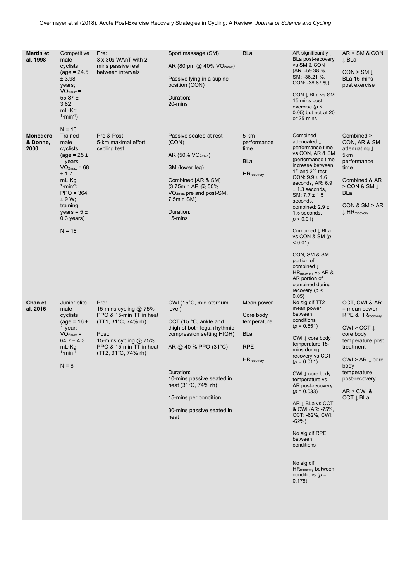| <b>Martin et</b><br>al, 1998        | Competitive<br>male<br>cyclists<br>$(age = 24.5)$<br>± 3.98<br>years;<br>$VO2max =$<br>55.87 $\pm$<br>3.82<br>$mL \cdot Kg$<br>$1 \cdot min^{-1}$ )                                                                                  | Pre:<br>3 x 30s WAnT with 2-<br>mins passive rest<br>between intervals                                                                                                        | Sport massage (SM)<br>AR (80rpm @ 40% VO <sub>2max</sub> )<br>Passive lying in a supine<br>position (CON)<br>Duration:<br>20-mins                                                                                                                                                                          | <b>BLa</b>                                                                               | AR significantly $\downarrow$<br>BLa post-recovery<br>vs SM & CON<br>$(AR: -59.38\%$<br>SM: -36.21 %,<br>$CON: -38.67\%$<br>CON $\downarrow$ BLa vs SM<br>15-mins post<br>exercise ( $p$ <<br>0.05) but not at 20<br>or 25-mins                                                                                                                                                                                                                                                                                                                                                                            | AR > SM & CON<br>↓ BLa<br>$CON > SM \downarrow$<br>BLa 15-mins<br>post exercise                                                                                                                                                                     |
|-------------------------------------|--------------------------------------------------------------------------------------------------------------------------------------------------------------------------------------------------------------------------------------|-------------------------------------------------------------------------------------------------------------------------------------------------------------------------------|------------------------------------------------------------------------------------------------------------------------------------------------------------------------------------------------------------------------------------------------------------------------------------------------------------|------------------------------------------------------------------------------------------|------------------------------------------------------------------------------------------------------------------------------------------------------------------------------------------------------------------------------------------------------------------------------------------------------------------------------------------------------------------------------------------------------------------------------------------------------------------------------------------------------------------------------------------------------------------------------------------------------------|-----------------------------------------------------------------------------------------------------------------------------------------------------------------------------------------------------------------------------------------------------|
| <b>Monedero</b><br>& Donne,<br>2000 | $N = 10$<br>Trained<br>male<br>cyclists<br>$(\text{age} = 25 \pm$<br>1 years;<br>$VO2max = 68$<br>± 1.7<br>$mL \cdot Kg$<br>$1 \cdot min^{-1}$ ;<br>$PPO = 364$<br>± 9 W;<br>training<br>years = $5 \pm$<br>$0.3$ years)<br>$N = 18$ | Pre & Post:<br>5-km maximal effort<br>cycling test                                                                                                                            | Passive seated at rest<br>(CON)<br>AR (50% VO <sub>2max</sub> )<br>SM (lower leg)<br>Combined [AR & SM]<br>(3.75min AR @ 50%<br>$VO2max$ pre and post-SM,<br>7.5min SM)<br>Duration:<br>15-mins                                                                                                            | 5-km<br>performance<br>time<br>BLa<br><b>HR</b> recovery                                 | Combined<br>attenuated $\downarrow$<br>performance time<br>vs CON, AR & SM<br>(performance time<br>increase between<br>$1st$ and $2nd$ test;<br>$CON: 9.9 \pm 1.6$<br>seconds, AR: 6.9<br>$± 1.3$ seconds,<br>SM: $7.7 \pm 1.5$<br>seconds,<br>combined: $2.9 \pm$<br>1.5 seconds,<br>$p < 0.01$ )<br>Combined $\downarrow$ BLa<br>vs CON & SM (p<br>$< 0.01$ )<br>CON, SM & SM                                                                                                                                                                                                                            | Combined ><br>CON, AR & SM<br>attenuating J<br>5km<br>performance<br>time<br>Combined & AR<br>$>$ CON & SM $\perp$<br>BLa<br>CON & SM > AR<br>$\downarrow$ HR <sub>recovery</sub>                                                                   |
| Chan et<br>al, 2016                 | Junior elite<br>male<br>cyclists<br>$(\text{age} = 16 \pm$<br>1 year;<br>$VO2max =$<br>$64.7 \pm 4.3$<br>$mL \cdot Kg$<br>$1 \cdot min^{-1}$<br>$N = 8$                                                                              | Pre:<br>15-mins cycling @ 75%<br>PPO & 15-min TT in heat<br>$(TT1, 31^{\circ}C, 74\%$ rh)<br>Post:<br>15-mins cycling @ 75%<br>PPO & 15-min TT in heat<br>(TT2, 31°C, 74% rh) | CWI (15°C, mid-sternum<br>level)<br>CCT (15 $^{\circ}$ C, ankle and<br>thigh of both legs, rhythmic<br>compression setting HIGH)<br>AR @ 40 % PPO $(31^{\circ}C)$<br>Duration:<br>10-mins passive seated in<br>heat $(31^{\circ}C, 74\%$ rh)<br>15-mins per condition<br>30-mins passive seated in<br>heat | Mean power<br>Core body<br>temperature<br><b>BLa</b><br><b>RPE</b><br><b>HR</b> recovery | portion of<br>combined $\downarrow$<br>HR <sub>recovery</sub> vs AR &<br>AR portion of<br>combined during<br>recovery ( $p$ <<br>0.05)<br>No sig dif TT2<br>mean power<br>between<br>conditions<br>$(p = 0.551)$<br>CWI $\downarrow$ core body<br>temperature 15-<br>mins during<br>recovery vs CCT<br>$(p = 0.011)$<br>CWI $\downarrow$ core body<br>temperature vs<br>AR post-recovery<br>$(p = 0.033)$<br>AR I BLa vs CCT<br>& CWI (AR: -75%,<br>CCT: -62%, CWI:<br>$-62%$ )<br>No sig dif RPE<br>between<br>conditions<br>No sig dif<br>HR <sub>recovery</sub> between<br>conditions ( $p =$<br>0.178) | CCT, CWI & AR<br>= mean power,<br><b>RPE &amp; HR</b> recovery<br>$CWI > CCT \downarrow$<br>core body<br>temperature post<br>treatment<br>$CWI > AR \downarrow core$<br>body<br>temperature<br>post-recovery<br>$AR > CW$ &<br>$CCT \downarrow BLa$ |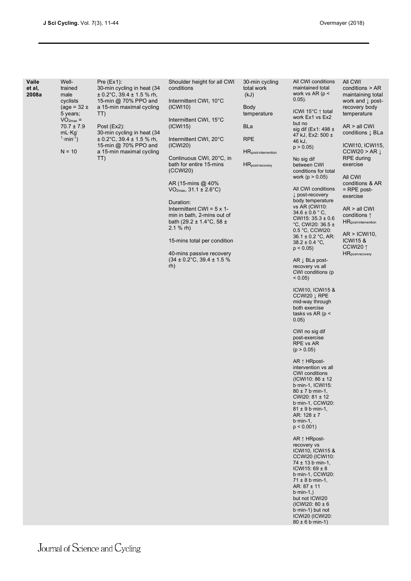| Vaile<br>et al,<br>2008a | Well-<br>trained<br>male<br>cyclists<br>(age = $32 \pm$<br>5 years;<br>$VO2max =$<br>$70.7 \pm 7.9$<br>$mL \cdot Kg$<br>$1 \cdot min^{-1}$<br>$N = 10$ | Pre (Ex1):<br>30-min cycling in heat (34<br>$\pm$ 0.2°C, 39.4 $\pm$ 1.5 % rh,<br>15-min @ 70% PPO and<br>a 15-min maximal cycling<br>TT)<br>Post $(EX2)$ :<br>30-min cycling in heat (34<br>$\pm$ 0.2°C, 39.4 $\pm$ 1.5 % rh,<br>15-min @ 70% PPO and<br>a 15-min maximal cycling<br>TT) | Shoulder height for all CWI<br>conditions<br>Intermittent CWI, 10°C<br>(ICWI10)<br>Intermittent CWI, 15°C<br>(ICW115)<br>Intermittent CWI, 20°C<br>(ICWI20)<br>Continuous CWI, 20°C, in<br>bath for entire 15-mins<br>(CCWI20)<br>AR (15-mins @ 40%)<br>$VO2max, 31.1 \pm 2.6°C)$<br>Duration:<br>Intermittent CWI = $5 \times 1$ -<br>min in bath, 2-mins out of<br>bath (29.2 ± 1.4 $°C$ , 58 ±<br>$2.1 %$ rh)<br>15-mins total per condition<br>40-mins passive recovery<br>$(34 \pm 0.2^{\circ}\text{C}, 39.4 \pm 1.5\%$<br>rh) | 30-min cycling<br>total work<br>(kJ)<br><b>Body</b><br>temperature<br>BLa<br><b>RPE</b><br><b>HR</b> post-intervention<br>HR <sub>post-recovery</sub> | All CWI conditions<br>maintained total<br>work vs $AR$ (p <<br>$0.05$ ).<br>ICWI 15°C↑ total<br>work Ex1 vs Ex2<br>but no<br>sig dif (Ex1: 498 $\pm$<br>47 kJ, Ex2: 500 ±<br>46 kJ,<br>p > 0.05<br>No sig dif<br>between CWI<br>conditions for total<br>work ( $p > 0.05$ )<br>All CWI conditions<br>$\downarrow$ post-recovery<br>body temperature<br>vs AR (CWI10:<br>$34.6 \pm 0.6$ ° C,<br>CWI15: $35.3 \pm 0.6$<br>°C, CWI20: 36.5 ±<br>0.5 °C, CCWI20:<br>$36.1 \pm 0.2$ °C, AR:<br>$38.2 \pm 0.4$ °C,<br>$p < 0.05$ )<br>$AR \perp BLa$ post-<br>recovery vs all<br>CWI conditions (p)<br>$< 0.05$ )<br>ICWI10, ICWI15 &<br>CCWI20 J RPE<br>mid-way through<br>both exercise<br>tasks vs AR ( $p$ <<br>0.05)<br>CWI no sig dif<br>post-exercise<br>RPE vs AR<br>(p > 0.05)<br>$AR \uparrow HRpost-$<br>intervention vs all<br><b>CWI</b> conditions<br>(ICWI10: 86 ± 12<br>b.min-1, ICWI15:<br>$80 \pm 7$ b min-1,<br>CWI20: 81 ± 12<br>b min-1, CCWI20:<br>$81 \pm 9$ b min-1,<br>AR: $128 \pm 7$<br>$b$ ·min-1,<br>$p < 0.001$ )<br>$AR \uparrow HRpost-$<br>recovery vs<br>ICWI10, ICWI15 &<br>CCWI20 (ICWI10:<br>$74 \pm 13$ b min-1,<br>$ICW115: 69 \pm 8$<br>b min-1, CCWI20:<br>$71 \pm 8$ b min-1,<br>AR: $87 \pm 11$<br>$b \cdot min-1$ .)<br>but not ICWI20<br>(ICWI20: $80 \pm 6$ )<br>$b$ ·min-1) but not<br>ICWI20 (ICWI20:<br>$80 \pm 6$ b min-1) | All CWI<br>conditions > AR<br>maintaining total<br>work and $\downarrow$ post-<br>recovery body<br>temperature<br>$AR > all$ CWI<br>conditions $\downarrow$ BLa<br>ICWI10, ICWI15,<br>CCWI20 > AR $\downarrow$<br>RPE during<br>exercise<br>All CWI<br>conditions & AR<br>$=$ RPE post-<br>exercise<br>$AR > all$ CWI<br>conditions $\uparrow$<br><b>HR</b> post-intervention<br>AR >  CW110 <br><b>ICWI15 &amp;</b><br>CCWI20 1<br>HR <sub>post-recovery</sub> |
|--------------------------|--------------------------------------------------------------------------------------------------------------------------------------------------------|------------------------------------------------------------------------------------------------------------------------------------------------------------------------------------------------------------------------------------------------------------------------------------------|-------------------------------------------------------------------------------------------------------------------------------------------------------------------------------------------------------------------------------------------------------------------------------------------------------------------------------------------------------------------------------------------------------------------------------------------------------------------------------------------------------------------------------------|-------------------------------------------------------------------------------------------------------------------------------------------------------|------------------------------------------------------------------------------------------------------------------------------------------------------------------------------------------------------------------------------------------------------------------------------------------------------------------------------------------------------------------------------------------------------------------------------------------------------------------------------------------------------------------------------------------------------------------------------------------------------------------------------------------------------------------------------------------------------------------------------------------------------------------------------------------------------------------------------------------------------------------------------------------------------------------------------------------------------------------------------------------------------------------------------------------------------------------------------------------------------------------------------------------------------------------------------------------------------------------------------------------------------------------------------------------------------------------------------------------------------------------------|-----------------------------------------------------------------------------------------------------------------------------------------------------------------------------------------------------------------------------------------------------------------------------------------------------------------------------------------------------------------------------------------------------------------------------------------------------------------|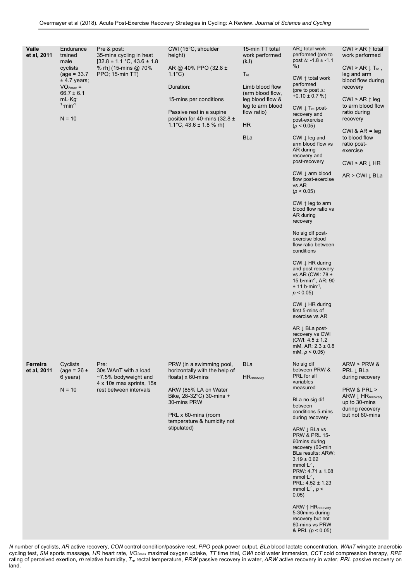| Vaile<br>et al, 2011    | Endurance<br>trained<br>male<br>cyclists<br>$(age = 33.7)$<br>$±$ 4.7 years;<br>$VO2max$ =<br>$66.7 \pm 6.1$<br>$mL \cdot Kg$<br>$1 \cdot min^{-1}$<br>$N = 10$ | Pre & post:<br>35-mins cycling in heat<br>$[32.8 \pm 1.1 \degree C, 43.6 \pm 1.8$<br>% rh] (15-mins @ 70%<br>PPO; 15-min TT) | CWI (15°C, shoulder<br>height)<br>AR @ 40% PPO (32.8 ±<br>$1.1^{\circ}$ C)<br>Duration:<br>15-mins per conditions<br>Passive rest in a supine<br>position for 40-mins (32.8 $\pm$<br>1.1°C, $43.6 \pm 1.8$ % rh)        | 15-min TT total<br>work performed<br>(kJ)<br>$T_{\text{re}}$<br>Limb blood flow<br>(arm blood flow,<br>leg blood flow &<br>leg to arm blood<br>flow ratio)<br><b>HR</b><br><b>BLa</b> | ARI total work<br>performed (pre to<br>post $\Delta$ : -1.8 ± -1.1<br>$%$ )<br>CWI $\uparrow$ total work<br>performed<br>(pre to post $\Delta$ :<br>$+0.10 \pm 0.7 \%$<br>CWI $\downarrow$ T <sub>re</sub> post-<br>recovery and<br>post-exercise<br>(p < 0.05)<br>CWI $\downarrow$ leg and<br>arm blood flow vs<br>AR during<br>recovery and<br>post-recovery<br>CWI $\downarrow$ arm blood<br>flow post-exercise<br>vs AR<br>(p < 0.05)<br>CWI $\uparrow$ leg to arm<br>blood flow ratio vs<br>AR during<br>recovery<br>No sig dif post-<br>exercise blood<br>flow ratio between<br>conditions<br>CWI $\downarrow$ HR during<br>and post recovery<br>vs AR (CWI: 78 ±<br>15 b min <sup>-1</sup> , AR: 90<br>$\pm$ 11 b min <sup>-1</sup> ,<br>$p < 0.05$ )<br>CWI $\downarrow$ HR during<br>first 5-mins of<br>exercise vs AR<br>$AR \downarrow BLa$ post-<br>recovery vs CWI<br>$(CWI: 4.5 \pm 1.2$<br>mM, AR: $2.3 \pm 0.8$<br>mM, $p < 0.05$ ) | CWI > AR $\uparrow$ total<br>work performed<br>$CWI > AR \downarrow T_{re}$ ,<br>leg and arm<br>blood flow during<br>recovery<br>CWI > AR $\uparrow$ leg<br>to arm blood flow<br>ratio during<br>recovery<br>CWI & $AR = leq$<br>to blood flow<br>ratio post-<br>exercise<br>$CWI > AR \downarrow HR$<br>$AR > CWI \downarrow BLa$ |
|-------------------------|-----------------------------------------------------------------------------------------------------------------------------------------------------------------|------------------------------------------------------------------------------------------------------------------------------|-------------------------------------------------------------------------------------------------------------------------------------------------------------------------------------------------------------------------|---------------------------------------------------------------------------------------------------------------------------------------------------------------------------------------|-----------------------------------------------------------------------------------------------------------------------------------------------------------------------------------------------------------------------------------------------------------------------------------------------------------------------------------------------------------------------------------------------------------------------------------------------------------------------------------------------------------------------------------------------------------------------------------------------------------------------------------------------------------------------------------------------------------------------------------------------------------------------------------------------------------------------------------------------------------------------------------------------------------------------------------------------------|------------------------------------------------------------------------------------------------------------------------------------------------------------------------------------------------------------------------------------------------------------------------------------------------------------------------------------|
| Ferreira<br>et al, 2011 | Cyclists<br>(age = $26 \pm$<br>6 years)<br>$N = 10$                                                                                                             | Pre:<br>30s WAnT with a load<br>$~1$ -7.5% bodyweight and<br>4 x 10s max sprints, 15s<br>rest between intervals              | PRW (in a swimming pool,<br>horizontally with the help of<br>floats) $x$ 60-mins<br>ARW (85% LA on Water<br>Bike, 28-32°C) 30-mins +<br>30-mins PRW<br>PRL x 60-mins (room<br>temperature & humidity not<br>stipulated) | <b>BLa</b><br><b>HR</b> recovery                                                                                                                                                      | No sig dif<br>between PRW &<br>PRL for all<br>variables<br>measured<br>BLa no sig dif<br>between<br>conditions 5-mins<br>during recovery<br>ARW $\downarrow$ BLa vs<br><b>PRW &amp; PRL 15-</b><br>60mins during<br>recovery (60-min<br>BLa results: ARW:<br>$3.19 \pm 0.62$<br>mmol $\cdot$ L $^{-1}$ ,<br>PRW: $4.71 \pm 1.08$<br>mmol $\cdot$ L $^{-1}$ ,<br>PRL: 4.52 ± 1.23<br>mmol $\cdot$ L <sup>-1</sup> , $p$ <<br>0.05)<br>ARW ↑ HRrecovery<br>5-30 mins during<br>recovery but not<br>60-mins vs PRW<br>& PRL ( $p < 0.05$ )                                                                                                                                                                                                                                                                                                                                                                                                             | ARW > PRW &<br>PRL J BLa<br>during recovery<br>PRW & PRL ><br>ARW $\downarrow$ HR <sub>recovery</sub><br>up to 30-mins<br>during recovery<br>but not 60-mins                                                                                                                                                                       |

*N* number of cyclists, *AR* active recovery, *CON* control condition/passive rest, *PPO* peak power output, *BLa* blood lactate concentration, *WAnT* wingate anaerobic cycling test, *SM* sports massage, *HR* heart rate, *VO2max* maximal oxygen uptake, *TT* time trial, *CWI* cold water immersion, *CCT* cold compression therapy, *RPE* rating of perceived exertion, *rh* relative humidity, *Tre* rectal temperature, *PRW* passive recovery in water, *ARW* active recovery in water, *PRL* passive recovery on land.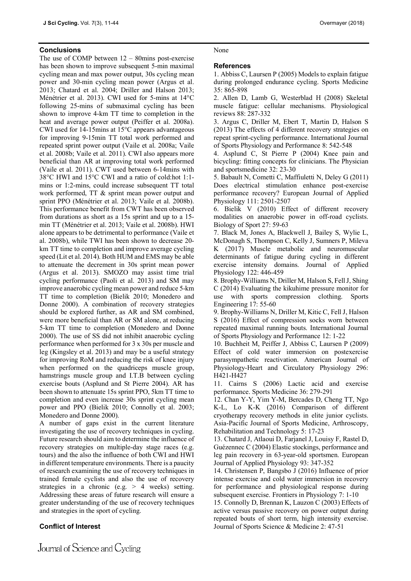## **Conclusions**

The use of COMP between 12 – 80mins post-exercise has been shown to improve subsequent 5-min maximal cycling mean and max power output, 30s cycling mean power and 30-min cycling mean power (Argus et al. 2013; Chatard et al. 2004; Driller and Halson 2013; Ménétrier et al. 2013). CWI used for 5-mins at 14°C following 25-mins of submaximal cycling has been shown to improve 4-km TT time to completion in the heat and average power output (Peiffer et al. 2008a). CWI used for 14-15mins at 15°C appears advantageous for improving 9-15min TT total work performed and repeated sprint power output (Vaile et al. 2008a; Vaile et al. 2008b; Vaile et al. 2011). CWI also appears more beneficial than AR at improving total work performed (Vaile et al. 2011). CWT used between 6-14mins with 38°C HWI and 15°C CWI and a ratio of cold:hot 1:1 mins or 1:2-mins, could increase subsequent TT total work performed, TT & sprint mean power output and sprint PPO (Ménétrier et al. 2013; Vaile et al. 2008b). This performance benefit from CWT has been observed from durations as short as a 15s sprint and up to a 15 min TT (Ménétrier et al. 2013; Vaile et al. 2008b). HWI alone appears to be detrimental to performance (Vaile et al. 2008b), while TWI has been shown to decrease 20 km TT time to completion and improve average cycling speed (Lit et al. 2014). Both HUM and EMS may be able to attenuate the decrement in 30s sprint mean power (Argus et al. 2013). SMOZO may assist time trial cycling performance (Paoli et al. 2013) and SM may improve anaerobic cycling mean power and reduce 5-km TT time to completion (Bielik 2010; Monedero and Donne 2000). A combination of recovery strategies should be explored further, as AR and SM combined, were more beneficial than AR or SM alone, at reducing 5-km TT time to completion (Monedero and Donne 2000). The use of SS did not inhibit anaerobic cycling performance when performed for 3 x 30s per muscle and leg (Kingsley et al. 2013) and may be a useful strategy for improving RoM and reducing the risk of knee injury when performed on the quadriceps muscle group, hamstrings muscle group and I.T.B between cycling exercise bouts (Asplund and St Pierre 2004). AR has been shown to attenuate 15s sprint PPO, 5km TT time to completion and even increase 30s sprint cycling mean power and PPO (Bielik 2010; Connolly et al. 2003; Monedero and Donne 2000).

A number of gaps exist in the current literature investigating the use of recovery techniques in cycling. Future research should aim to determine the influence of recovery strategies on multiple-day stage races (e.g. tours) and the also the influence of both CWI and HWI in different temperature environments. There is a paucity of research examining the use of recovery techniques in trained female cyclists and also the use of recovery strategies in a chronic (e.g.  $> 4$  weeks) setting. Addressing these areas of future research will ensure a greater understanding of the use of recovery techniques and strategies in the sport of cycling.

## **Conflict of Interest**

## None

## **References**

1. Abbiss C, Laursen P (2005) Models to explain fatigue during prolonged endurance cycling. Sports Medicine 35: 865-898

2. Allen D, Lamb G, Westerblad H (2008) Skeletal muscle fatigue: cellular mechanisms. Physiological reviews 88: 287-332

3. Argus C, Driller M, Ebert T, Martin D, Halson S (2013) The effects of 4 different recovery strategies on repeat sprint-cycling performance. International Journal of Sports Physiology and Performance 8: 542-548

4. Asplund C, St Pierre P (2004) Knee pain and bicycling: fitting concepts for clinicians. The Physician and sportsmedicine 32: 23-30

5. Babault N, Cometti C, Maffiuletti N, Deley G (2011) Does electrical stimulation enhance post-exercise performance recovery? European Journal of Applied Physiology 111: 2501-2507

6. Bielik V (2010) Effect of different recovery modalities on anaerobic power in off-road cyclists. Biology of Sport 27: 59-63

7. Black M, Jones A, Blackwell J, Bailey S, Wylie L, McDonagh S, Thompson C, Kelly J, Sumners P, Mileva K (2017) Muscle metabolic and neuromuscular determinants of fatigue during cycling in different exercise intensity domains. Journal of Applied Physiology 122: 446-459

8. Brophy-Williams N, Driller M, Halson S, Fell J, Shing C (2014) Evaluating the kikuhime pressure monitor for use with sports compression clothing. Sports Engineering 17: 55-60

9. Brophy-Williams N, Driller M, Kitic C, Fell J, Halson S (2016) Effect of compression socks worn between repeated maximal running bouts. International Journal of Sports Physiology and Performance 12: 1-22

10. Buchheit M, Peiffer J, Abbiss C, Laursen P (2009) Effect of cold water immersion on postexercise parasympathetic reactivation. American Journal of Physiology-Heart and Circulatory Physiology 296: H421-H427

11. Cairns S (2006) Lactic acid and exercise performance. Sports Medicine 36: 279-291

12. Chan Y-Y, Yim Y-M, Bercades D, Cheng TT, Ngo K-L, Lo K-K (2016) Comparison of different cryotherapy recovery methods in elite junior cyclists. Asia-Pacific Journal of Sports Medicine, Arthroscopy, Rehabilitation and Technology 5: 17-23

13. Chatard J, Atlaoui D, Farjanel J, Louisy F, Rastel D, Guézennec C (2004) Elastic stockings, performance and leg pain recovery in 63-year-old sportsmen. European Journal of Applied Physiology 93: 347-352

14. Christensen P, Bangsbo J (2016) Influence of prior intense exercise and cold water immersion in recovery for performance and physiological response during subsequent exercise. Frontiers in Physiology 7: 1-10

15. Connolly D, Brennan K, Lauzon C (2003) Effects of active versus passive recovery on power output during repeated bouts of short term, high intensity exercise. Journal of Sports Science & Medicine 2: 47-51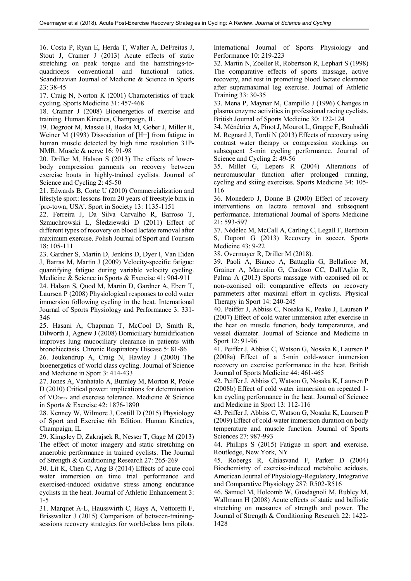16. Costa P, Ryan E, Herda T, Walter A, DeFreitas J, Stout J, Cramer J (2013) Acute effects of static stretching on peak torque and the hamstrings-toquadriceps conventional and functional ratios. Scandinavian Journal of Medicine & Science in Sports 23: 38-45

17. Craig N, Norton K (2001) Characteristics of track cycling. Sports Medicine 31: 457-468

18. Cramer J (2008) Bioenergetics of exercise and training. Human Kinetics, Champaign, IL

19. Degroot M, Massie B, Boska M, Gober J, Miller R, Weiner M (1993) Dissociation of [H+] from fatigue in human muscle detected by high time resolution 31P-NMR. Muscle & nerve 16: 91-98

20. Driller M, Halson S (2013) The effects of lowerbody compression garments on recovery between exercise bouts in highly-trained cyclists. Journal of Science and Cycling 2: 45-50

21. Edwards B, Corte U (2010) Commercialization and lifestyle sport: lessons from 20 years of freestyle bmx in 'pro-town, USA'. Sport in Society 13: 1135-1151

22. Ferreira J, Da Silva Carvalho R, Barroso T, Szmuchrowski L, Śledziewski D (2011) Effect of different types of recovery on blood lactate removal after maximum exercise. Polish Journal of Sport and Tourism 18: 105-111

23. Gardner S, Martin D, Jenkins D, Dyer I, Van Eiden J, Barras M, Martin J (2009) Velocity-specific fatigue: quantifying fatigue during variable velocity cycling. Medicine & Science in Sports & Exercise 41: 904-911

24. Halson S, Quod M, Martin D, Gardner A, Ebert T, Laursen P (2008) Physiological responses to cold water immersion following cycling in the heat. International Journal of Sports Physiology and Performance 3: 331- 346

25. Hasani A, Chapman T, McCool D, Smith R, Dilworth J, Agnew J (2008) Domiciliary humidification improves lung mucociliary clearance in patients with bronchiectasis. Chronic Respiratory Disease 5: 81-86

26. Jeukendrup A, Craig N, Hawley J (2000) The bioenergetics of world class cycling. Journal of Science and Medicine in Sport 3: 414-433

27. Jones A, Vanhatalo A, Burnley M, Morton R, Poole D (2010) Critical power: implications for determination of VO2max and exercise tolerance. Medicine & Science in Sports & Exercise 42: 1876-1890

28. Kenney W, Wilmore J, Costill D (2015) Physiology of Sport and Exercise 6th Edition. Human Kinetics, Champaign, IL

29. Kingsley D, Zakrajsek R, Nesser T, Gage M (2013) The effect of motor imagery and static stretching on anaerobic performance in trained cyclists. The Journal of Strength & Conditioning Research 27: 265-269

30. Lit K, Chen C, Ang B (2014) Effects of acute cool water immersion on time trial performance and exercised-induced oxidative stress among endurance cyclists in the heat. Journal of Athletic Enhancement 3: 1-5

31. Marquet A-L, Hausswirth C, Hays A, Vettoretti F, Brisswalter J (2015) Comparison of between-trainingsessions recovery strategies for world-class bmx pilots. International Journal of Sports Physiology and Performance 10: 219-223

32. Martin N, Zoeller R, Robertson R, Lephart S (1998) The comparative effects of sports massage, active recovery, and rest in promoting blood lactate clearance after supramaximal leg exercise. Journal of Athletic Training 33: 30-35

33. Mena P, Maynar M, Campillo J (1996) Changes in plasma enzyme activities in professional racing cyclists. British Journal of Sports Medicine 30: 122-124

34. Ménétrier A, Pinot J, Mourot L, Grappe F, Bouhaddi M, Regnard J, Tordi N (2013) Effects of recovery using contrast water therapy or compression stockings on subsequent 5-min cycling performance. Journal of Science and Cycling 2: 49-56

35. Millet G, Lepers R (2004) Alterations of neuromuscular function after prolonged running, cycling and skiing exercises. Sports Medicine 34: 105- 116

36. Monedero J, Donne B (2000) Effect of recovery interventions on lactate removal and subsequent performance. International Journal of Sports Medicine 21: 593-597

37. Nédélec M, McCall A, Carling C, Legall F, Berthoin S, Dupont G (2013) Recovery in soccer. Sports Medicine 43: 9-22

38. Overmayer R, Driller M (2018).

39. Paoli A, Bianco A, Battaglia G, Bellafiore M, Grainer A, Marcolin G, Cardoso CC, Dall'Aglio R, Palma A (2013) Sports massage with ozonised oil or non-ozonised oil: comparative effects on recovery parameters after maximal effort in cyclists. Physical Therapy in Sport 14: 240-245

40. Peiffer J, Abbiss C, Nosaka K, Peake J, Laursen P (2007) Effect of cold water immersion after exercise in the heat on muscle function, body temperatures, and vessel diameter. Journal of Science and Medicine in Sport 12: 91-96

41. Peiffer J, Abbiss C, Watson G, Nosaka K, Laursen P (2008a) Effect of a 5-min cold-water immersion recovery on exercise performance in the heat. British Journal of Sports Medicine 44: 461-465

42. Peiffer J, Abbiss C, Watson G, Nosaka K, Laursen P (2008b) Effect of cold water immersion on repeated 1 km cycling performance in the heat. Journal of Science and Medicine in Sport 13: 112-116

43. Peiffer J, Abbiss C, Watson G, Nosaka K, Laursen P (2009) Effect of cold-water immersion duration on body temperature and muscle function. Journal of Sports Sciences 27: 987-993

44. Phillips S (2015) Fatigue in sport and exercise. Routledge, New York, NY

45. Robergs R, Ghiasvand F, Parker D (2004) Biochemistry of exercise-induced metabolic acidosis. American Journal of Physiology-Regulatory, Integrative and Comparative Physiology 287: R502-R516

46. Samuel M, Holcomb W, Guadagnoli M, Rubley M, Wallmann H (2008) Acute effects of static and ballistic stretching on measures of strength and power. The Journal of Strength & Conditioning Research 22: 1422- 1428